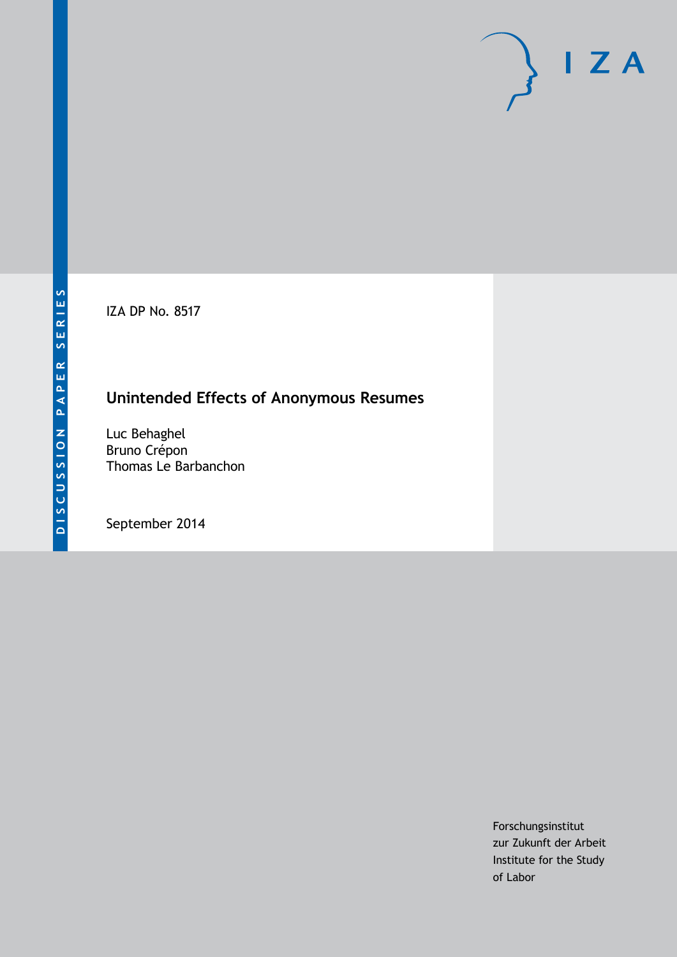IZA DP No. 8517

## **Unintended Effects of Anonymous Resumes**

Luc Behaghel Bruno Crépon Thomas Le Barbanchon

September 2014

Forschungsinstitut zur Zukunft der Arbeit Institute for the Study of Labor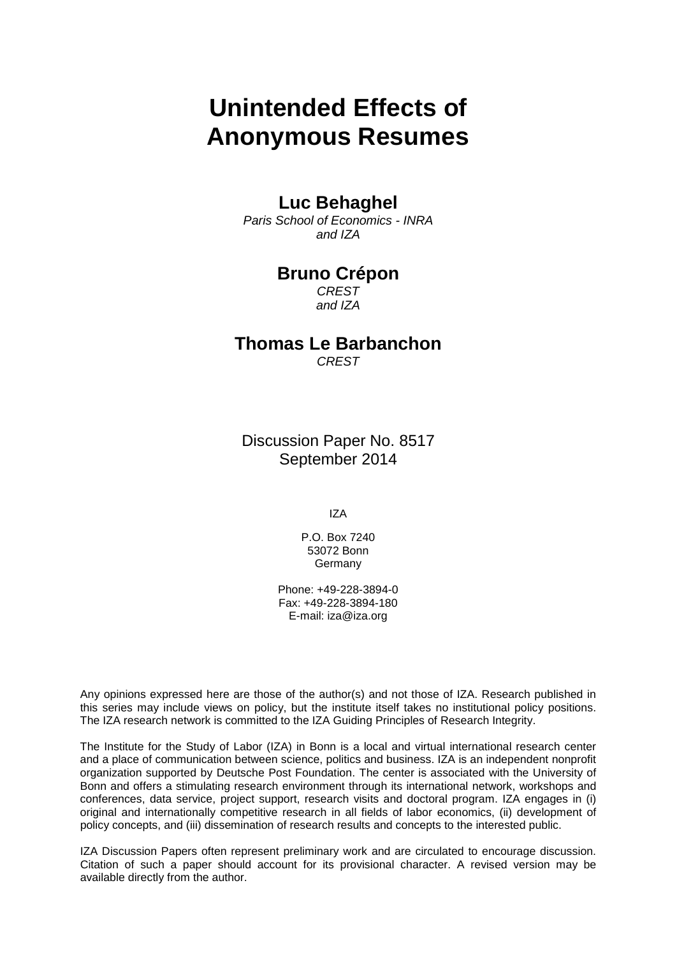# **Unintended Effects of Anonymous Resumes**

### **Luc Behaghel**

*Paris School of Economics - INRA and IZA*

### **Bruno Crépon**

*CREST and IZA*

## **Thomas Le Barbanchon**

*CREST*

Discussion Paper No. 8517 September 2014

IZA

P.O. Box 7240 53072 Bonn Germany

Phone: +49-228-3894-0 Fax: +49-228-3894-180 E-mail: [iza@iza.org](mailto:iza@iza.org)

Any opinions expressed here are those of the author(s) and not those of IZA. Research published in this series may include views on policy, but the institute itself takes no institutional policy positions. The IZA research network is committed to the IZA Guiding Principles of Research Integrity.

The Institute for the Study of Labor (IZA) in Bonn is a local and virtual international research center and a place of communication between science, politics and business. IZA is an independent nonprofit organization supported by Deutsche Post Foundation. The center is associated with the University of Bonn and offers a stimulating research environment through its international network, workshops and conferences, data service, project support, research visits and doctoral program. IZA engages in (i) original and internationally competitive research in all fields of labor economics, (ii) development of policy concepts, and (iii) dissemination of research results and concepts to the interested public.

<span id="page-1-0"></span>IZA Discussion Papers often represent preliminary work and are circulated to encourage discussion. Citation of such a paper should account for its provisional character. A revised version may be available directly from the author.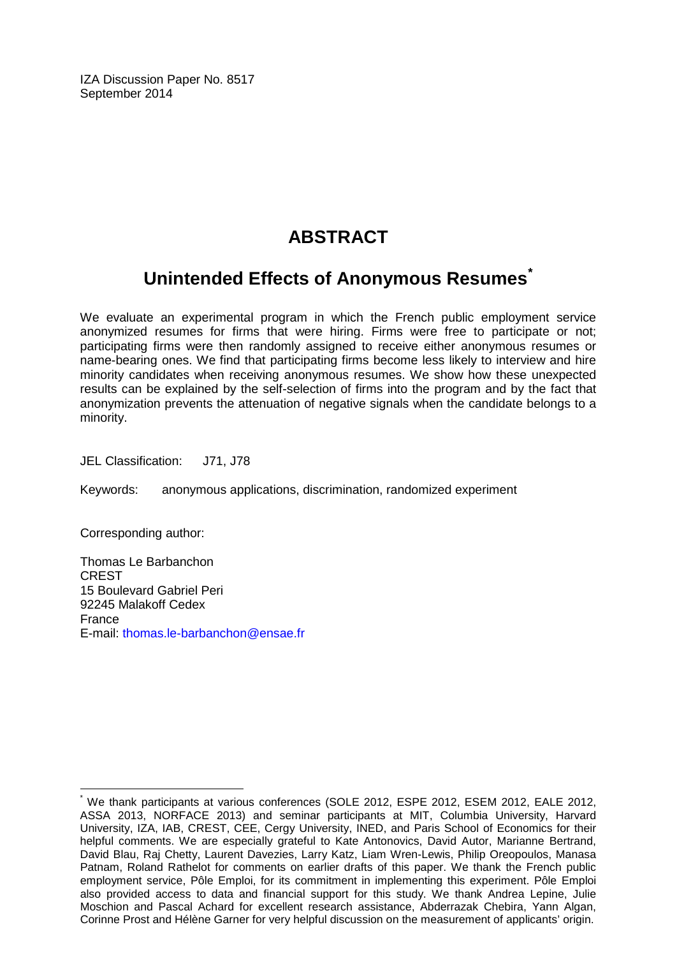IZA Discussion Paper No. 8517 September 2014

## **ABSTRACT**

## **Unintended Effects of Anonymous Resumes[\\*](#page-1-0)**

We evaluate an experimental program in which the French public employment service anonymized resumes for firms that were hiring. Firms were free to participate or not; participating firms were then randomly assigned to receive either anonymous resumes or name-bearing ones. We find that participating firms become less likely to interview and hire minority candidates when receiving anonymous resumes. We show how these unexpected results can be explained by the self-selection of firms into the program and by the fact that anonymization prevents the attenuation of negative signals when the candidate belongs to a minority.

JEL Classification: J71, J78

Keywords: anonymous applications, discrimination, randomized experiment

Corresponding author:

Thomas Le Barbanchon CREST 15 Boulevard Gabriel Peri 92245 Malakoff Cedex France E-mail: [thomas.le-barbanchon@ensae.fr](mailto:thomas.le-barbanchon@ensae.fr)

We thank participants at various conferences (SOLE 2012, ESPE 2012, ESEM 2012, EALE 2012, ASSA 2013, NORFACE 2013) and seminar participants at MIT, Columbia University, Harvard University, IZA, IAB, CREST, CEE, Cergy University, INED, and Paris School of Economics for their helpful comments. We are especially grateful to Kate Antonovics, David Autor, Marianne Bertrand, David Blau, Raj Chetty, Laurent Davezies, Larry Katz, Liam Wren-Lewis, Philip Oreopoulos, Manasa Patnam, Roland Rathelot for comments on earlier drafts of this paper. We thank the French public employment service, Pôle Emploi, for its commitment in implementing this experiment. Pôle Emploi also provided access to data and financial support for this study. We thank Andrea Lepine, Julie Moschion and Pascal Achard for excellent research assistance, Abderrazak Chebira, Yann Algan, Corinne Prost and Hélène Garner for very helpful discussion on the measurement of applicants' origin.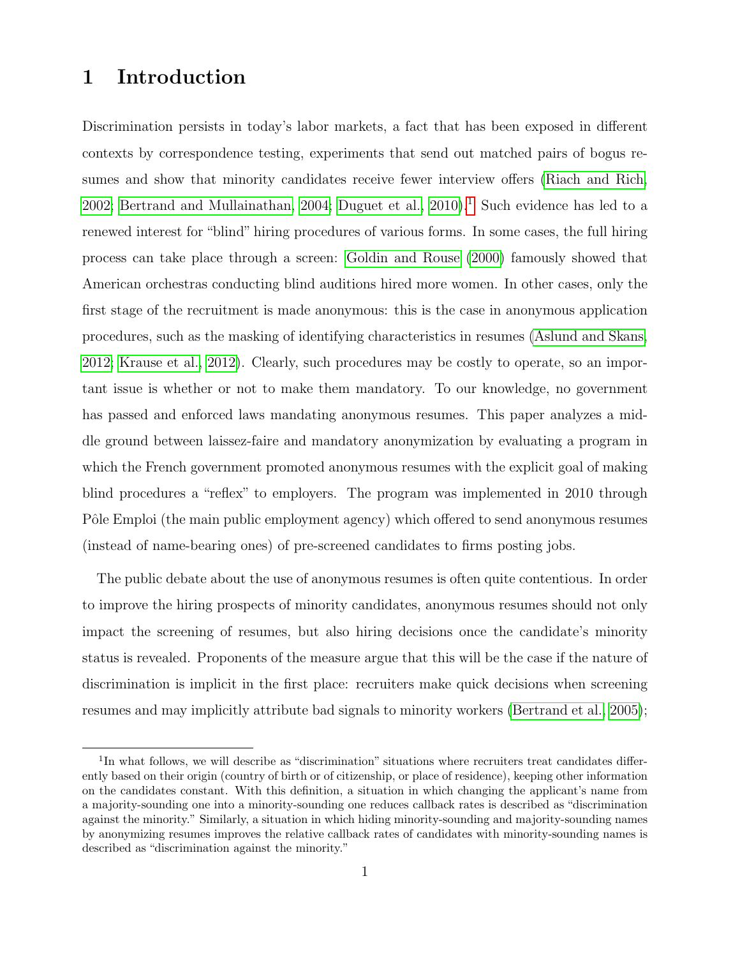## 1 Introduction

Discrimination persists in today's labor markets, a fact that has been exposed in different contexts by correspondence testing, experiments that send out matched pairs of bogus resumes and show that minority candidates receive fewer interview offers [\(Riach and Rich,](#page-32-0) [2002;](#page-32-0) [Bertrand and Mullainathan, 2004;](#page-31-0) Duguet et al.,  $2010$  $2010$  $2010$ ).<sup>1</sup> Such evidence has led to a renewed interest for "blind" hiring procedures of various forms. In some cases, the full hiring process can take place through a screen: [Goldin and Rouse](#page-31-2) [\(2000\)](#page-31-2) famously showed that American orchestras conducting blind auditions hired more women. In other cases, only the first stage of the recruitment is made anonymous: this is the case in anonymous application procedures, such as the masking of identifying characteristics in resumes [\(Aslund and Skans,](#page-31-3) [2012;](#page-31-3) [Krause et al., 2012\)](#page-32-1). Clearly, such procedures may be costly to operate, so an important issue is whether or not to make them mandatory. To our knowledge, no government has passed and enforced laws mandating anonymous resumes. This paper analyzes a middle ground between laissez-faire and mandatory anonymization by evaluating a program in which the French government promoted anonymous resumes with the explicit goal of making blind procedures a "reflex" to employers. The program was implemented in 2010 through Pôle Emploi (the main public employment agency) which offered to send anonymous resumes (instead of name-bearing ones) of pre-screened candidates to firms posting jobs.

The public debate about the use of anonymous resumes is often quite contentious. In order to improve the hiring prospects of minority candidates, anonymous resumes should not only impact the screening of resumes, but also hiring decisions once the candidate's minority status is revealed. Proponents of the measure argue that this will be the case if the nature of discrimination is implicit in the first place: recruiters make quick decisions when screening resumes and may implicitly attribute bad signals to minority workers [\(Bertrand et al., 2005\)](#page-31-4);

<sup>&</sup>lt;sup>1</sup>In what follows, we will describe as "discrimination" situations where recruiters treat candidates differently based on their origin (country of birth or of citizenship, or place of residence), keeping other information on the candidates constant. With this definition, a situation in which changing the applicant's name from a majority-sounding one into a minority-sounding one reduces callback rates is described as "discrimination against the minority." Similarly, a situation in which hiding minority-sounding and majority-sounding names by anonymizing resumes improves the relative callback rates of candidates with minority-sounding names is described as "discrimination against the minority."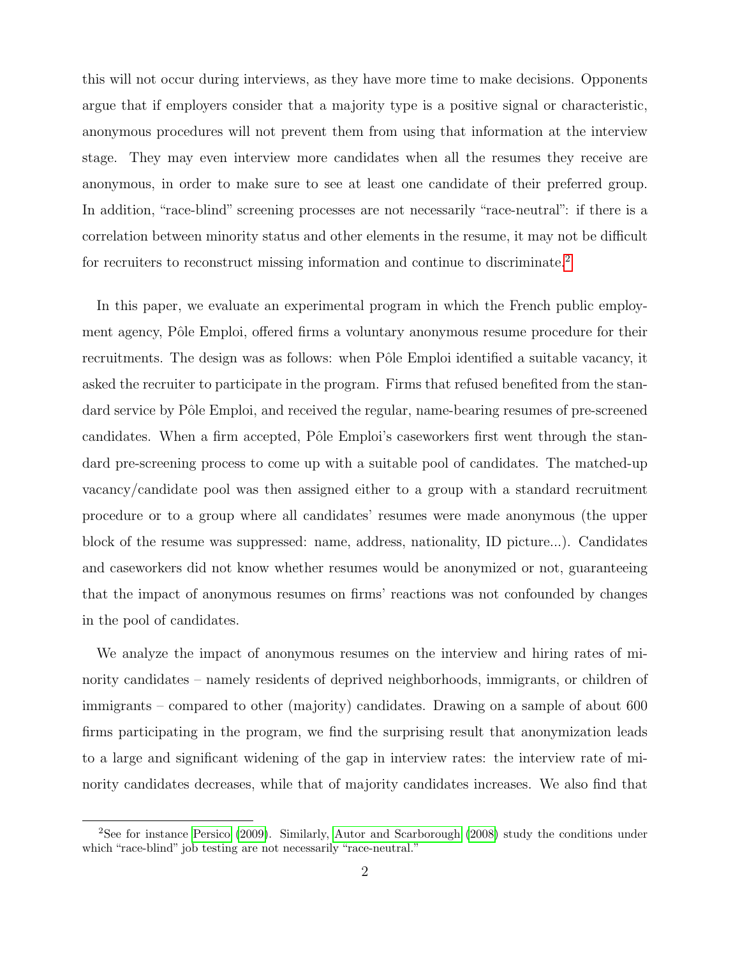this will not occur during interviews, as they have more time to make decisions. Opponents argue that if employers consider that a majority type is a positive signal or characteristic, anonymous procedures will not prevent them from using that information at the interview stage. They may even interview more candidates when all the resumes they receive are anonymous, in order to make sure to see at least one candidate of their preferred group. In addition, "race-blind" screening processes are not necessarily "race-neutral": if there is a correlation between minority status and other elements in the resume, it may not be difficult for recruiters to reconstruct missing information and continue to discriminate.<sup>[2](#page--1-0)</sup>

In this paper, we evaluate an experimental program in which the French public employment agency, Pôle Emploi, offered firms a voluntary anonymous resume procedure for their recruitments. The design was as follows: when Pôle Emploi identified a suitable vacancy, it asked the recruiter to participate in the program. Firms that refused benefited from the standard service by Pôle Emploi, and received the regular, name-bearing resumes of pre-screened candidates. When a firm accepted, Pôle Emploi's caseworkers first went through the standard pre-screening process to come up with a suitable pool of candidates. The matched-up vacancy/candidate pool was then assigned either to a group with a standard recruitment procedure or to a group where all candidates' resumes were made anonymous (the upper block of the resume was suppressed: name, address, nationality, ID picture...). Candidates and caseworkers did not know whether resumes would be anonymized or not, guaranteeing that the impact of anonymous resumes on firms' reactions was not confounded by changes in the pool of candidates.

We analyze the impact of anonymous resumes on the interview and hiring rates of minority candidates – namely residents of deprived neighborhoods, immigrants, or children of immigrants – compared to other (majority) candidates. Drawing on a sample of about 600 firms participating in the program, we find the surprising result that anonymization leads to a large and significant widening of the gap in interview rates: the interview rate of minority candidates decreases, while that of majority candidates increases. We also find that

<sup>2</sup>See for instance [Persico](#page-32-2) [\(2009\)](#page-32-2). Similarly, [Autor and Scarborough](#page-31-5) [\(2008\)](#page-31-5) study the conditions under which "race-blind" job testing are not necessarily "race-neutral."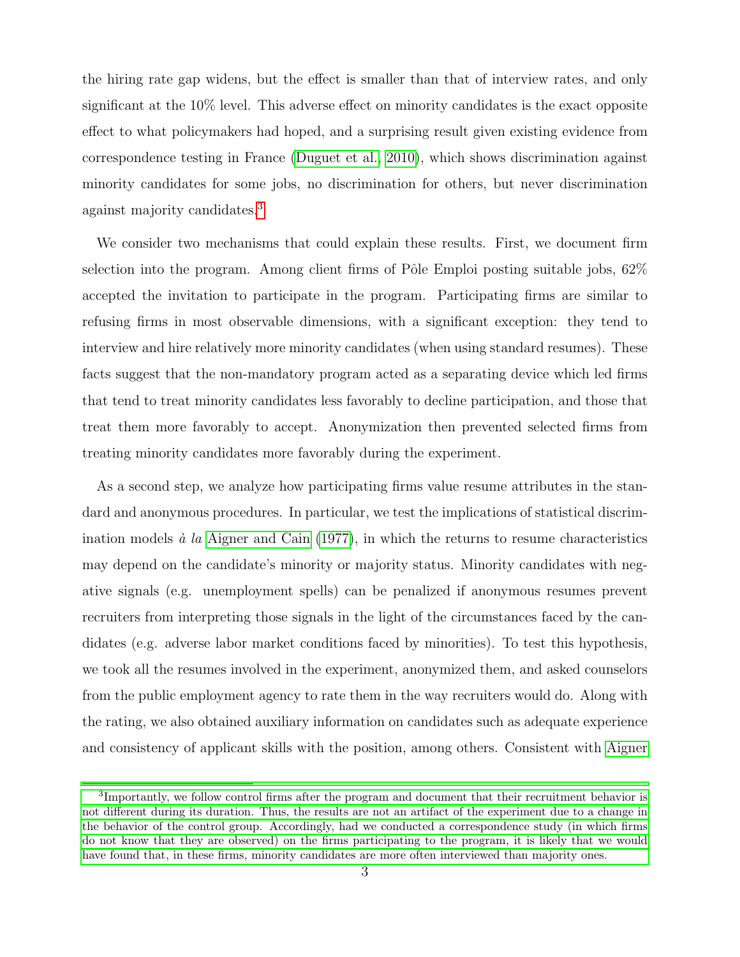the hiring rate gap widens, but the effect is smaller than that of interview rates, and only significant at the 10% level. This adverse effect on minority candidates is the exact opposite effect to what policymakers had hoped, and a surprising result given existing evidence from correspondence testing in France [\(Duguet et al., 2010\)](#page-31-1), which shows discrimination against minority candidates for some jobs, no discrimination for others, but never discrimination against majority candidates.[3](#page--1-0)

We consider two mechanisms that could explain these results. First, we document firm selection into the program. Among client firms of Pôle Emploi posting suitable jobs,  $62\%$ accepted the invitation to participate in the program. Participating firms are similar to refusing firms in most observable dimensions, with a significant exception: they tend to interview and hire relatively more minority candidates (when using standard resumes). These facts suggest that the non-mandatory program acted as a separating device which led firms that tend to treat minority candidates less favorably to decline participation, and those that treat them more favorably to accept. Anonymization then prevented selected firms from treating minority candidates more favorably during the experiment.

As a second step, we analyze how participating firms value resume attributes in the standard and anonymous procedures. In particular, we test the implications of statistical discrimination models  $\dot{a}$  la [Aigner and Cain](#page-31-6) [\(1977\)](#page-31-6), in which the returns to resume characteristics may depend on the candidate's minority or majority status. Minority candidates with negative signals (e.g. unemployment spells) can be penalized if anonymous resumes prevent recruiters from interpreting those signals in the light of the circumstances faced by the candidates (e.g. adverse labor market conditions faced by minorities). To test this hypothesis, we took all the resumes involved in the experiment, anonymized them, and asked counselors from the public employment agency to rate them in the way recruiters would do. Along with the rating, we also obtained auxiliary information on candidates such as adequate experience and consistency of applicant skills with the position, among others. Consistent with [Aigner](#page-31-6)

<sup>&</sup>lt;sup>3</sup>[Importantly, we follow control firms after the program and document that their recruitment behavior is](#page-31-6) [not different during its duration. Thus, the results are not an artifact of the experiment due to a change in](#page-31-6) [the behavior of the control group. Accordingly, had we conducted a correspondence study \(in which firms](#page-31-6) [do not know that they are observed\) on the firms participating to the program, it is likely that we would](#page-31-6) [have found that, in these firms, minority candidates are more often interviewed than majority ones.](#page-31-6)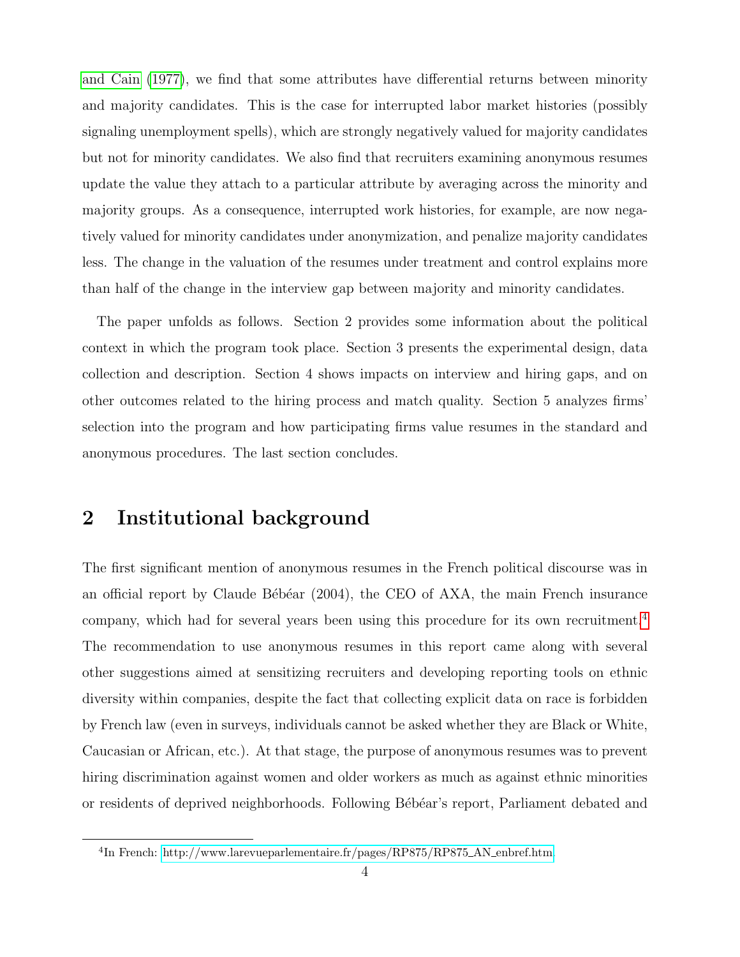[and Cain](#page-31-6) [\(1977\)](#page-31-6), we find that some attributes have differential returns between minority and majority candidates. This is the case for interrupted labor market histories (possibly signaling unemployment spells), which are strongly negatively valued for majority candidates but not for minority candidates. We also find that recruiters examining anonymous resumes update the value they attach to a particular attribute by averaging across the minority and majority groups. As a consequence, interrupted work histories, for example, are now negatively valued for minority candidates under anonymization, and penalize majority candidates less. The change in the valuation of the resumes under treatment and control explains more than half of the change in the interview gap between majority and minority candidates.

The paper unfolds as follows. Section 2 provides some information about the political context in which the program took place. Section 3 presents the experimental design, data collection and description. Section 4 shows impacts on interview and hiring gaps, and on other outcomes related to the hiring process and match quality. Section 5 analyzes firms' selection into the program and how participating firms value resumes in the standard and anonymous procedures. The last section concludes.

### 2 Institutional background

The first significant mention of anonymous resumes in the French political discourse was in an official report by Claude Bébéar  $(2004)$ , the CEO of AXA, the main French insurance company, which had for several years been using this procedure for its own recruitment.[4](#page--1-0) The recommendation to use anonymous resumes in this report came along with several other suggestions aimed at sensitizing recruiters and developing reporting tools on ethnic diversity within companies, despite the fact that collecting explicit data on race is forbidden by French law (even in surveys, individuals cannot be asked whether they are Black or White, Caucasian or African, etc.). At that stage, the purpose of anonymous resumes was to prevent hiring discrimination against women and older workers as much as against ethnic minorities or residents of deprived neighborhoods. Following Bébéar's report, Parliament debated and

<sup>&</sup>lt;sup>4</sup>In French: [http://www.larevueparlementaire.fr/pages/RP875/RP875](http://www.larevueparlementaire.fr/pages/RP875/RP875_AN_enbref.htm)\_AN\_enbref.htm.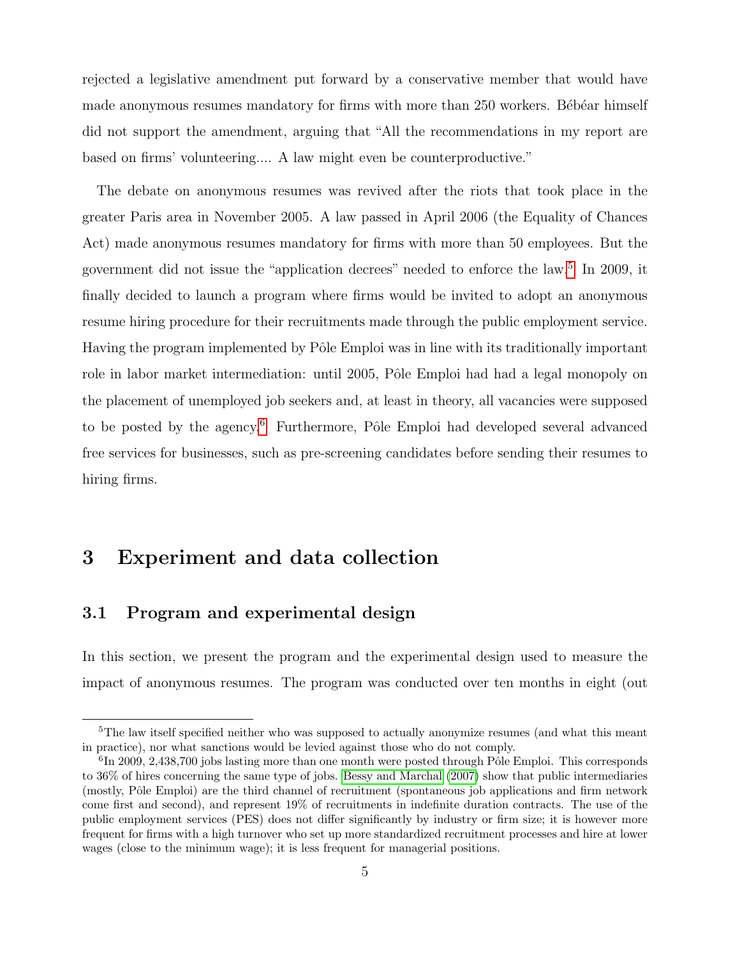rejected a legislative amendment put forward by a conservative member that would have made anonymous resumes mandatory for firms with more than 250 workers. Bébéar himself did not support the amendment, arguing that "All the recommendations in my report are based on firms' volunteering.... A law might even be counterproductive."

The debate on anonymous resumes was revived after the riots that took place in the greater Paris area in November 2005. A law passed in April 2006 (the Equality of Chances Act) made anonymous resumes mandatory for firms with more than 50 employees. But the government did not issue the "application decrees" needed to enforce the law.[5](#page--1-0) In 2009, it finally decided to launch a program where firms would be invited to adopt an anonymous resume hiring procedure for their recruitments made through the public employment service. Having the program implemented by Pôle Emploi was in line with its traditionally important role in labor market intermediation: until 2005, Pôle Emploi had had a legal monopoly on the placement of unemployed job seekers and, at least in theory, all vacancies were supposed to be posted by the agency.<sup>[6](#page--1-0)</sup> Furthermore, Pôle Emploi had developed several advanced free services for businesses, such as pre-screening candidates before sending their resumes to hiring firms.

## 3 Experiment and data collection

### 3.1 Program and experimental design

In this section, we present the program and the experimental design used to measure the impact of anonymous resumes. The program was conducted over ten months in eight (out

<sup>&</sup>lt;sup>5</sup>The law itself specified neither who was supposed to actually anonymize resumes (and what this meant in practice), nor what sanctions would be levied against those who do not comply.

 ${}^{6}$ In 2009, 2,438,700 jobs lasting more than one month were posted through Pôle Emploi. This corresponds to 36% of hires concerning the same type of jobs. [Bessy and Marchal](#page-31-7) [\(2007\)](#page-31-7) show that public intermediaries (mostly, Pôle Emploi) are the third channel of recruitment (spontaneous job applications and firm network come first and second), and represent 19% of recruitments in indefinite duration contracts. The use of the public employment services (PES) does not differ significantly by industry or firm size; it is however more frequent for firms with a high turnover who set up more standardized recruitment processes and hire at lower wages (close to the minimum wage); it is less frequent for managerial positions.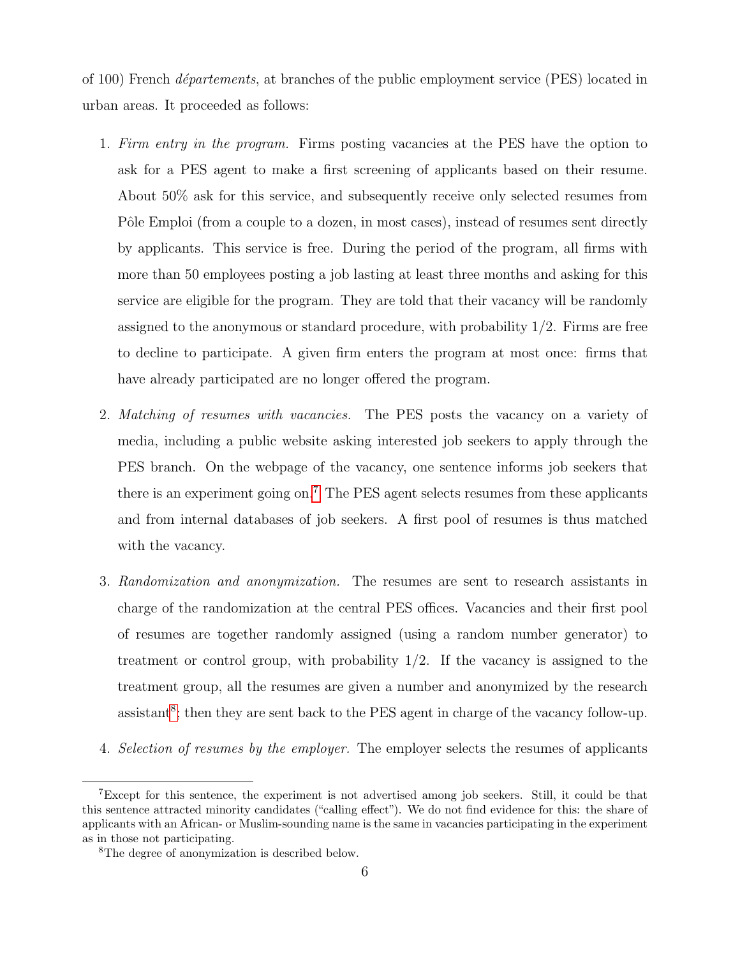of 100) French *départements*, at branches of the public employment service (PES) located in urban areas. It proceeded as follows:

- 1. Firm entry in the program. Firms posting vacancies at the PES have the option to ask for a PES agent to make a first screening of applicants based on their resume. About 50% ask for this service, and subsequently receive only selected resumes from Pôle Emploi (from a couple to a dozen, in most cases), instead of resumes sent directly by applicants. This service is free. During the period of the program, all firms with more than 50 employees posting a job lasting at least three months and asking for this service are eligible for the program. They are told that their vacancy will be randomly assigned to the anonymous or standard procedure, with probability  $1/2$ . Firms are free to decline to participate. A given firm enters the program at most once: firms that have already participated are no longer offered the program.
- 2. Matching of resumes with vacancies. The PES posts the vacancy on a variety of media, including a public website asking interested job seekers to apply through the PES branch. On the webpage of the vacancy, one sentence informs job seekers that there is an experiment going on.<sup>[7](#page--1-0)</sup> The PES agent selects resumes from these applicants and from internal databases of job seekers. A first pool of resumes is thus matched with the vacancy.
- 3. Randomization and anonymization. The resumes are sent to research assistants in charge of the randomization at the central PES offices. Vacancies and their first pool of resumes are together randomly assigned (using a random number generator) to treatment or control group, with probability  $1/2$ . If the vacancy is assigned to the treatment group, all the resumes are given a number and anonymized by the research  $\alpha$  assistant<sup>[8](#page--1-0)</sup>; then they are sent back to the PES agent in charge of the vacancy follow-up.
- 4. Selection of resumes by the employer. The employer selects the resumes of applicants

<sup>7</sup>Except for this sentence, the experiment is not advertised among job seekers. Still, it could be that this sentence attracted minority candidates ("calling effect"). We do not find evidence for this: the share of applicants with an African- or Muslim-sounding name is the same in vacancies participating in the experiment as in those not participating.

<sup>8</sup>The degree of anonymization is described below.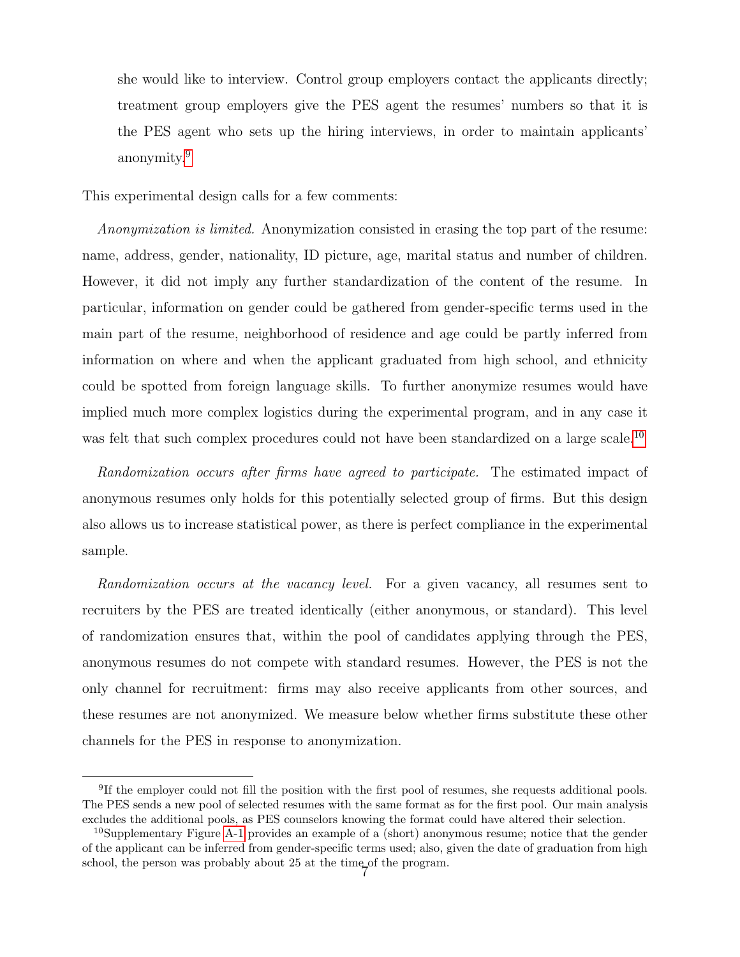she would like to interview. Control group employers contact the applicants directly; treatment group employers give the PES agent the resumes' numbers so that it is the PES agent who sets up the hiring interviews, in order to maintain applicants' anonymity.[9](#page--1-0)

This experimental design calls for a few comments:

Anonymization is limited. Anonymization consisted in erasing the top part of the resume: name, address, gender, nationality, ID picture, age, marital status and number of children. However, it did not imply any further standardization of the content of the resume. In particular, information on gender could be gathered from gender-specific terms used in the main part of the resume, neighborhood of residence and age could be partly inferred from information on where and when the applicant graduated from high school, and ethnicity could be spotted from foreign language skills. To further anonymize resumes would have implied much more complex logistics during the experimental program, and in any case it was felt that such complex procedures could not have been standardized on a large scale.<sup>[10](#page--1-0)</sup>

Randomization occurs after firms have agreed to participate. The estimated impact of anonymous resumes only holds for this potentially selected group of firms. But this design also allows us to increase statistical power, as there is perfect compliance in the experimental sample.

Randomization occurs at the vacancy level. For a given vacancy, all resumes sent to recruiters by the PES are treated identically (either anonymous, or standard). This level of randomization ensures that, within the pool of candidates applying through the PES, anonymous resumes do not compete with standard resumes. However, the PES is not the only channel for recruitment: firms may also receive applicants from other sources, and these resumes are not anonymized. We measure below whether firms substitute these other channels for the PES in response to anonymization.

<sup>&</sup>lt;sup>9</sup>If the employer could not fill the position with the first pool of resumes, she requests additional pools. The PES sends a new pool of selected resumes with the same format as for the first pool. Our main analysis excludes the additional pools, as PES counselors knowing the format could have altered their selection.

<sup>&</sup>lt;sup>10</sup>Supplementary Figure [A-1](#page-42-0) provides an example of a (short) anonymous resume; notice that the gender of the applicant can be inferred from gender-specific terms used; also, given the date of graduation from high school, the person was probably about 25 at the time of the program.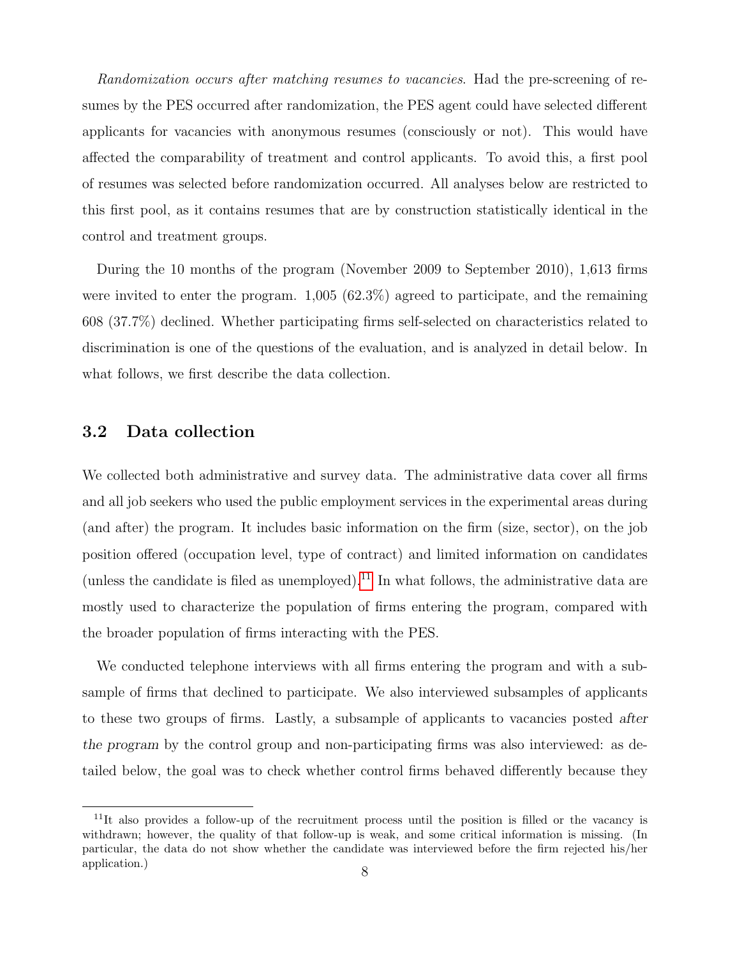Randomization occurs after matching resumes to vacancies. Had the pre-screening of resumes by the PES occurred after randomization, the PES agent could have selected different applicants for vacancies with anonymous resumes (consciously or not). This would have affected the comparability of treatment and control applicants. To avoid this, a first pool of resumes was selected before randomization occurred. All analyses below are restricted to this first pool, as it contains resumes that are by construction statistically identical in the control and treatment groups.

During the 10 months of the program (November 2009 to September 2010), 1,613 firms were invited to enter the program. 1,005 (62.3%) agreed to participate, and the remaining 608 (37.7%) declined. Whether participating firms self-selected on characteristics related to discrimination is one of the questions of the evaluation, and is analyzed in detail below. In what follows, we first describe the data collection.

#### <span id="page-10-0"></span>3.2 Data collection

We collected both administrative and survey data. The administrative data cover all firms and all job seekers who used the public employment services in the experimental areas during (and after) the program. It includes basic information on the firm (size, sector), on the job position offered (occupation level, type of contract) and limited information on candidates (unless the candidate is filed as unemployed).<sup>[11](#page--1-0)</sup> In what follows, the administrative data are mostly used to characterize the population of firms entering the program, compared with the broader population of firms interacting with the PES.

We conducted telephone interviews with all firms entering the program and with a subsample of firms that declined to participate. We also interviewed subsamples of applicants to these two groups of firms. Lastly, a subsample of applicants to vacancies posted after the program by the control group and non-participating firms was also interviewed: as detailed below, the goal was to check whether control firms behaved differently because they

 $11$ It also provides a follow-up of the recruitment process until the position is filled or the vacancy is withdrawn; however, the quality of that follow-up is weak, and some critical information is missing. (In particular, the data do not show whether the candidate was interviewed before the firm rejected his/her application.) 8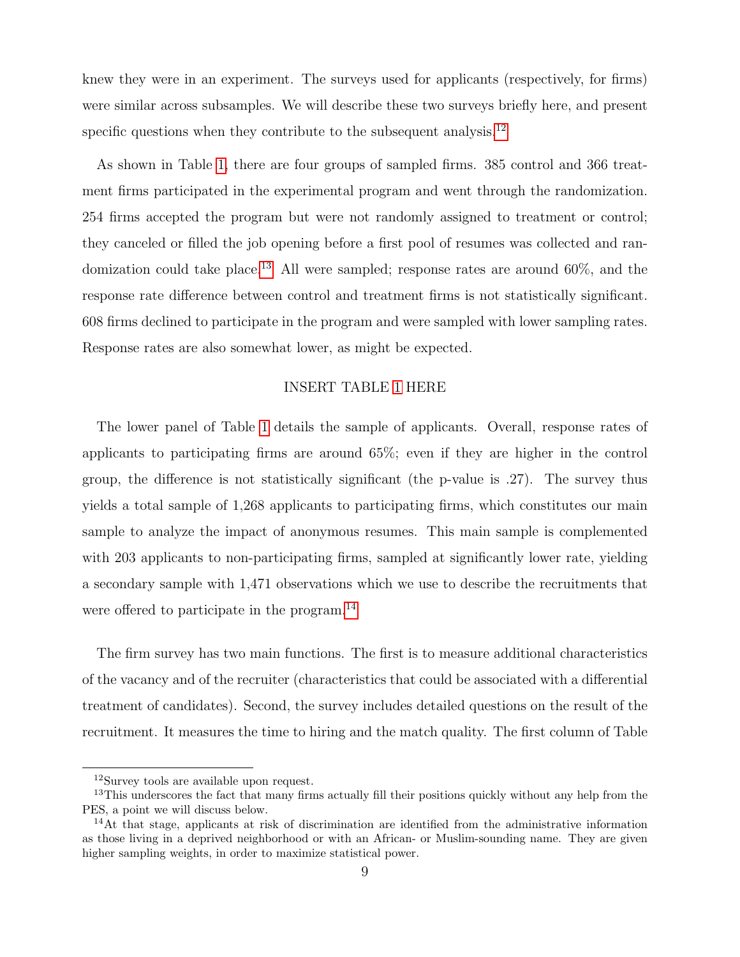knew they were in an experiment. The surveys used for applicants (respectively, for firms) were similar across subsamples. We will describe these two surveys briefly here, and present specific questions when they contribute to the subsequent analysis.<sup>[12](#page--1-0)</sup>

As shown in Table [1,](#page-33-0) there are four groups of sampled firms. 385 control and 366 treatment firms participated in the experimental program and went through the randomization. 254 firms accepted the program but were not randomly assigned to treatment or control; they canceled or filled the job opening before a first pool of resumes was collected and ran-domization could take place.<sup>[13](#page--1-0)</sup> All were sampled; response rates are around  $60\%$ , and the response rate difference between control and treatment firms is not statistically significant. 608 firms declined to participate in the program and were sampled with lower sampling rates. Response rates are also somewhat lower, as might be expected.

#### INSERT TABLE [1](#page-33-0) HERE

The lower panel of Table [1](#page-33-0) details the sample of applicants. Overall, response rates of applicants to participating firms are around 65%; even if they are higher in the control group, the difference is not statistically significant (the p-value is .27). The survey thus yields a total sample of 1,268 applicants to participating firms, which constitutes our main sample to analyze the impact of anonymous resumes. This main sample is complemented with 203 applicants to non-participating firms, sampled at significantly lower rate, yielding a secondary sample with 1,471 observations which we use to describe the recruitments that were offered to participate in the program.<sup>[14](#page--1-0)</sup>

The firm survey has two main functions. The first is to measure additional characteristics of the vacancy and of the recruiter (characteristics that could be associated with a differential treatment of candidates). Second, the survey includes detailed questions on the result of the recruitment. It measures the time to hiring and the match quality. The first column of Table

<sup>12</sup>Survey tools are available upon request.

<sup>&</sup>lt;sup>13</sup>This underscores the fact that many firms actually fill their positions quickly without any help from the PES, a point we will discuss below.

<sup>&</sup>lt;sup>14</sup>At that stage, applicants at risk of discrimination are identified from the administrative information as those living in a deprived neighborhood or with an African- or Muslim-sounding name. They are given higher sampling weights, in order to maximize statistical power.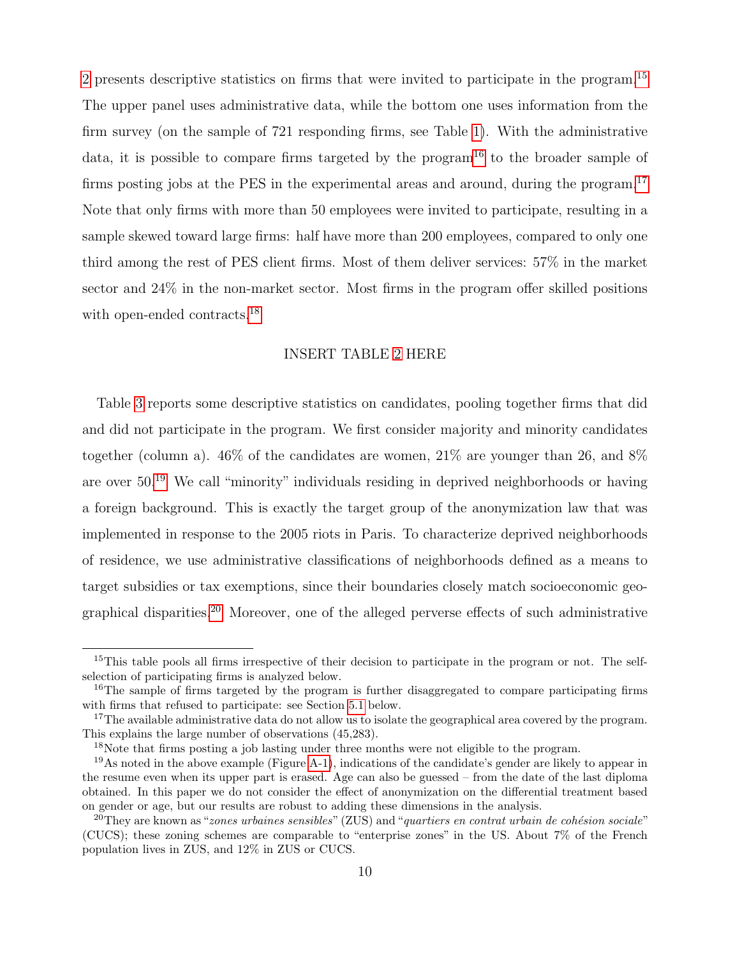[2](#page-34-0) presents descriptive statistics on firms that were invited to participate in the program.[15](#page--1-0) The upper panel uses administrative data, while the bottom one uses information from the firm survey (on the sample of 721 responding firms, see Table [1\)](#page-33-0). With the administrative data, it is possible to compare firms targeted by the program<sup>[16](#page--1-0)</sup> to the broader sample of firms posting jobs at the PES in the experimental areas and around, during the program.<sup>[17](#page--1-0)</sup> Note that only firms with more than 50 employees were invited to participate, resulting in a sample skewed toward large firms: half have more than 200 employees, compared to only one third among the rest of PES client firms. Most of them deliver services: 57% in the market sector and 24% in the non-market sector. Most firms in the program offer skilled positions with open-ended contracts.<sup>[18](#page--1-0)</sup>

#### INSERT TABLE [2](#page-34-0) HERE

Table [3](#page-35-0) reports some descriptive statistics on candidates, pooling together firms that did and did not participate in the program. We first consider majority and minority candidates together (column a).  $46\%$  of the candidates are women,  $21\%$  are younger than 26, and  $8\%$ are over 50.[19](#page--1-0) We call "minority" individuals residing in deprived neighborhoods or having a foreign background. This is exactly the target group of the anonymization law that was implemented in response to the 2005 riots in Paris. To characterize deprived neighborhoods of residence, we use administrative classifications of neighborhoods defined as a means to target subsidies or tax exemptions, since their boundaries closely match socioeconomic geographical disparities.[20](#page--1-0) Moreover, one of the alleged perverse effects of such administrative

<sup>&</sup>lt;sup>15</sup>This table pools all firms irrespective of their decision to participate in the program or not. The selfselection of participating firms is analyzed below.

<sup>&</sup>lt;sup>16</sup>The sample of firms targeted by the program is further disaggregated to compare participating firms with firms that refused to participate: see Section [5.1](#page-20-0) below.

<sup>&</sup>lt;sup>17</sup>The available administrative data do not allow us to isolate the geographical area covered by the program. This explains the large number of observations (45,283).

<sup>&</sup>lt;sup>18</sup>Note that firms posting a job lasting under three months were not eligible to the program.

 $19\text{As}$  noted in the above example (Figure [A-1\)](#page-42-0), indications of the candidate's gender are likely to appear in the resume even when its upper part is erased. Age can also be guessed – from the date of the last diploma obtained. In this paper we do not consider the effect of anonymization on the differential treatment based on gender or age, but our results are robust to adding these dimensions in the analysis.

<sup>&</sup>lt;sup>20</sup>They are known as "*zones urbaines sensibles*" (ZUS) and "*quartiers en contrat urbain de cohésion sociale*" (CUCS); these zoning schemes are comparable to "enterprise zones" in the US. About 7% of the French population lives in ZUS, and 12% in ZUS or CUCS.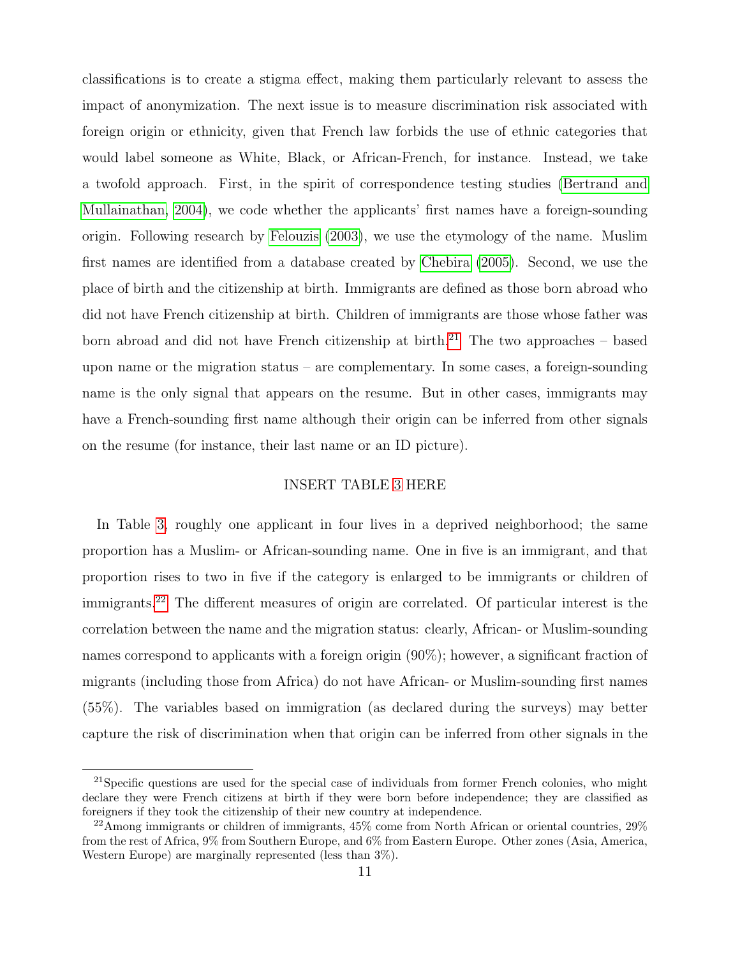classifications is to create a stigma effect, making them particularly relevant to assess the impact of anonymization. The next issue is to measure discrimination risk associated with foreign origin or ethnicity, given that French law forbids the use of ethnic categories that would label someone as White, Black, or African-French, for instance. Instead, we take a twofold approach. First, in the spirit of correspondence testing studies [\(Bertrand and](#page-31-0) [Mullainathan, 2004\)](#page-31-0), we code whether the applicants' first names have a foreign-sounding origin. Following research by [Felouzis](#page-31-8) [\(2003\)](#page-31-8), we use the etymology of the name. Muslim first names are identified from a database created by [Chebira](#page-31-9) [\(2005\)](#page-31-9). Second, we use the place of birth and the citizenship at birth. Immigrants are defined as those born abroad who did not have French citizenship at birth. Children of immigrants are those whose father was born abroad and did not have French citizenship at birth.<sup>[21](#page--1-0)</sup> The two approaches – based upon name or the migration status – are complementary. In some cases, a foreign-sounding name is the only signal that appears on the resume. But in other cases, immigrants may have a French-sounding first name although their origin can be inferred from other signals on the resume (for instance, their last name or an ID picture).

#### INSERT TABLE [3](#page-35-0) HERE

In Table [3,](#page-35-0) roughly one applicant in four lives in a deprived neighborhood; the same proportion has a Muslim- or African-sounding name. One in five is an immigrant, and that proportion rises to two in five if the category is enlarged to be immigrants or children of immigrants.[22](#page--1-0) The different measures of origin are correlated. Of particular interest is the correlation between the name and the migration status: clearly, African- or Muslim-sounding names correspond to applicants with a foreign origin (90%); however, a significant fraction of migrants (including those from Africa) do not have African- or Muslim-sounding first names (55%). The variables based on immigration (as declared during the surveys) may better capture the risk of discrimination when that origin can be inferred from other signals in the

<sup>&</sup>lt;sup>21</sup>Specific questions are used for the special case of individuals from former French colonies, who might declare they were French citizens at birth if they were born before independence; they are classified as foreigners if they took the citizenship of their new country at independence.

 $^{22}$ Among immigrants or children of immigrants, 45% come from North African or oriental countries, 29% from the rest of Africa, 9% from Southern Europe, and 6% from Eastern Europe. Other zones (Asia, America, Western Europe) are marginally represented (less than 3%).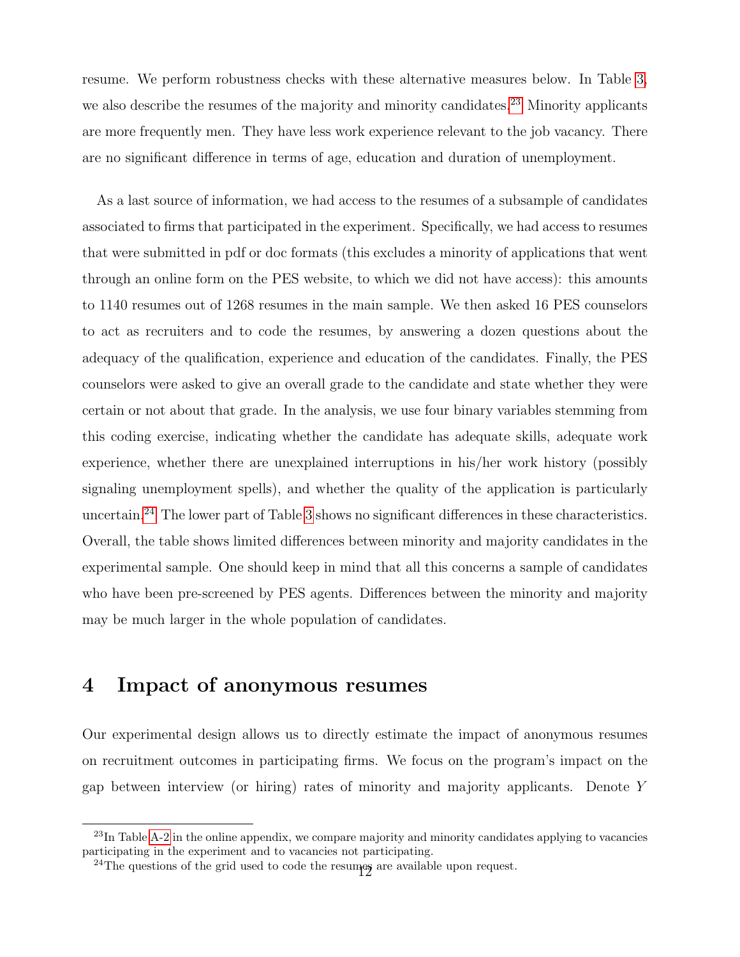resume. We perform robustness checks with these alternative measures below. In Table [3,](#page-35-0) we also describe the resumes of the majority and minority candidates.<sup>[23](#page--1-0)</sup> Minority applicants are more frequently men. They have less work experience relevant to the job vacancy. There are no significant difference in terms of age, education and duration of unemployment.

As a last source of information, we had access to the resumes of a subsample of candidates associated to firms that participated in the experiment. Specifically, we had access to resumes that were submitted in pdf or doc formats (this excludes a minority of applications that went through an online form on the PES website, to which we did not have access): this amounts to 1140 resumes out of 1268 resumes in the main sample. We then asked 16 PES counselors to act as recruiters and to code the resumes, by answering a dozen questions about the adequacy of the qualification, experience and education of the candidates. Finally, the PES counselors were asked to give an overall grade to the candidate and state whether they were certain or not about that grade. In the analysis, we use four binary variables stemming from this coding exercise, indicating whether the candidate has adequate skills, adequate work experience, whether there are unexplained interruptions in his/her work history (possibly signaling unemployment spells), and whether the quality of the application is particularly uncertain.[24](#page--1-0) The lower part of Table [3](#page-35-0) shows no significant differences in these characteristics. Overall, the table shows limited differences between minority and majority candidates in the experimental sample. One should keep in mind that all this concerns a sample of candidates who have been pre-screened by PES agents. Differences between the minority and majority may be much larger in the whole population of candidates.

## 4 Impact of anonymous resumes

Our experimental design allows us to directly estimate the impact of anonymous resumes on recruitment outcomes in participating firms. We focus on the program's impact on the gap between interview (or hiring) rates of minority and majority applicants. Denote Y

<sup>&</sup>lt;sup>23</sup>In Table [A-2](#page-34-0) in the online appendix, we compare majority and minority candidates applying to vacancies participating in the experiment and to vacancies not participating.

 $24$ The questions of the grid used to code the resumes are available upon request.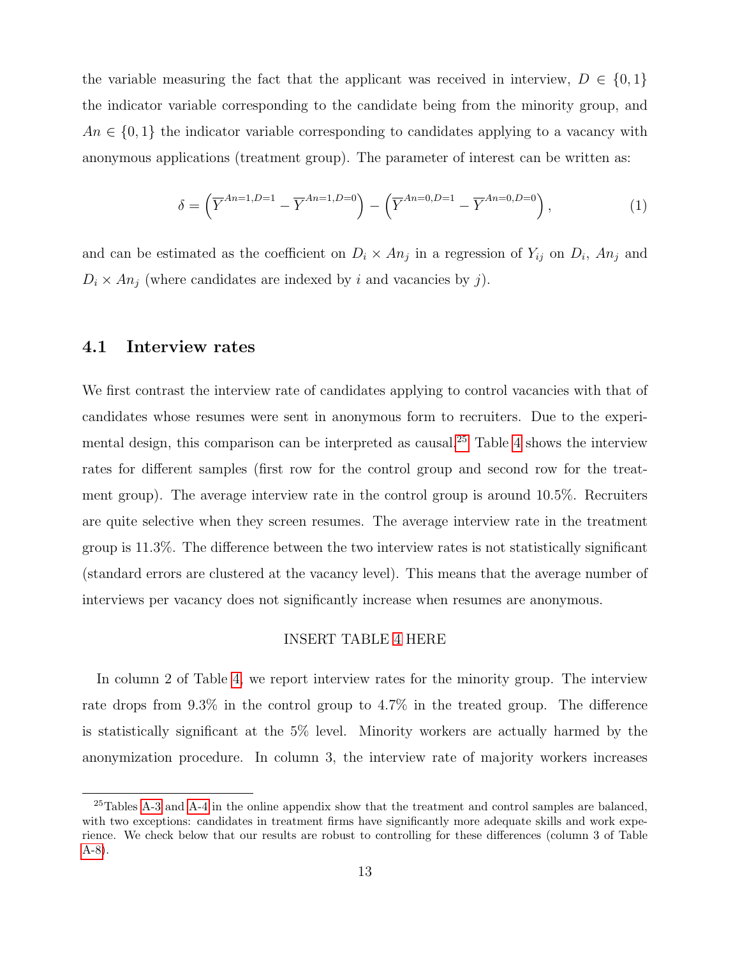the variable measuring the fact that the applicant was received in interview,  $D \in \{0,1\}$ the indicator variable corresponding to the candidate being from the minority group, and  $An \in \{0,1\}$  the indicator variable corresponding to candidates applying to a vacancy with anonymous applications (treatment group). The parameter of interest can be written as:

$$
\delta = \left(\overline{Y}^{An=1, D=1} - \overline{Y}^{An=1, D=0}\right) - \left(\overline{Y}^{An=0, D=1} - \overline{Y}^{An=0, D=0}\right),\tag{1}
$$

and can be estimated as the coefficient on  $D_i \times An_j$  in a regression of  $Y_{ij}$  on  $D_i$ ,  $An_j$  and  $D_i \times An_j$  (where candidates are indexed by i and vacancies by j).

#### 4.1 Interview rates

We first contrast the interview rate of candidates applying to control vacancies with that of candidates whose resumes were sent in anonymous form to recruiters. Due to the experimental design, this comparison can be interpreted as causal.[25](#page--1-0) Table [4](#page-36-0) shows the interview rates for different samples (first row for the control group and second row for the treatment group). The average interview rate in the control group is around 10.5%. Recruiters are quite selective when they screen resumes. The average interview rate in the treatment group is 11.3%. The difference between the two interview rates is not statistically significant (standard errors are clustered at the vacancy level). This means that the average number of interviews per vacancy does not significantly increase when resumes are anonymous.

#### INSERT TABLE [4](#page-36-0) HERE

In column 2 of Table [4,](#page-36-0) we report interview rates for the minority group. The interview rate drops from 9.3% in the control group to 4.7% in the treated group. The difference is statistically significant at the 5% level. Minority workers are actually harmed by the anonymization procedure. In column 3, the interview rate of majority workers increases

<sup>&</sup>lt;sup>25</sup>Tables [A-3](#page-35-0) and [A-4](#page-36-0) in the online appendix show that the treatment and control samples are balanced, with two exceptions: candidates in treatment firms have significantly more adequate skills and work experience. We check below that our results are robust to controlling for these differences (column 3 of Table [A-8\)](#page-40-0).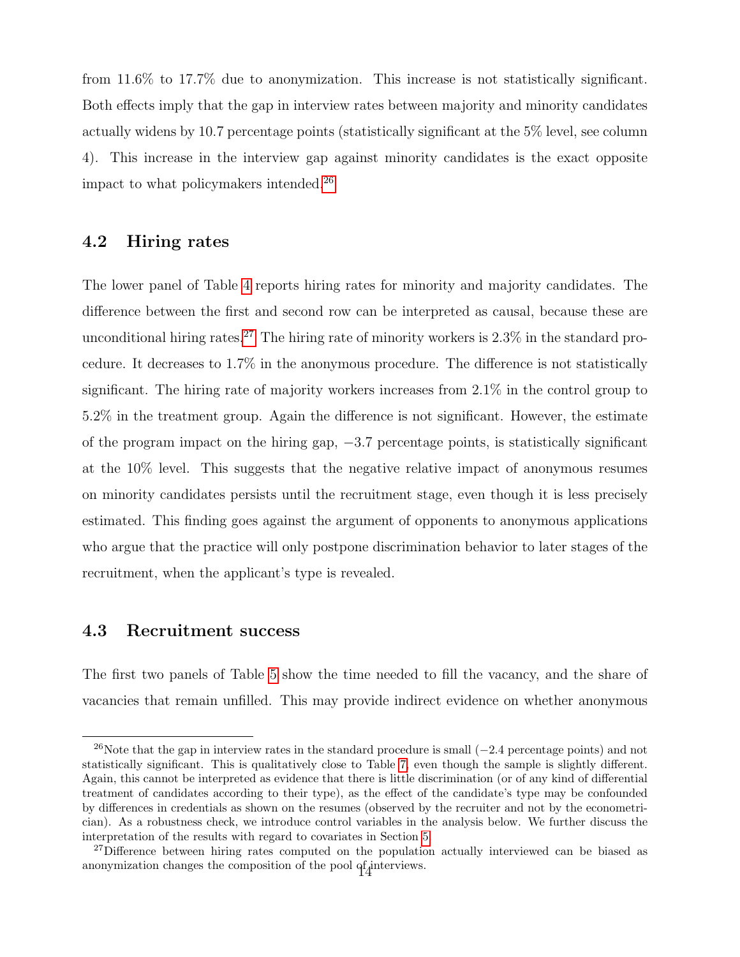from 11.6% to 17.7% due to anonymization. This increase is not statistically significant. Both effects imply that the gap in interview rates between majority and minority candidates actually widens by 10.7 percentage points (statistically significant at the 5% level, see column 4). This increase in the interview gap against minority candidates is the exact opposite impact to what policymakers intended.[26](#page--1-0)

#### 4.2 Hiring rates

The lower panel of Table [4](#page-36-0) reports hiring rates for minority and majority candidates. The difference between the first and second row can be interpreted as causal, because these are unconditional hiring rates.<sup>[27](#page--1-0)</sup> The hiring rate of minority workers is  $2.3\%$  in the standard procedure. It decreases to 1.7% in the anonymous procedure. The difference is not statistically significant. The hiring rate of majority workers increases from 2.1% in the control group to 5.2% in the treatment group. Again the difference is not significant. However, the estimate of the program impact on the hiring gap, −3.7 percentage points, is statistically significant at the 10% level. This suggests that the negative relative impact of anonymous resumes on minority candidates persists until the recruitment stage, even though it is less precisely estimated. This finding goes against the argument of opponents to anonymous applications who argue that the practice will only postpone discrimination behavior to later stages of the recruitment, when the applicant's type is revealed.

#### 4.3 Recruitment success

The first two panels of Table [5](#page-37-0) show the time needed to fill the vacancy, and the share of vacancies that remain unfilled. This may provide indirect evidence on whether anonymous

<sup>&</sup>lt;sup>26</sup>Note that the gap in interview rates in the standard procedure is small  $(-2.4$  percentage points) and not statistically significant. This is qualitatively close to Table [7,](#page-39-0) even though the sample is slightly different. Again, this cannot be interpreted as evidence that there is little discrimination (or of any kind of differential treatment of candidates according to their type), as the effect of the candidate's type may be confounded by differences in credentials as shown on the resumes (observed by the recruiter and not by the econometrician). As a robustness check, we introduce control variables in the analysis below. We further discuss the interpretation of the results with regard to covariates in Section [5.](#page-20-1)

<sup>&</sup>lt;sup>27</sup>Difference between hiring rates computed on the population actually interviewed can be biased as anonymization changes the composition of the pool  $qf$  interviews.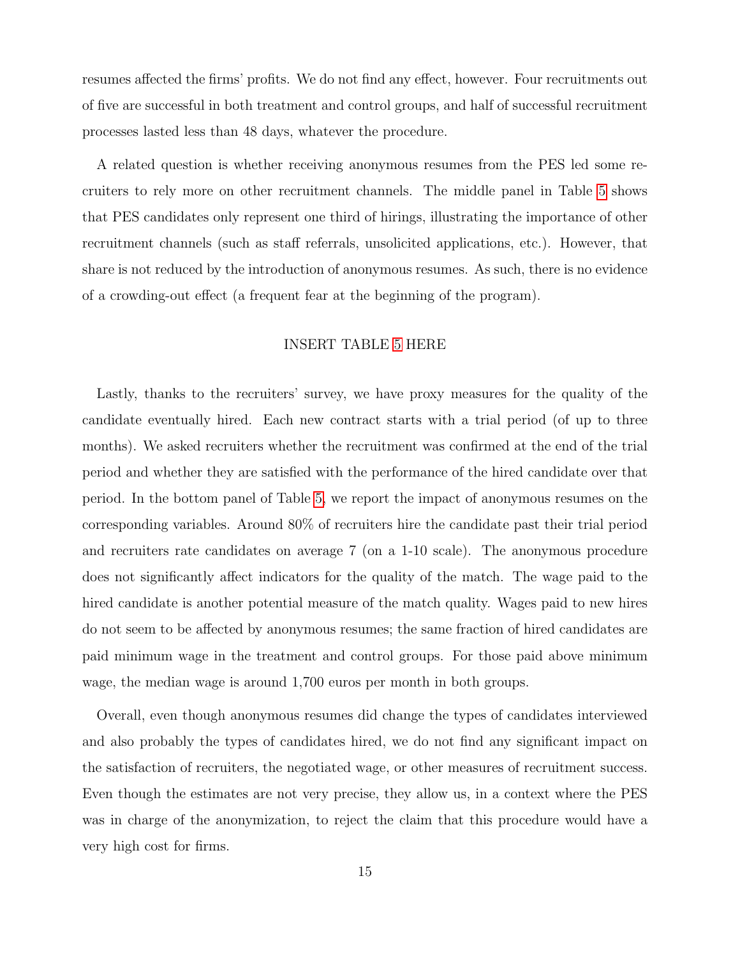resumes affected the firms' profits. We do not find any effect, however. Four recruitments out of five are successful in both treatment and control groups, and half of successful recruitment processes lasted less than 48 days, whatever the procedure.

A related question is whether receiving anonymous resumes from the PES led some recruiters to rely more on other recruitment channels. The middle panel in Table [5](#page-37-0) shows that PES candidates only represent one third of hirings, illustrating the importance of other recruitment channels (such as staff referrals, unsolicited applications, etc.). However, that share is not reduced by the introduction of anonymous resumes. As such, there is no evidence of a crowding-out effect (a frequent fear at the beginning of the program).

#### INSERT TABLE [5](#page-37-0) HERE

Lastly, thanks to the recruiters' survey, we have proxy measures for the quality of the candidate eventually hired. Each new contract starts with a trial period (of up to three months). We asked recruiters whether the recruitment was confirmed at the end of the trial period and whether they are satisfied with the performance of the hired candidate over that period. In the bottom panel of Table [5,](#page-37-0) we report the impact of anonymous resumes on the corresponding variables. Around 80% of recruiters hire the candidate past their trial period and recruiters rate candidates on average 7 (on a 1-10 scale). The anonymous procedure does not significantly affect indicators for the quality of the match. The wage paid to the hired candidate is another potential measure of the match quality. Wages paid to new hires do not seem to be affected by anonymous resumes; the same fraction of hired candidates are paid minimum wage in the treatment and control groups. For those paid above minimum wage, the median wage is around 1,700 euros per month in both groups.

Overall, even though anonymous resumes did change the types of candidates interviewed and also probably the types of candidates hired, we do not find any significant impact on the satisfaction of recruiters, the negotiated wage, or other measures of recruitment success. Even though the estimates are not very precise, they allow us, in a context where the PES was in charge of the anonymization, to reject the claim that this procedure would have a very high cost for firms.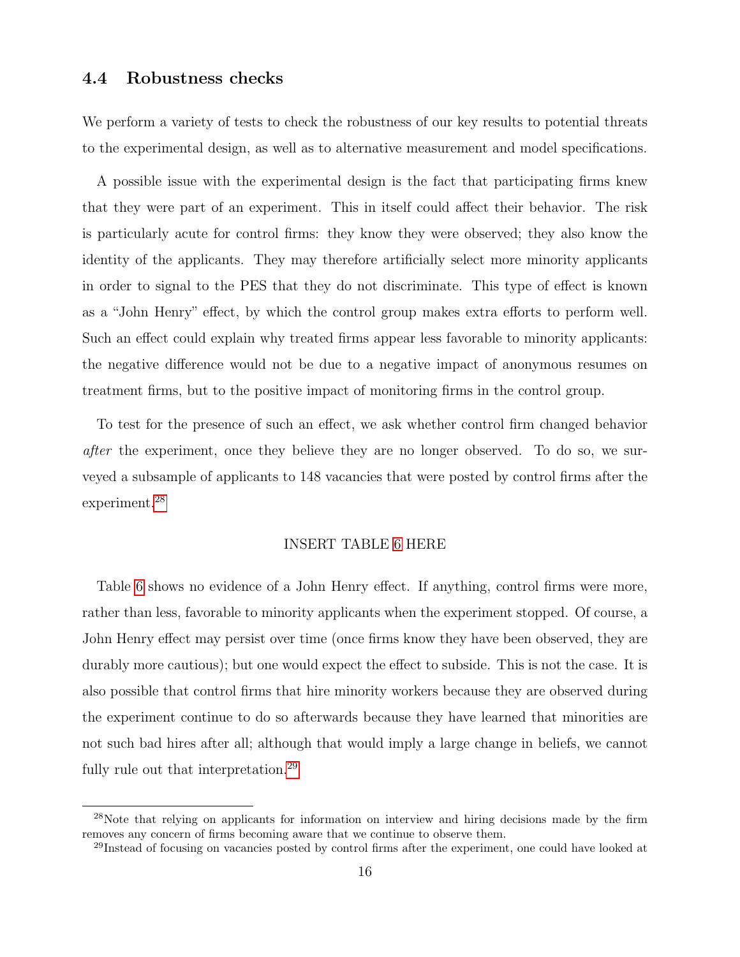#### 4.4 Robustness checks

We perform a variety of tests to check the robustness of our key results to potential threats to the experimental design, as well as to alternative measurement and model specifications.

A possible issue with the experimental design is the fact that participating firms knew that they were part of an experiment. This in itself could affect their behavior. The risk is particularly acute for control firms: they know they were observed; they also know the identity of the applicants. They may therefore artificially select more minority applicants in order to signal to the PES that they do not discriminate. This type of effect is known as a "John Henry" effect, by which the control group makes extra efforts to perform well. Such an effect could explain why treated firms appear less favorable to minority applicants: the negative difference would not be due to a negative impact of anonymous resumes on treatment firms, but to the positive impact of monitoring firms in the control group.

To test for the presence of such an effect, we ask whether control firm changed behavior *after* the experiment, once they believe they are no longer observed. To do so, we surveyed a subsample of applicants to 148 vacancies that were posted by control firms after the experiment.<sup>[28](#page--1-0)</sup>

#### INSERT TABLE [6](#page-38-0) HERE

Table [6](#page-38-0) shows no evidence of a John Henry effect. If anything, control firms were more, rather than less, favorable to minority applicants when the experiment stopped. Of course, a John Henry effect may persist over time (once firms know they have been observed, they are durably more cautious); but one would expect the effect to subside. This is not the case. It is also possible that control firms that hire minority workers because they are observed during the experiment continue to do so afterwards because they have learned that minorities are not such bad hires after all; although that would imply a large change in beliefs, we cannot fully rule out that interpretation.<sup>[29](#page--1-0)</sup>

<sup>&</sup>lt;sup>28</sup>Note that relying on applicants for information on interview and hiring decisions made by the firm removes any concern of firms becoming aware that we continue to observe them.

<sup>&</sup>lt;sup>29</sup>Instead of focusing on vacancies posted by control firms after the experiment, one could have looked at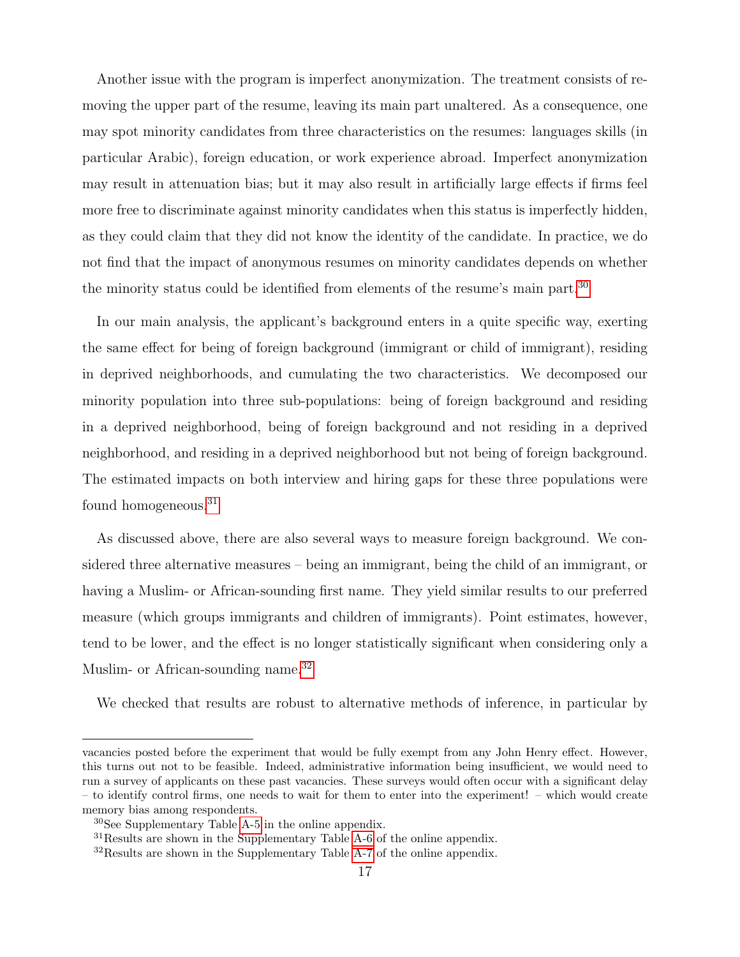Another issue with the program is imperfect anonymization. The treatment consists of removing the upper part of the resume, leaving its main part unaltered. As a consequence, one may spot minority candidates from three characteristics on the resumes: languages skills (in particular Arabic), foreign education, or work experience abroad. Imperfect anonymization may result in attenuation bias; but it may also result in artificially large effects if firms feel more free to discriminate against minority candidates when this status is imperfectly hidden, as they could claim that they did not know the identity of the candidate. In practice, we do not find that the impact of anonymous resumes on minority candidates depends on whether the minority status could be identified from elements of the resume's main part.<sup>[30](#page--1-0)</sup>

In our main analysis, the applicant's background enters in a quite specific way, exerting the same effect for being of foreign background (immigrant or child of immigrant), residing in deprived neighborhoods, and cumulating the two characteristics. We decomposed our minority population into three sub-populations: being of foreign background and residing in a deprived neighborhood, being of foreign background and not residing in a deprived neighborhood, and residing in a deprived neighborhood but not being of foreign background. The estimated impacts on both interview and hiring gaps for these three populations were found homogeneous.[31](#page--1-0)

As discussed above, there are also several ways to measure foreign background. We considered three alternative measures – being an immigrant, being the child of an immigrant, or having a Muslim- or African-sounding first name. They yield similar results to our preferred measure (which groups immigrants and children of immigrants). Point estimates, however, tend to be lower, and the effect is no longer statistically significant when considering only a Muslim- or African-sounding name.<sup>[32](#page--1-0)</sup>

We checked that results are robust to alternative methods of inference, in particular by

vacancies posted before the experiment that would be fully exempt from any John Henry effect. However, this turns out not to be feasible. Indeed, administrative information being insufficient, we would need to run a survey of applicants on these past vacancies. These surveys would often occur with a significant delay – to identify control firms, one needs to wait for them to enter into the experiment! – which would create memory bias among respondents.

<sup>30</sup>See Supplementary Table [A-5](#page-37-0) in the online appendix.

<sup>31</sup>Results are shown in the Supplementary Table [A-6](#page-38-0) of the online appendix.

<sup>&</sup>lt;sup>32</sup>Results are shown in the Supplementary Table [A-7](#page-39-0) of the online appendix.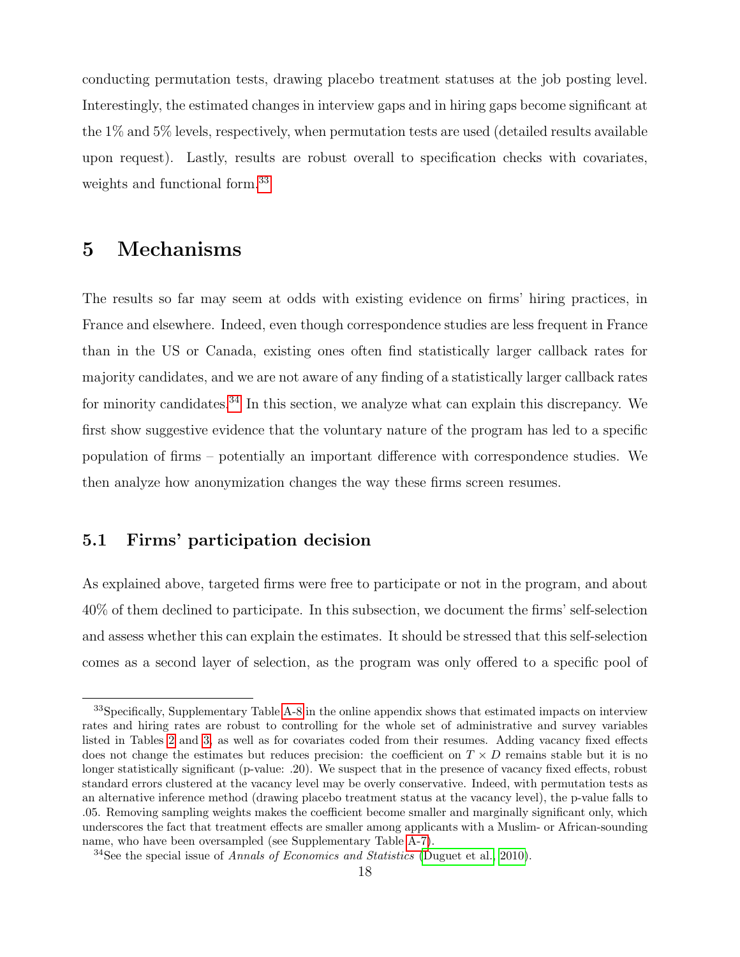conducting permutation tests, drawing placebo treatment statuses at the job posting level. Interestingly, the estimated changes in interview gaps and in hiring gaps become significant at the 1% and 5% levels, respectively, when permutation tests are used (detailed results available upon request). Lastly, results are robust overall to specification checks with covariates, weights and functional form.[33](#page--1-0)

## <span id="page-20-1"></span>5 Mechanisms

The results so far may seem at odds with existing evidence on firms' hiring practices, in France and elsewhere. Indeed, even though correspondence studies are less frequent in France than in the US or Canada, existing ones often find statistically larger callback rates for majority candidates, and we are not aware of any finding of a statistically larger callback rates for minority candidates.<sup>[34](#page--1-0)</sup> In this section, we analyze what can explain this discrepancy. We first show suggestive evidence that the voluntary nature of the program has led to a specific population of firms – potentially an important difference with correspondence studies. We then analyze how anonymization changes the way these firms screen resumes.

#### <span id="page-20-0"></span>5.1 Firms' participation decision

As explained above, targeted firms were free to participate or not in the program, and about 40% of them declined to participate. In this subsection, we document the firms' self-selection and assess whether this can explain the estimates. It should be stressed that this self-selection comes as a second layer of selection, as the program was only offered to a specific pool of

<sup>33</sup>Specifically, Supplementary Table [A-8](#page-40-0) in the online appendix shows that estimated impacts on interview rates and hiring rates are robust to controlling for the whole set of administrative and survey variables listed in Tables [2](#page-34-0) and [3,](#page-35-0) as well as for covariates coded from their resumes. Adding vacancy fixed effects does not change the estimates but reduces precision: the coefficient on  $T \times D$  remains stable but it is no longer statistically significant (p-value: .20). We suspect that in the presence of vacancy fixed effects, robust standard errors clustered at the vacancy level may be overly conservative. Indeed, with permutation tests as an alternative inference method (drawing placebo treatment status at the vacancy level), the p-value falls to .05. Removing sampling weights makes the coefficient become smaller and marginally significant only, which underscores the fact that treatment effects are smaller among applicants with a Muslim- or African-sounding name, who have been oversampled (see Supplementary Table [A-7\)](#page-39-0).

 $34$ See the special issue of Annals of Economics and Statistics [\(Duguet et al., 2010\)](#page-31-1).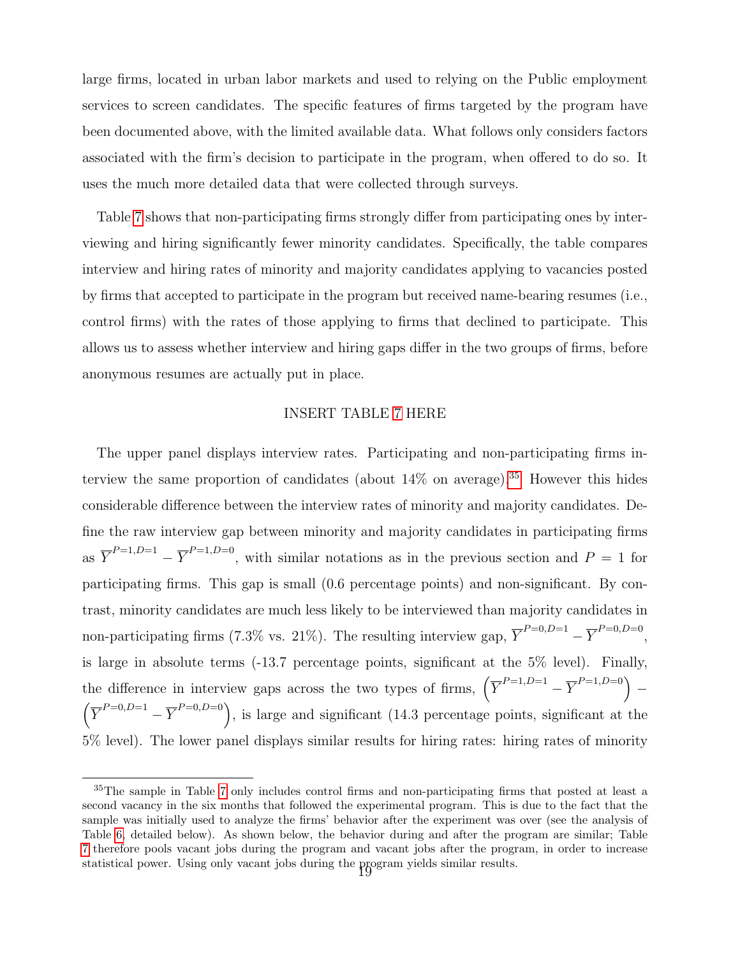large firms, located in urban labor markets and used to relying on the Public employment services to screen candidates. The specific features of firms targeted by the program have been documented above, with the limited available data. What follows only considers factors associated with the firm's decision to participate in the program, when offered to do so. It uses the much more detailed data that were collected through surveys.

Table [7](#page-39-0) shows that non-participating firms strongly differ from participating ones by interviewing and hiring significantly fewer minority candidates. Specifically, the table compares interview and hiring rates of minority and majority candidates applying to vacancies posted by firms that accepted to participate in the program but received name-bearing resumes (i.e., control firms) with the rates of those applying to firms that declined to participate. This allows us to assess whether interview and hiring gaps differ in the two groups of firms, before anonymous resumes are actually put in place.

#### INSERT TABLE [7](#page-39-0) HERE

The upper panel displays interview rates. Participating and non-participating firms interview the same proportion of candidates (about  $14\%$  on average).<sup>[35](#page--1-0)</sup> However this hides considerable difference between the interview rates of minority and majority candidates. Define the raw interview gap between minority and majority candidates in participating firms as  $\overline{Y}^{P=1,D=1} - \overline{Y}^{P=1,D=0}$ , with similar notations as in the previous section and  $P=1$  for participating firms. This gap is small (0.6 percentage points) and non-significant. By contrast, minority candidates are much less likely to be interviewed than majority candidates in non-participating firms (7.3% vs. 21%). The resulting interview gap,  $\overline{Y}^{P=0,D=1} - \overline{Y}^{P=0,D=0}$ , is large in absolute terms (-13.7 percentage points, significant at the 5% level). Finally, the difference in interview gaps across the two types of firms,  $(\overline{Y}^{P=1,D=1} - \overline{Y}^{P=1,D=0})$  $(\overline{Y}^{P=0,D=1}-\overline{Y}^{P=0,D=0})$ , is large and significant (14.3 percentage points, significant at the 5% level). The lower panel displays similar results for hiring rates: hiring rates of minority

<sup>&</sup>lt;sup>35</sup>The sample in Table [7](#page-39-0) only includes control firms and non-participating firms that posted at least a second vacancy in the six months that followed the experimental program. This is due to the fact that the sample was initially used to analyze the firms' behavior after the experiment was over (see the analysis of Table [6,](#page-38-0) detailed below). As shown below, the behavior during and after the program are similar; Table [7](#page-39-0) therefore pools vacant jobs during the program and vacant jobs after the program, in order to increase statistical power. Using only vacant jobs during the program yields similar results. <sup>19</sup>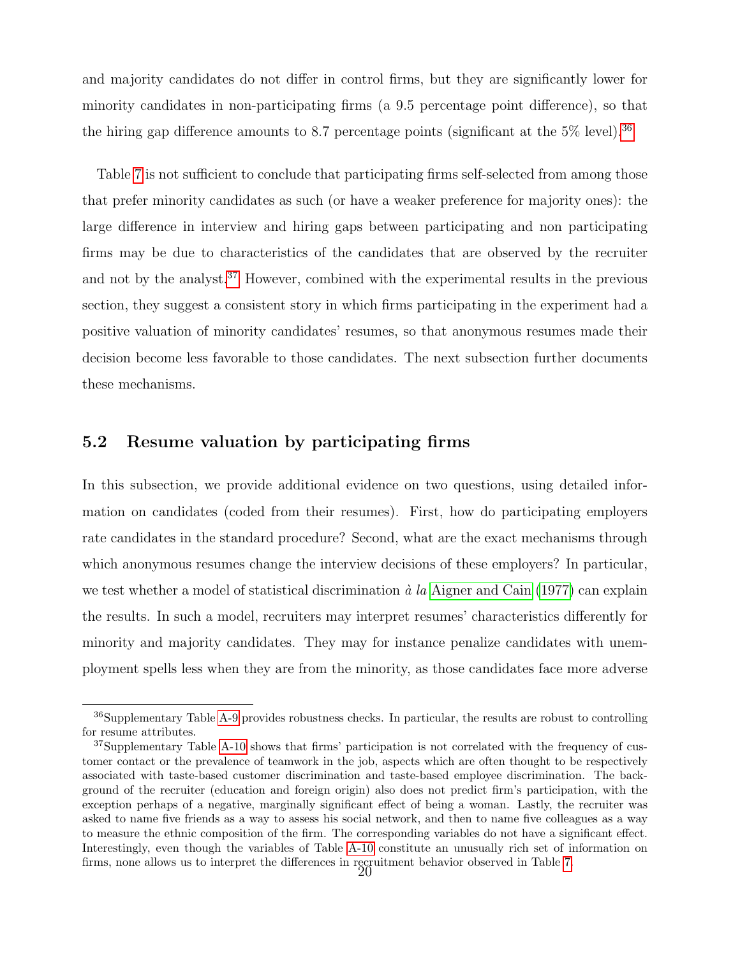and majority candidates do not differ in control firms, but they are significantly lower for minority candidates in non-participating firms (a 9.5 percentage point difference), so that the hiring gap difference amounts to 8.7 percentage points (significant at the  $5\%$  level).<sup>[36](#page--1-0)</sup>

Table [7](#page-39-0) is not sufficient to conclude that participating firms self-selected from among those that prefer minority candidates as such (or have a weaker preference for majority ones): the large difference in interview and hiring gaps between participating and non participating firms may be due to characteristics of the candidates that are observed by the recruiter and not by the analyst.<sup>[37](#page--1-0)</sup> However, combined with the experimental results in the previous section, they suggest a consistent story in which firms participating in the experiment had a positive valuation of minority candidates' resumes, so that anonymous resumes made their decision become less favorable to those candidates. The next subsection further documents these mechanisms.

#### 5.2 Resume valuation by participating firms

In this subsection, we provide additional evidence on two questions, using detailed information on candidates (coded from their resumes). First, how do participating employers rate candidates in the standard procedure? Second, what are the exact mechanisms through which anonymous resumes change the interview decisions of these employers? In particular, we test whether a model of statistical discrimination  $\dot{a}$  la [Aigner and Cain](#page-31-6) [\(1977\)](#page-31-6) can explain the results. In such a model, recruiters may interpret resumes' characteristics differently for minority and majority candidates. They may for instance penalize candidates with unemployment spells less when they are from the minority, as those candidates face more adverse

<sup>&</sup>lt;sup>36</sup>Supplementary Table [A-9](#page-41-0) provides robustness checks. In particular, the results are robust to controlling for resume attributes.

<sup>&</sup>lt;sup>37</sup>Supplementary Table [A-10](#page-53-0) shows that firms' participation is not correlated with the frequency of customer contact or the prevalence of teamwork in the job, aspects which are often thought to be respectively associated with taste-based customer discrimination and taste-based employee discrimination. The background of the recruiter (education and foreign origin) also does not predict firm's participation, with the exception perhaps of a negative, marginally significant effect of being a woman. Lastly, the recruiter was asked to name five friends as a way to assess his social network, and then to name five colleagues as a way to measure the ethnic composition of the firm. The corresponding variables do not have a significant effect. Interestingly, even though the variables of Table [A-10](#page-53-0) constitute an unusually rich set of information on firms, none allows us to interpret the differences in recruitment behavior observed in Table [7.](#page-39-0)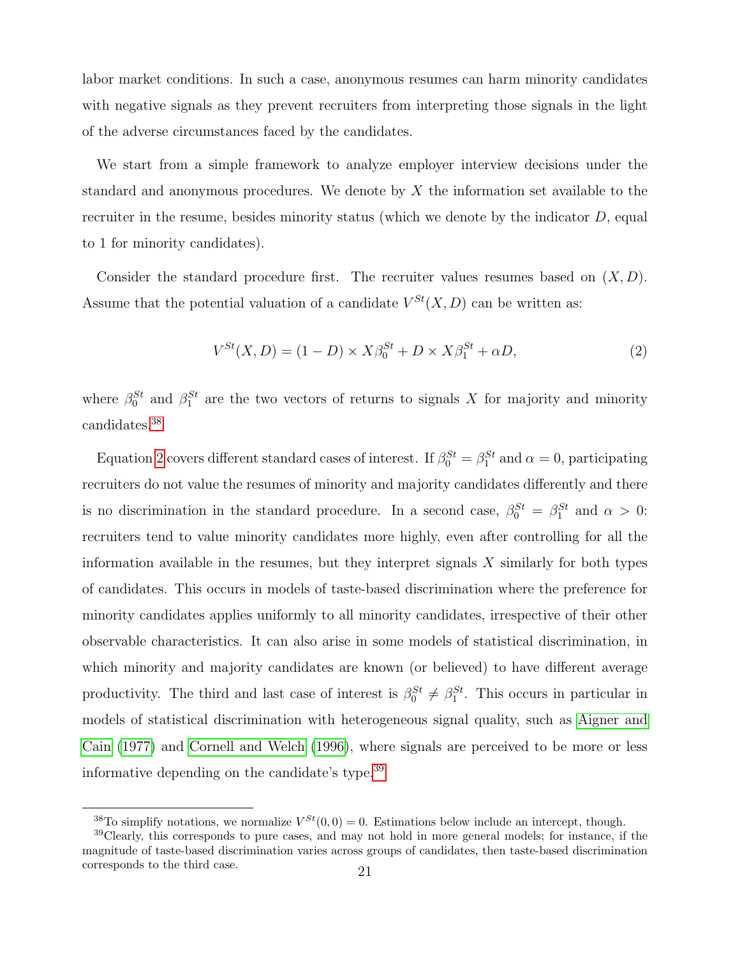labor market conditions. In such a case, anonymous resumes can harm minority candidates with negative signals as they prevent recruiters from interpreting those signals in the light of the adverse circumstances faced by the candidates.

We start from a simple framework to analyze employer interview decisions under the standard and anonymous procedures. We denote by X the information set available to the recruiter in the resume, besides minority status (which we denote by the indicator  $D$ , equal to 1 for minority candidates).

Consider the standard procedure first. The recruiter values resumes based on  $(X, D)$ . Assume that the potential valuation of a candidate  $V^{St}(X, D)$  can be written as:

<span id="page-23-0"></span>
$$
V^{St}(X,D) = (1-D) \times X\beta_0^{St} + D \times X\beta_1^{St} + \alpha D,\tag{2}
$$

where  $\beta_0^{St}$  and  $\beta_1^{St}$  are the two vectors of returns to signals X for majority and minority candidates.[38](#page--1-0)

Equation [2](#page-23-0) covers different standard cases of interest. If  $\beta_0^{St} = \beta_1^{St}$  and  $\alpha = 0$ , participating recruiters do not value the resumes of minority and majority candidates differently and there is no discrimination in the standard procedure. In a second case,  $\beta_0^{St} = \beta_1^{St}$  and  $\alpha > 0$ : recruiters tend to value minority candidates more highly, even after controlling for all the information available in the resumes, but they interpret signals  $X$  similarly for both types of candidates. This occurs in models of taste-based discrimination where the preference for minority candidates applies uniformly to all minority candidates, irrespective of their other observable characteristics. It can also arise in some models of statistical discrimination, in which minority and majority candidates are known (or believed) to have different average productivity. The third and last case of interest is  $\beta_0^{St} \neq \beta_1^{St}$ . This occurs in particular in models of statistical discrimination with heterogeneous signal quality, such as [Aigner and](#page-31-6) [Cain](#page-31-6) [\(1977\)](#page-31-6) and [Cornell and Welch](#page-31-10) [\(1996\)](#page-31-10), where signals are perceived to be more or less informative depending on the candidate's type.[39](#page--1-0)

<sup>&</sup>lt;sup>38</sup>To simplify notations, we normalize  $V^{St}(0,0) = 0$ . Estimations below include an intercept, though.

<sup>39</sup>Clearly, this corresponds to pure cases, and may not hold in more general models; for instance, if the magnitude of taste-based discrimination varies across groups of candidates, then taste-based discrimination corresponds to the third case. 21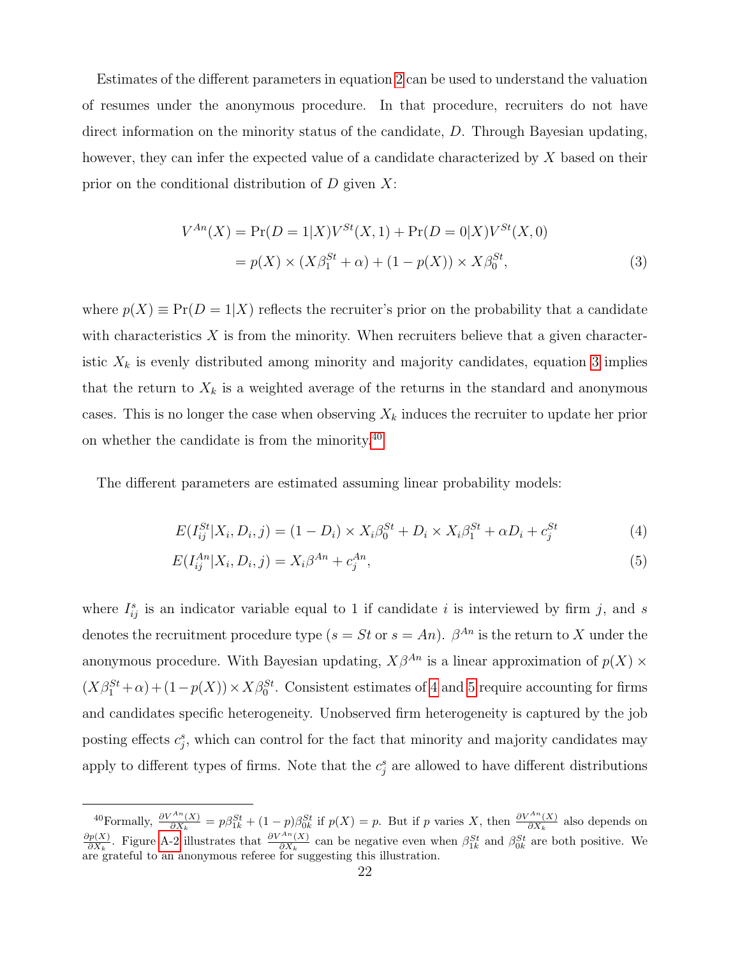Estimates of the different parameters in equation [2](#page-23-0) can be used to understand the valuation of resumes under the anonymous procedure. In that procedure, recruiters do not have direct information on the minority status of the candidate, D. Through Bayesian updating, however, they can infer the expected value of a candidate characterized by X based on their prior on the conditional distribution of  $D$  given  $X$ :

<span id="page-24-0"></span>
$$
V^{An}(X) = \Pr(D = 1|X)V^{St}(X, 1) + \Pr(D = 0|X)V^{St}(X, 0)
$$
  
=  $p(X) \times (X\beta_1^{St} + \alpha) + (1 - p(X)) \times X\beta_0^{St},$  (3)

where  $p(X) \equiv Pr(D = 1|X)$  reflects the recruiter's prior on the probability that a candidate with characteristics  $X$  is from the minority. When recruiters believe that a given characteristic  $X_k$  is evenly distributed among minority and majority candidates, equation [3](#page-24-0) implies that the return to  $X_k$  is a weighted average of the returns in the standard and anonymous cases. This is no longer the case when observing  $X_k$  induces the recruiter to update her prior on whether the candidate is from the minority.[40](#page--1-0)

The different parameters are estimated assuming linear probability models:

<span id="page-24-2"></span><span id="page-24-1"></span>
$$
E(I_{ij}^{St}|X_i, D_i, j) = (1 - D_i) \times X_i \beta_0^{St} + D_i \times X_i \beta_1^{St} + \alpha D_i + c_j^{St}
$$
(4)

$$
E(I_{ij}^{An}|X_i, D_i, j) = X_i \beta^{An} + c_j^{An},
$$
\n(5)

where  $I_{ij}^s$  is an indicator variable equal to 1 if candidate i is interviewed by firm j, and s denotes the recruitment procedure type  $(s = St \text{ or } s = An)$ .  $\beta^{An}$  is the return to X under the anonymous procedure. With Bayesian updating,  $X\beta^{An}$  is a linear approximation of  $p(X)$  ×  $(X\beta_1^{St} + \alpha) + (1 - p(X)) \times X\beta_0^{St}$ . Consistent estimates of [4](#page-24-1) and [5](#page-24-2) require accounting for firms and candidates specific heterogeneity. Unobserved firm heterogeneity is captured by the job posting effects  $c_j^s$ , which can control for the fact that minority and majority candidates may apply to different types of firms. Note that the  $c_j^s$  are allowed to have different distributions

<sup>&</sup>lt;sup>40</sup>Formally,  $\frac{\partial V^{An}(X)}{\partial X_k} = p\beta_{1k}^{St} + (1-p)\beta_{0k}^{St}$  if  $p(X) = p$ . But if p varies X, then  $\frac{\partial V^{An}(X)}{\partial X_k}$  also depends on  $\partial p(X)$  $\frac{\partial p(X)}{\partial X_k}$ . Figure [A-2](#page-43-0) illustrates that  $\frac{\partial V^{An}(X)}{\partial X_k}$  can be negative even when  $\beta_{1k}^{St}$  and  $\beta_{0k}^{St}$  are both positive. We are grateful to an anonymous referee for suggesting this illustration.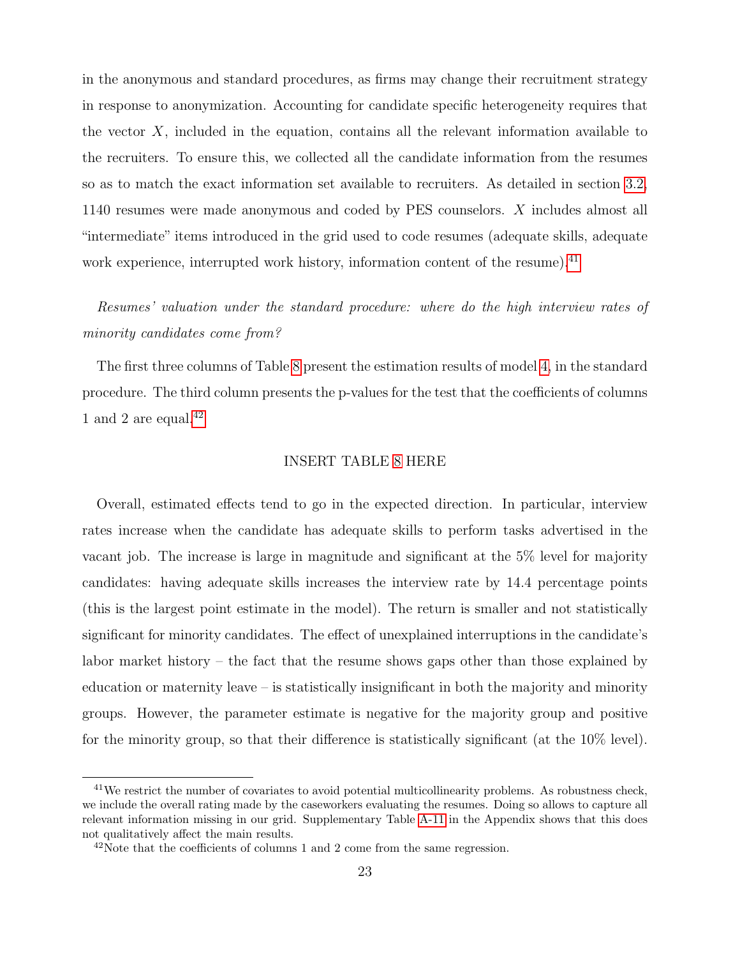in the anonymous and standard procedures, as firms may change their recruitment strategy in response to anonymization. Accounting for candidate specific heterogeneity requires that the vector  $X$ , included in the equation, contains all the relevant information available to the recruiters. To ensure this, we collected all the candidate information from the resumes so as to match the exact information set available to recruiters. As detailed in section [3.2,](#page-10-0) 1140 resumes were made anonymous and coded by PES counselors. X includes almost all "intermediate" items introduced in the grid used to code resumes (adequate skills, adequate work experience, interrupted work history, information content of the resume).<sup>[41](#page--1-0)</sup>

## Resumes' valuation under the standard procedure: where do the high interview rates of minority candidates come from?

The first three columns of Table [8](#page-40-0) present the estimation results of model [4,](#page-24-1) in the standard procedure. The third column presents the p-values for the test that the coefficients of columns 1 and 2 are equal. $42$ 

#### INSERT TABLE [8](#page-40-0) HERE

Overall, estimated effects tend to go in the expected direction. In particular, interview rates increase when the candidate has adequate skills to perform tasks advertised in the vacant job. The increase is large in magnitude and significant at the 5% level for majority candidates: having adequate skills increases the interview rate by 14.4 percentage points (this is the largest point estimate in the model). The return is smaller and not statistically significant for minority candidates. The effect of unexplained interruptions in the candidate's labor market history – the fact that the resume shows gaps other than those explained by education or maternity leave – is statistically insignificant in both the majority and minority groups. However, the parameter estimate is negative for the majority group and positive for the minority group, so that their difference is statistically significant (at the 10% level).

<sup>&</sup>lt;sup>41</sup>We restrict the number of covariates to avoid potential multicollinearity problems. As robustness check, we include the overall rating made by the caseworkers evaluating the resumes. Doing so allows to capture all relevant information missing in our grid. Supplementary Table [A-11](#page-55-0) in the Appendix shows that this does not qualitatively affect the main results.

 $42$ Note that the coefficients of columns 1 and 2 come from the same regression.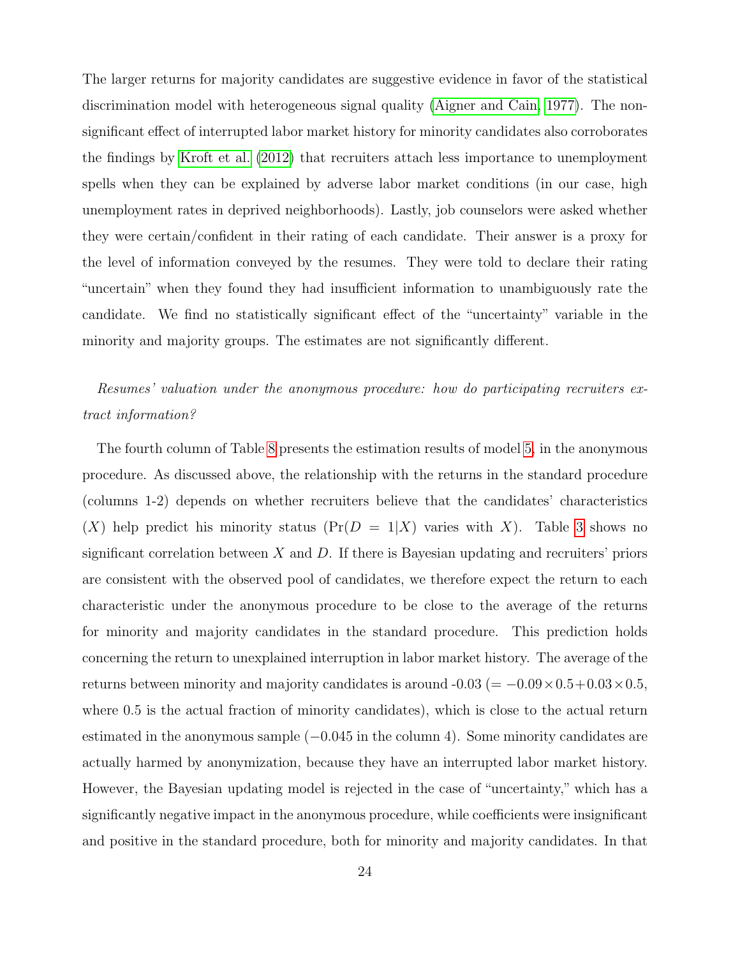The larger returns for majority candidates are suggestive evidence in favor of the statistical discrimination model with heterogeneous signal quality [\(Aigner and Cain, 1977\)](#page-31-6). The nonsignificant effect of interrupted labor market history for minority candidates also corroborates the findings by [Kroft et al.](#page-32-3) [\(2012\)](#page-32-3) that recruiters attach less importance to unemployment spells when they can be explained by adverse labor market conditions (in our case, high unemployment rates in deprived neighborhoods). Lastly, job counselors were asked whether they were certain/confident in their rating of each candidate. Their answer is a proxy for the level of information conveyed by the resumes. They were told to declare their rating "uncertain" when they found they had insufficient information to unambiguously rate the candidate. We find no statistically significant effect of the "uncertainty" variable in the minority and majority groups. The estimates are not significantly different.

### Resumes' valuation under the anonymous procedure: how do participating recruiters extract information?

The fourth column of Table [8](#page-40-0) presents the estimation results of model [5,](#page-24-2) in the anonymous procedure. As discussed above, the relationship with the returns in the standard procedure (columns 1-2) depends on whether recruiters believe that the candidates' characteristics  $(X)$  help predict his minority status  $(\Pr(D = 1 | X)$  varies with X). Table [3](#page-35-0) shows no significant correlation between  $X$  and  $D$ . If there is Bayesian updating and recruiters' priors are consistent with the observed pool of candidates, we therefore expect the return to each characteristic under the anonymous procedure to be close to the average of the returns for minority and majority candidates in the standard procedure. This prediction holds concerning the return to unexplained interruption in labor market history. The average of the returns between minority and majority candidates is around  $-0.03 (= -0.09 \times 0.5 + 0.03 \times 0.5,$ where  $0.5$  is the actual fraction of minority candidates), which is close to the actual return estimated in the anonymous sample  $(-0.045$  in the column 4). Some minority candidates are actually harmed by anonymization, because they have an interrupted labor market history. However, the Bayesian updating model is rejected in the case of "uncertainty," which has a significantly negative impact in the anonymous procedure, while coefficients were insignificant and positive in the standard procedure, both for minority and majority candidates. In that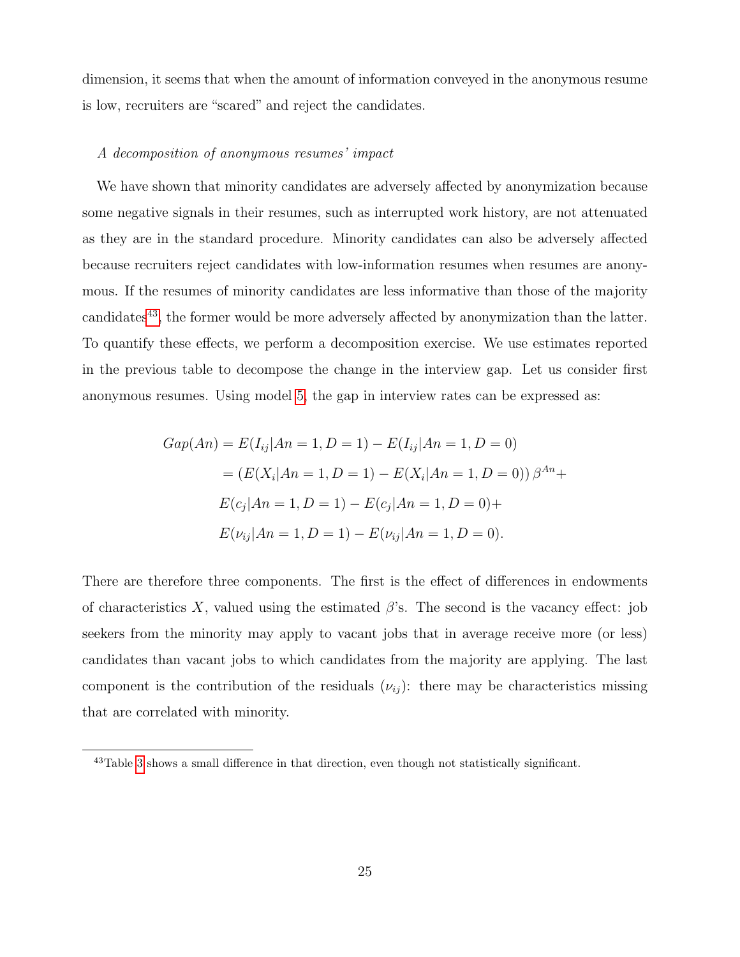dimension, it seems that when the amount of information conveyed in the anonymous resume is low, recruiters are "scared" and reject the candidates.

#### A decomposition of anonymous resumes' impact

We have shown that minority candidates are adversely affected by anonymization because some negative signals in their resumes, such as interrupted work history, are not attenuated as they are in the standard procedure. Minority candidates can also be adversely affected because recruiters reject candidates with low-information resumes when resumes are anonymous. If the resumes of minority candidates are less informative than those of the majority candidates<sup>[43](#page--1-0)</sup>, the former would be more adversely affected by anonymization than the latter. To quantify these effects, we perform a decomposition exercise. We use estimates reported in the previous table to decompose the change in the interview gap. Let us consider first anonymous resumes. Using model [5,](#page-24-2) the gap in interview rates can be expressed as:

$$
Gap(An) = E(I_{ij}|An = 1, D = 1) - E(I_{ij}|An = 1, D = 0)
$$

$$
= (E(X_i|An = 1, D = 1) - E(X_i|An = 1, D = 0)) \beta^{An} + E(c_j|An = 1, D = 1) - E(c_j|An = 1, D = 0) + E(\nu_{ij}|An = 1, D = 1) - E(\nu_{ij}|An = 1, D = 0).
$$

There are therefore three components. The first is the effect of differences in endowments of characteristics X, valued using the estimated  $\beta$ 's. The second is the vacancy effect: job seekers from the minority may apply to vacant jobs that in average receive more (or less) candidates than vacant jobs to which candidates from the majority are applying. The last component is the contribution of the residuals  $(\nu_{ij})$ : there may be characteristics missing that are correlated with minority.

<sup>43</sup>Table [3](#page-35-0) shows a small difference in that direction, even though not statistically significant.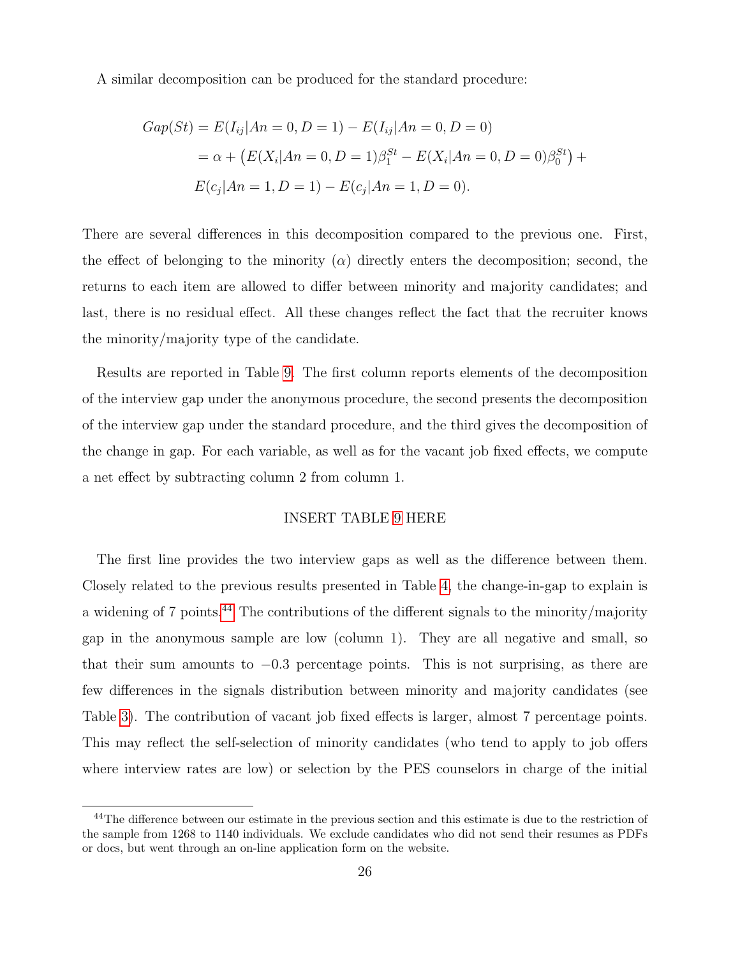A similar decomposition can be produced for the standard procedure:

$$
Gap(St) = E(I_{ij}|An = 0, D = 1) - E(I_{ij}|An = 0, D = 0)
$$
  
=  $\alpha + (E(X_i|An = 0, D = 1)\beta_1^{St} - E(X_i|An = 0, D = 0)\beta_0^{St}) + E(c_j|An = 1, D = 1) - E(c_j|An = 1, D = 0).$ 

There are several differences in this decomposition compared to the previous one. First, the effect of belonging to the minority  $(\alpha)$  directly enters the decomposition; second, the returns to each item are allowed to differ between minority and majority candidates; and last, there is no residual effect. All these changes reflect the fact that the recruiter knows the minority/majority type of the candidate.

Results are reported in Table [9.](#page-41-0) The first column reports elements of the decomposition of the interview gap under the anonymous procedure, the second presents the decomposition of the interview gap under the standard procedure, and the third gives the decomposition of the change in gap. For each variable, as well as for the vacant job fixed effects, we compute a net effect by subtracting column 2 from column 1.

#### INSERT TABLE [9](#page-41-0) HERE

The first line provides the two interview gaps as well as the difference between them. Closely related to the previous results presented in Table [4,](#page-36-0) the change-in-gap to explain is a widening of 7 points.<sup>[44](#page--1-0)</sup> The contributions of the different signals to the minority/majority gap in the anonymous sample are low (column 1). They are all negative and small, so that their sum amounts to  $-0.3$  percentage points. This is not surprising, as there are few differences in the signals distribution between minority and majority candidates (see Table [3\)](#page-35-0). The contribution of vacant job fixed effects is larger, almost 7 percentage points. This may reflect the self-selection of minority candidates (who tend to apply to job offers where interview rates are low) or selection by the PES counselors in charge of the initial

<sup>&</sup>lt;sup>44</sup>The difference between our estimate in the previous section and this estimate is due to the restriction of the sample from 1268 to 1140 individuals. We exclude candidates who did not send their resumes as PDFs or docs, but went through an on-line application form on the website.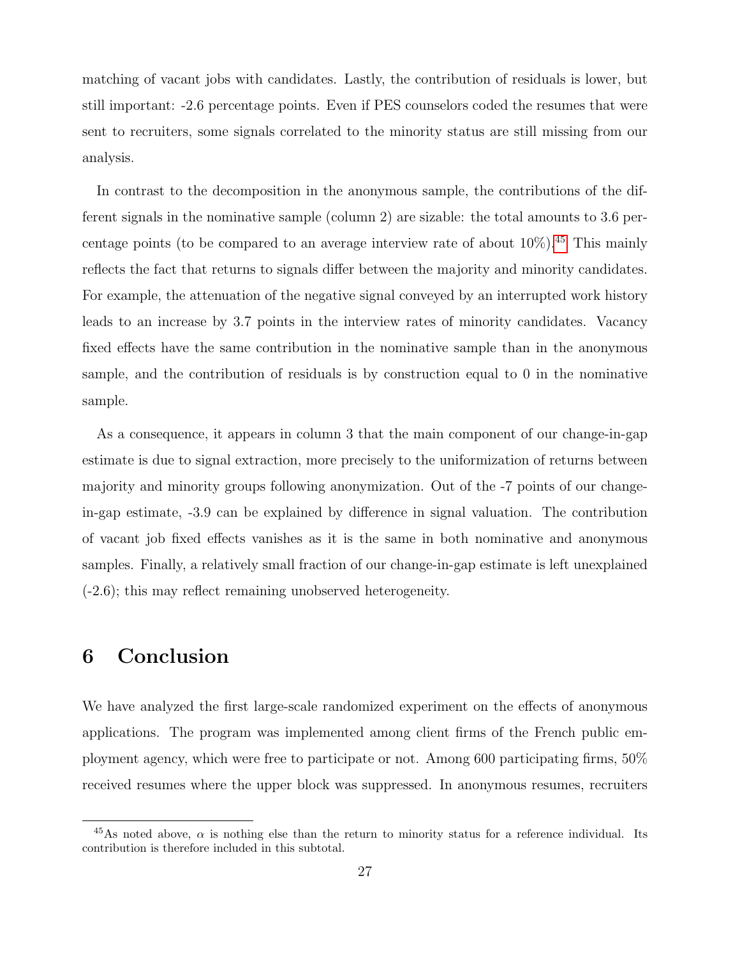matching of vacant jobs with candidates. Lastly, the contribution of residuals is lower, but still important: -2.6 percentage points. Even if PES counselors coded the resumes that were sent to recruiters, some signals correlated to the minority status are still missing from our analysis.

In contrast to the decomposition in the anonymous sample, the contributions of the different signals in the nominative sample (column 2) are sizable: the total amounts to 3.6 percentage points (to be compared to an average interview rate of about  $10\%$ ).<sup>[45](#page--1-0)</sup> This mainly reflects the fact that returns to signals differ between the majority and minority candidates. For example, the attenuation of the negative signal conveyed by an interrupted work history leads to an increase by 3.7 points in the interview rates of minority candidates. Vacancy fixed effects have the same contribution in the nominative sample than in the anonymous sample, and the contribution of residuals is by construction equal to 0 in the nominative sample.

As a consequence, it appears in column 3 that the main component of our change-in-gap estimate is due to signal extraction, more precisely to the uniformization of returns between majority and minority groups following anonymization. Out of the -7 points of our changein-gap estimate, -3.9 can be explained by difference in signal valuation. The contribution of vacant job fixed effects vanishes as it is the same in both nominative and anonymous samples. Finally, a relatively small fraction of our change-in-gap estimate is left unexplained (-2.6); this may reflect remaining unobserved heterogeneity.

## 6 Conclusion

We have analyzed the first large-scale randomized experiment on the effects of anonymous applications. The program was implemented among client firms of the French public employment agency, which were free to participate or not. Among 600 participating firms, 50% received resumes where the upper block was suppressed. In anonymous resumes, recruiters

<sup>&</sup>lt;sup>45</sup>As noted above,  $\alpha$  is nothing else than the return to minority status for a reference individual. Its contribution is therefore included in this subtotal.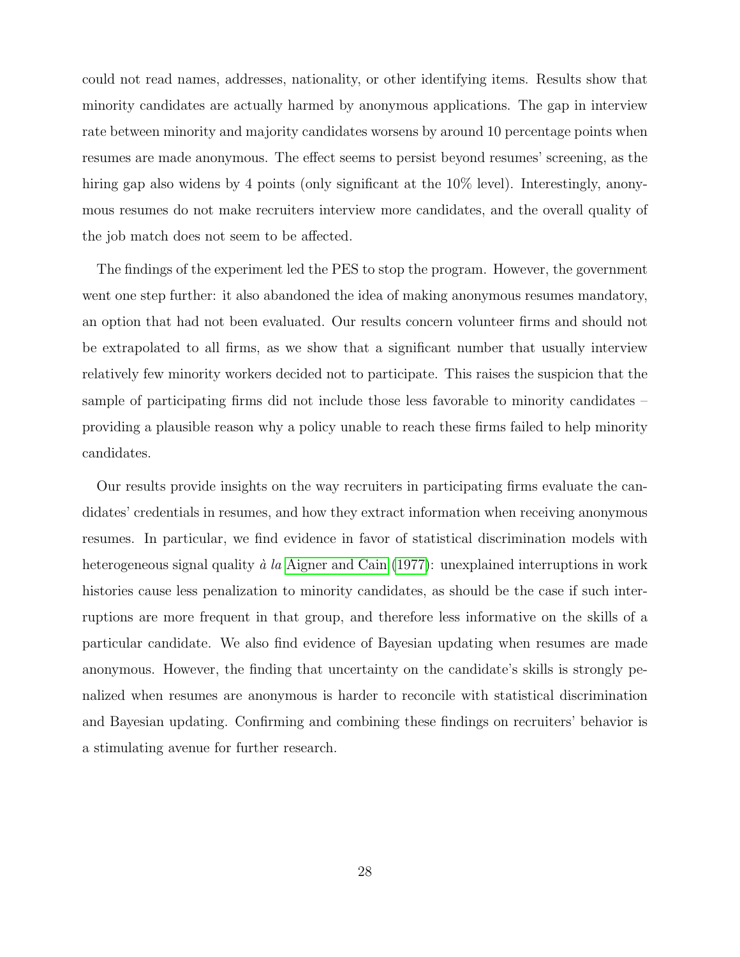could not read names, addresses, nationality, or other identifying items. Results show that minority candidates are actually harmed by anonymous applications. The gap in interview rate between minority and majority candidates worsens by around 10 percentage points when resumes are made anonymous. The effect seems to persist beyond resumes' screening, as the hiring gap also widens by 4 points (only significant at the  $10\%$  level). Interestingly, anonymous resumes do not make recruiters interview more candidates, and the overall quality of the job match does not seem to be affected.

The findings of the experiment led the PES to stop the program. However, the government went one step further: it also abandoned the idea of making anonymous resumes mandatory, an option that had not been evaluated. Our results concern volunteer firms and should not be extrapolated to all firms, as we show that a significant number that usually interview relatively few minority workers decided not to participate. This raises the suspicion that the sample of participating firms did not include those less favorable to minority candidates – providing a plausible reason why a policy unable to reach these firms failed to help minority candidates.

Our results provide insights on the way recruiters in participating firms evaluate the candidates' credentials in resumes, and how they extract information when receiving anonymous resumes. In particular, we find evidence in favor of statistical discrimination models with heterogeneous signal quality  $\dot{a}$  la [Aigner and Cain](#page-31-6) [\(1977\)](#page-31-6): unexplained interruptions in work histories cause less penalization to minority candidates, as should be the case if such interruptions are more frequent in that group, and therefore less informative on the skills of a particular candidate. We also find evidence of Bayesian updating when resumes are made anonymous. However, the finding that uncertainty on the candidate's skills is strongly penalized when resumes are anonymous is harder to reconcile with statistical discrimination and Bayesian updating. Confirming and combining these findings on recruiters' behavior is a stimulating avenue for further research.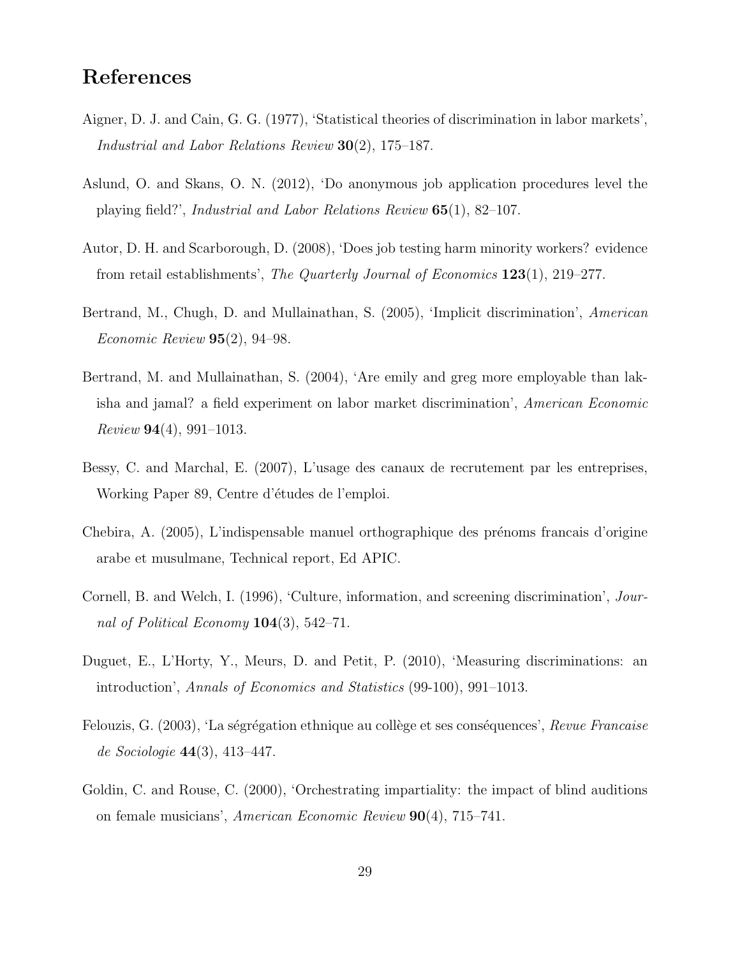## References

- <span id="page-31-6"></span>Aigner, D. J. and Cain, G. G. (1977), 'Statistical theories of discrimination in labor markets', Industrial and Labor Relations Review 30(2), 175–187.
- <span id="page-31-3"></span>Aslund, O. and Skans, O. N. (2012), 'Do anonymous job application procedures level the playing field?', Industrial and Labor Relations Review 65(1), 82–107.
- <span id="page-31-5"></span>Autor, D. H. and Scarborough, D. (2008), 'Does job testing harm minority workers? evidence from retail establishments', The Quarterly Journal of Economics 123(1), 219–277.
- <span id="page-31-4"></span>Bertrand, M., Chugh, D. and Mullainathan, S. (2005), 'Implicit discrimination', American Economic Review  $95(2)$ , 94–98.
- <span id="page-31-0"></span>Bertrand, M. and Mullainathan, S. (2004), 'Are emily and greg more employable than lakisha and jamal? a field experiment on labor market discrimination', American Economic  $Review 94(4), 991-1013.$
- <span id="page-31-7"></span>Bessy, C. and Marchal, E. (2007), L'usage des canaux de recrutement par les entreprises, Working Paper 89, Centre d'études de l'emploi.
- <span id="page-31-9"></span>Chebira, A. (2005), L'indispensable manuel orthographique des prénoms francais d'origine arabe et musulmane, Technical report, Ed APIC.
- <span id="page-31-10"></span>Cornell, B. and Welch, I. (1996), 'Culture, information, and screening discrimination', Journal of Political Economy  $104(3)$ , 542–71.
- <span id="page-31-1"></span>Duguet, E., L'Horty, Y., Meurs, D. and Petit, P. (2010), 'Measuring discriminations: an introduction', Annals of Economics and Statistics (99-100), 991–1013.
- <span id="page-31-8"></span>Felouzis, G. (2003), 'La ségrégation ethnique au collège et ses conséquences', Revue Francaise de Sociologie 44(3), 413–447.
- <span id="page-31-2"></span>Goldin, C. and Rouse, C. (2000), 'Orchestrating impartiality: the impact of blind auditions on female musicians', American Economic Review 90(4), 715–741.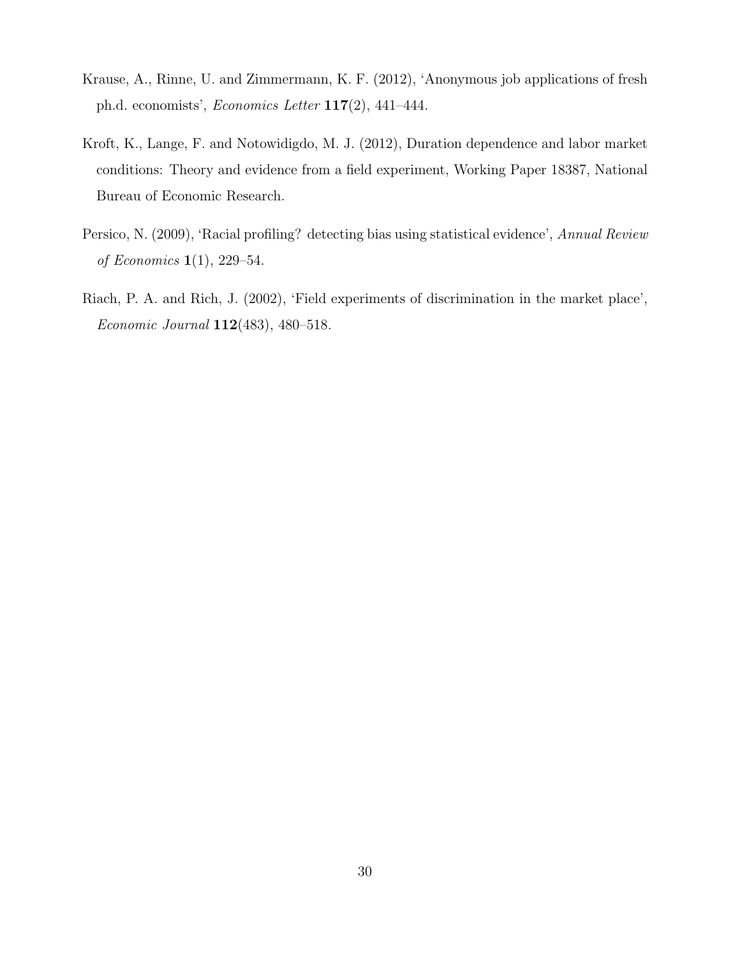- <span id="page-32-1"></span>Krause, A., Rinne, U. and Zimmermann, K. F. (2012), 'Anonymous job applications of fresh ph.d. economists', *Economics Letter*  $117(2)$ , 441–444.
- <span id="page-32-3"></span>Kroft, K., Lange, F. and Notowidigdo, M. J. (2012), Duration dependence and labor market conditions: Theory and evidence from a field experiment, Working Paper 18387, National Bureau of Economic Research.
- <span id="page-32-2"></span>Persico, N. (2009), 'Racial profiling? detecting bias using statistical evidence', Annual Review of Economics 1(1), 229–54.
- <span id="page-32-0"></span>Riach, P. A. and Rich, J. (2002), 'Field experiments of discrimination in the market place', Economic Journal 112(483), 480–518.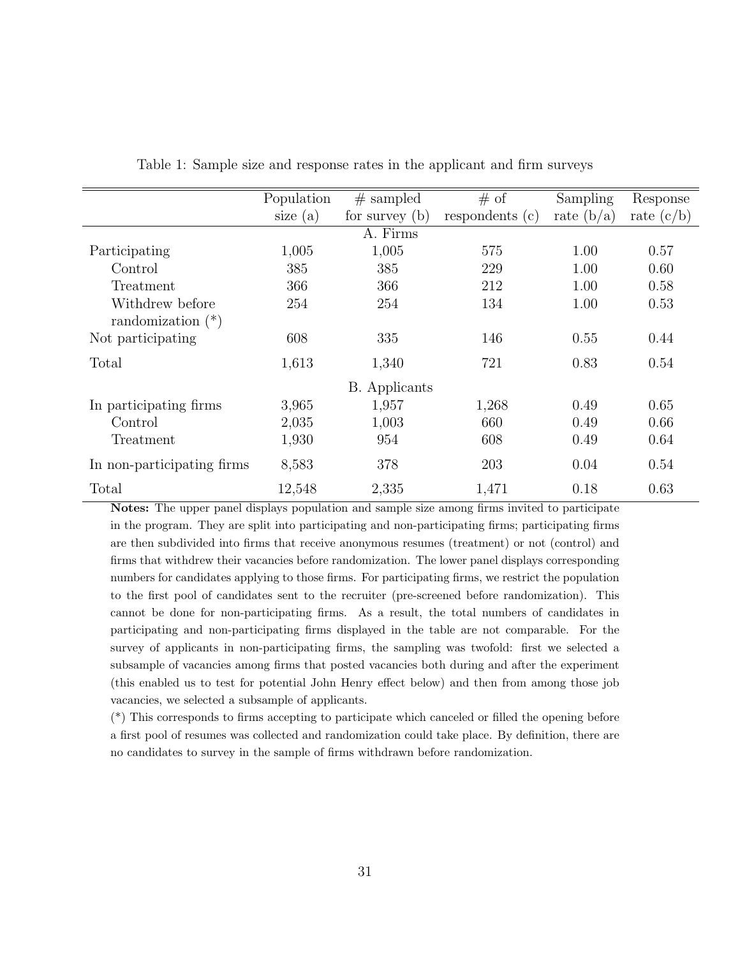|                            | Population                     | $#$ sampled          | # of            | Sampling     | Response     |  |  |  |
|----------------------------|--------------------------------|----------------------|-----------------|--------------|--------------|--|--|--|
|                            | size $(a)$<br>for survey $(b)$ |                      | respondents (c) | rate $(b/a)$ | rate $(c/b)$ |  |  |  |
| A. Firms                   |                                |                      |                 |              |              |  |  |  |
| Participating              | 1,005                          | 1,005                | 575             | 1.00         | 0.57         |  |  |  |
| Control                    | 385                            | 385                  | 229             | 1.00         | 0.60         |  |  |  |
| Treatment                  | 366                            | 366                  | 212             | 1.00         | 0.58         |  |  |  |
| Withdrew before            | 254                            | 254                  | 134             | 1.00         | 0.53         |  |  |  |
| randomization $(*)$        |                                |                      |                 |              |              |  |  |  |
| Not participating          | 608                            | 335                  | 146             | 0.55         | 0.44         |  |  |  |
| Total                      | 1,613                          | 1,340                | 721             | 0.83         | 0.54         |  |  |  |
|                            |                                | <b>B.</b> Applicants |                 |              |              |  |  |  |
| In participating firms     | 3,965                          | 1,957                | 1,268           | 0.49         | 0.65         |  |  |  |
| Control                    | 2,035                          | 1,003                | 660             | 0.49         | 0.66         |  |  |  |
| Treatment                  | 1,930                          | 954                  | 608             | 0.49         | 0.64         |  |  |  |
| In non-participating firms | 8,583                          | 378                  | 203             | 0.04         | 0.54         |  |  |  |
| Total                      | 12,548                         | 2,335                | 1,471           | 0.18         | 0.63         |  |  |  |

<span id="page-33-0"></span>Table 1: Sample size and response rates in the applicant and firm surveys

Notes: The upper panel displays population and sample size among firms invited to participate in the program. They are split into participating and non-participating firms; participating firms are then subdivided into firms that receive anonymous resumes (treatment) or not (control) and firms that withdrew their vacancies before randomization. The lower panel displays corresponding numbers for candidates applying to those firms. For participating firms, we restrict the population to the first pool of candidates sent to the recruiter (pre-screened before randomization). This cannot be done for non-participating firms. As a result, the total numbers of candidates in participating and non-participating firms displayed in the table are not comparable. For the survey of applicants in non-participating firms, the sampling was twofold: first we selected a subsample of vacancies among firms that posted vacancies both during and after the experiment (this enabled us to test for potential John Henry effect below) and then from among those job vacancies, we selected a subsample of applicants.

(\*) This corresponds to firms accepting to participate which canceled or filled the opening before a first pool of resumes was collected and randomization could take place. By definition, there are no candidates to survey in the sample of firms withdrawn before randomization.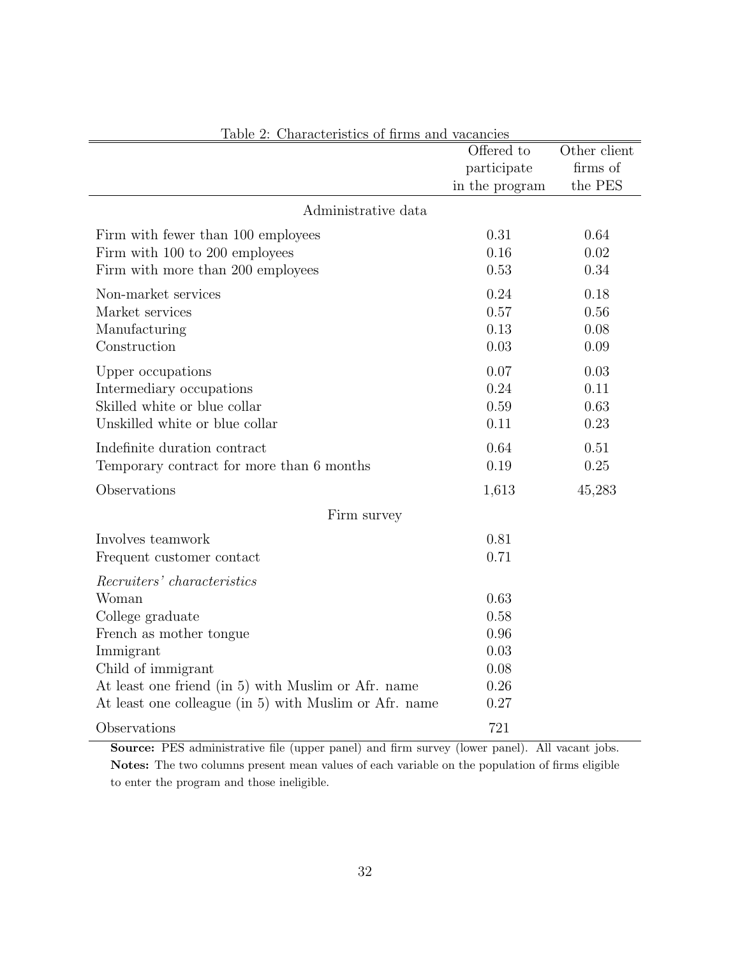| <u> Lable 2: Characteristics of firms and vacancies</u> | Offered to     | Other client |
|---------------------------------------------------------|----------------|--------------|
|                                                         | participate    | firms of     |
|                                                         | in the program | the PES      |
|                                                         |                |              |
| Administrative data                                     |                |              |
| Firm with fewer than 100 employees                      | 0.31           | 0.64         |
| Firm with 100 to 200 employees                          | 0.16           | 0.02         |
| Firm with more than 200 employees                       | 0.53           | 0.34         |
| Non-market services                                     | 0.24           | 0.18         |
| Market services                                         | 0.57           | 0.56         |
| Manufacturing                                           | 0.13           | 0.08         |
| Construction                                            | 0.03           | 0.09         |
| Upper occupations                                       | 0.07           | 0.03         |
| Intermediary occupations                                | 0.24           | 0.11         |
| Skilled white or blue collar                            | 0.59           | 0.63         |
| Unskilled white or blue collar                          | 0.11           | 0.23         |
| Indefinite duration contract                            | 0.64           | 0.51         |
| Temporary contract for more than 6 months               | 0.19           | 0.25         |
| Observations                                            | 1,613          | 45,283       |
| Firm survey                                             |                |              |
| Involves teamwork                                       | 0.81           |              |
| Frequent customer contact                               | 0.71           |              |
| Recruiters' characteristics                             |                |              |
| Woman                                                   | 0.63           |              |
| College graduate                                        | 0.58           |              |
| French as mother tongue                                 | 0.96           |              |
| Immigrant                                               | 0.03           |              |
| Child of immigrant                                      | 0.08           |              |
| At least one friend (in 5) with Muslim or Afr. name     | 0.26           |              |
| At least one colleague (in 5) with Muslim or Afr. name  | 0.27           |              |
| Observations                                            | 721            |              |

<span id="page-34-0"></span>Table 2: Characteristics of firms and vacancies

Source: PES administrative file (upper panel) and firm survey (lower panel). All vacant jobs. Notes: The two columns present mean values of each variable on the population of firms eligible to enter the program and those ineligible.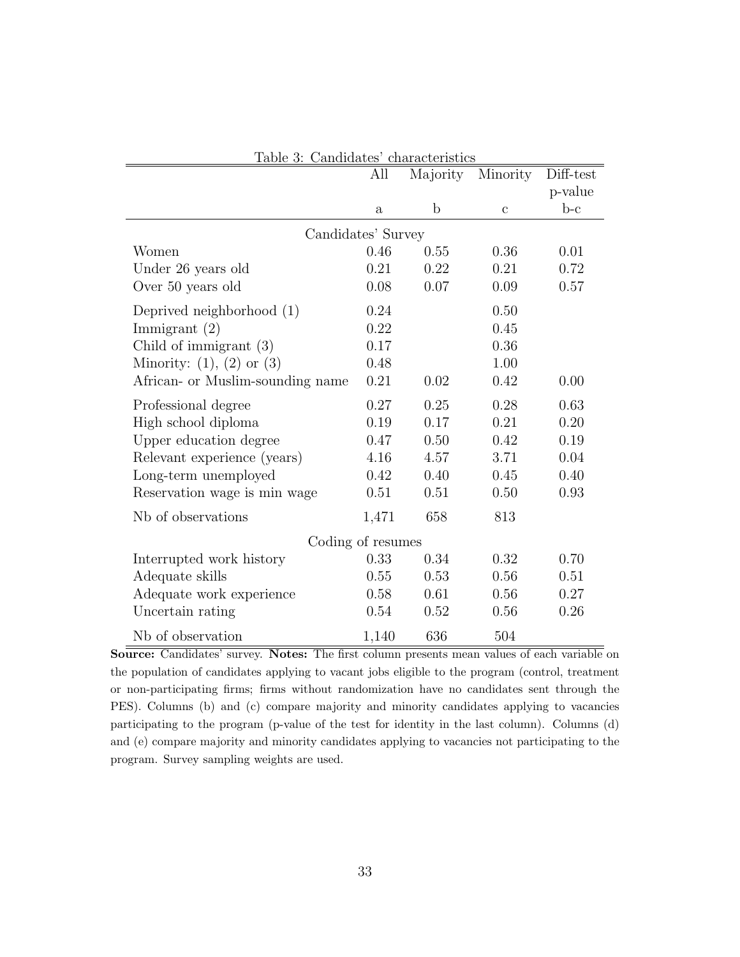|                                  | All          | Majority    | Minority     | Diff-test |  |  |  |
|----------------------------------|--------------|-------------|--------------|-----------|--|--|--|
|                                  |              |             |              | p-value   |  |  |  |
|                                  | $\mathbf{a}$ | $\mathbf b$ | $\mathbf{c}$ | $b-c$     |  |  |  |
| Candidates' Survey               |              |             |              |           |  |  |  |
| Women                            | 0.46         | 0.55        | 0.36         | 0.01      |  |  |  |
| Under 26 years old               | 0.21         | 0.22        | 0.21         | 0.72      |  |  |  |
| Over 50 years old                | 0.08         | 0.07        | 0.09         | 0.57      |  |  |  |
| Deprived neighborhood (1)        | 0.24         |             | 0.50         |           |  |  |  |
| Immigrant $(2)$                  | 0.22         |             | 0.45         |           |  |  |  |
| Child of immigrant (3)           | 0.17         |             | 0.36         |           |  |  |  |
| Minority: $(1)$ , $(2)$ or $(3)$ | 0.48         |             | 1.00         |           |  |  |  |
| African- or Muslim-sounding name | 0.21         | 0.02        | 0.42         | 0.00      |  |  |  |
| Professional degree              | 0.27         | 0.25        | 0.28         | 0.63      |  |  |  |
| High school diploma              | 0.19         | 0.17        | 0.21         | 0.20      |  |  |  |
| Upper education degree           | 0.47         | 0.50        | 0.42         | 0.19      |  |  |  |
| Relevant experience (years)      | 4.16         | 4.57        | 3.71         | 0.04      |  |  |  |
| Long-term unemployed             | 0.42         | 0.40        | 0.45         | 0.40      |  |  |  |
| Reservation wage is min wage     | 0.51         | 0.51        | 0.50         | 0.93      |  |  |  |
| Nb of observations               | 1,471        | 658         | 813          |           |  |  |  |
| Coding of resumes                |              |             |              |           |  |  |  |
| Interrupted work history         | 0.33         | 0.34        | 0.32         | 0.70      |  |  |  |
| Adequate skills                  | 0.55         | 0.53        | 0.56         | 0.51      |  |  |  |
| Adequate work experience         | 0.58         | 0.61        | 0.56         | 0.27      |  |  |  |
| Uncertain rating                 | 0.54         | 0.52        | 0.56         | 0.26      |  |  |  |
| Nb of observation                | 1,140        | 636         | 504          |           |  |  |  |

<span id="page-35-0"></span>Table 3: Candidates' characteristics

Source: Candidates' survey. Notes: The first column presents mean values of each variable on the population of candidates applying to vacant jobs eligible to the program (control, treatment or non-participating firms; firms without randomization have no candidates sent through the PES). Columns (b) and (c) compare majority and minority candidates applying to vacancies participating to the program (p-value of the test for identity in the last column). Columns (d) and (e) compare majority and minority candidates applying to vacancies not participating to the program. Survey sampling weights are used.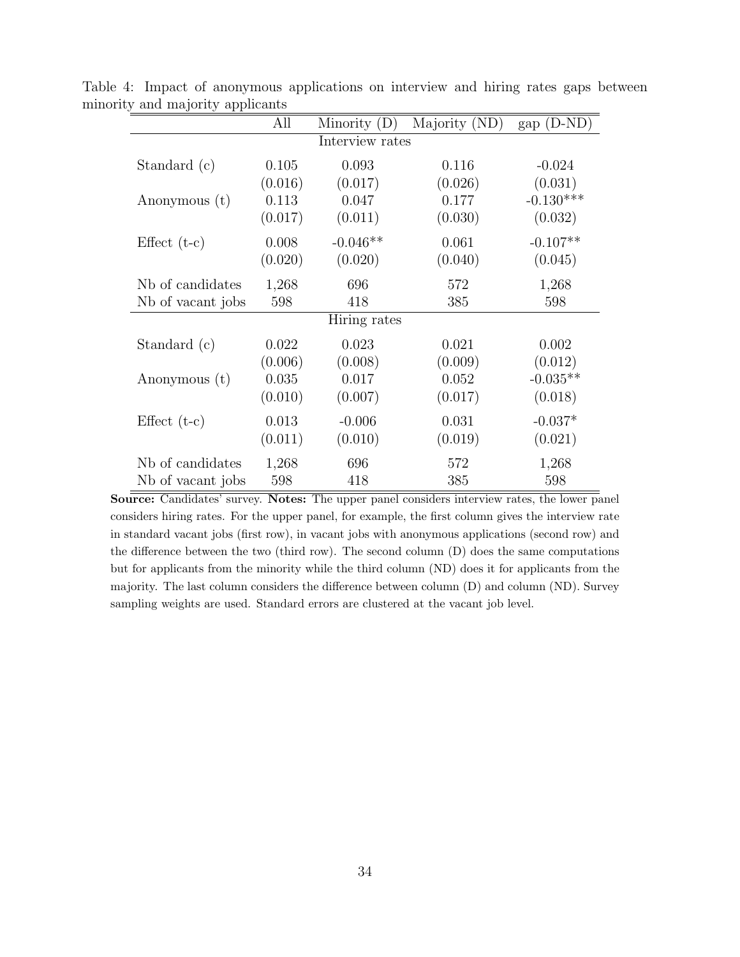<span id="page-36-0"></span>

|                   | All     | Minority $(D)$  | Majority (ND) | gap (D-ND)  |
|-------------------|---------|-----------------|---------------|-------------|
|                   |         | Interview rates |               |             |
| Standard (c)      | 0.105   | 0.093           | 0.116         | $-0.024$    |
|                   | (0.016) | (0.017)         | (0.026)       | (0.031)     |
| Anonymous (t)     | 0.113   | 0.047           | 0.177         | $-0.130***$ |
|                   | (0.017) | (0.011)         | (0.030)       | (0.032)     |
| Effect $(t-c)$    | 0.008   | $-0.046**$      | 0.061         | $-0.107**$  |
|                   | (0.020) | (0.020)         | (0.040)       | (0.045)     |
| Nb of candidates  | 1,268   | 696             | 572           | 1,268       |
| Nb of vacant jobs | 598     | 418             | 385           | 598         |
|                   |         | Hiring rates    |               |             |
| Standard (c)      | 0.022   | 0.023           | 0.021         | 0.002       |
|                   | (0.006) | (0.008)         | (0.009)       | (0.012)     |
| Anonymous (t)     | 0.035   | 0.017           | 0.052         | $-0.035**$  |
|                   | (0.010) | (0.007)         | (0.017)       | (0.018)     |
| Effect $(t-c)$    | 0.013   | $-0.006$        | 0.031         | $-0.037*$   |
|                   | (0.011) | (0.010)         | (0.019)       | (0.021)     |
| Nb of candidates  | 1,268   | 696             | 572           | 1,268       |
| Nb of vacant jobs | 598     | 418             | 385           | 598         |

Table 4: Impact of anonymous applications on interview and hiring rates gaps between minority and majority applicants

Source: Candidates' survey. Notes: The upper panel considers interview rates, the lower panel considers hiring rates. For the upper panel, for example, the first column gives the interview rate in standard vacant jobs (first row), in vacant jobs with anonymous applications (second row) and the difference between the two (third row). The second column (D) does the same computations but for applicants from the minority while the third column (ND) does it for applicants from the majority. The last column considers the difference between column (D) and column (ND). Survey sampling weights are used. Standard errors are clustered at the vacant job level.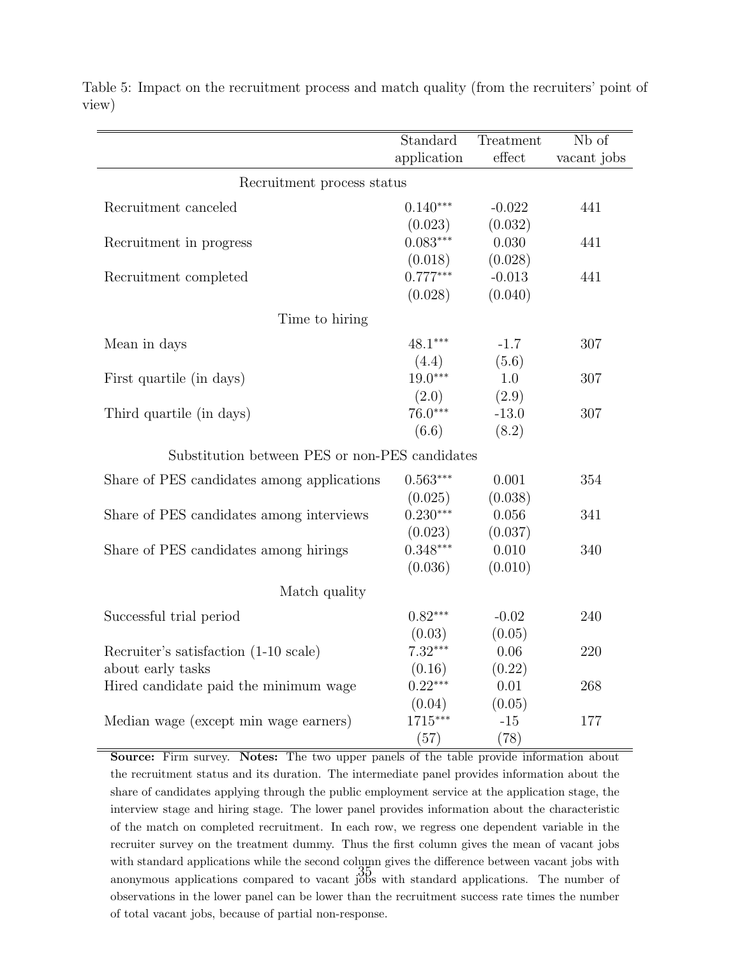|                                                | Standard    | Treatment               | Nb of       |
|------------------------------------------------|-------------|-------------------------|-------------|
|                                                | application | $\operatorname{effect}$ | vacant jobs |
| Recruitment process status                     |             |                         |             |
| Recruitment canceled                           | $0.140***$  | $-0.022$                | 441         |
|                                                | (0.023)     | (0.032)                 |             |
| Recruitment in progress                        | $0.083***$  | 0.030                   | 441         |
|                                                | (0.018)     | (0.028)                 |             |
| Recruitment completed                          | $0.777***$  | $-0.013$                | 441         |
|                                                | (0.028)     | (0.040)                 |             |
| Time to hiring                                 |             |                         |             |
| Mean in days                                   | $48.1***$   | $-1.7$                  | 307         |
|                                                | (4.4)       | (5.6)                   |             |
| First quartile (in days)                       | $19.0***$   | 1.0                     | 307         |
|                                                | (2.0)       | (2.9)                   |             |
| Third quartile (in days)                       | $76.0***$   | $-13.0$                 | 307         |
|                                                | (6.6)       | (8.2)                   |             |
| Substitution between PES or non-PES candidates |             |                         |             |
| Share of PES candidates among applications     | $0.563***$  | 0.001                   | 354         |
|                                                | (0.025)     | (0.038)                 |             |
| Share of PES candidates among interviews       | $0.230***$  | 0.056                   | 341         |
|                                                | (0.023)     | (0.037)                 |             |
| Share of PES candidates among hirings          | $0.348***$  | 0.010                   | 340         |
|                                                | (0.036)     | (0.010)                 |             |
| Match quality                                  |             |                         |             |
| Successful trial period                        | $0.82***$   | $-0.02$                 | 240         |
|                                                | (0.03)      | (0.05)                  |             |
| Recruiter's satisfaction (1-10 scale)          | $7.32***$   | 0.06                    | 220         |
| about early tasks                              | (0.16)      | (0.22)                  |             |
| Hired candidate paid the minimum wage          | $0.22***$   | 0.01                    | 268         |
|                                                | (0.04)      | (0.05)                  |             |
| Median wage (except min wage earners)          | 1715***     | $-15$                   | 177         |
|                                                | (57)        | (78)                    |             |

<span id="page-37-0"></span>Table 5: Impact on the recruitment process and match quality (from the recruiters' point of view)

Source: Firm survey. Notes: The two upper panels of the table provide information about the recruitment status and its duration. The intermediate panel provides information about the share of candidates applying through the public employment service at the application stage, the interview stage and hiring stage. The lower panel provides information about the characteristic of the match on completed recruitment. In each row, we regress one dependent variable in the recruiter survey on the treatment dummy. Thus the first column gives the mean of vacant jobs with standard applications while the second column gives the difference between vacant jobs with anonymous applications compared to vacant jobs with standard applications. The number of observations in the lower panel can be lower than the recruitment success rate times the number of total vacant jobs, because of partial non-response.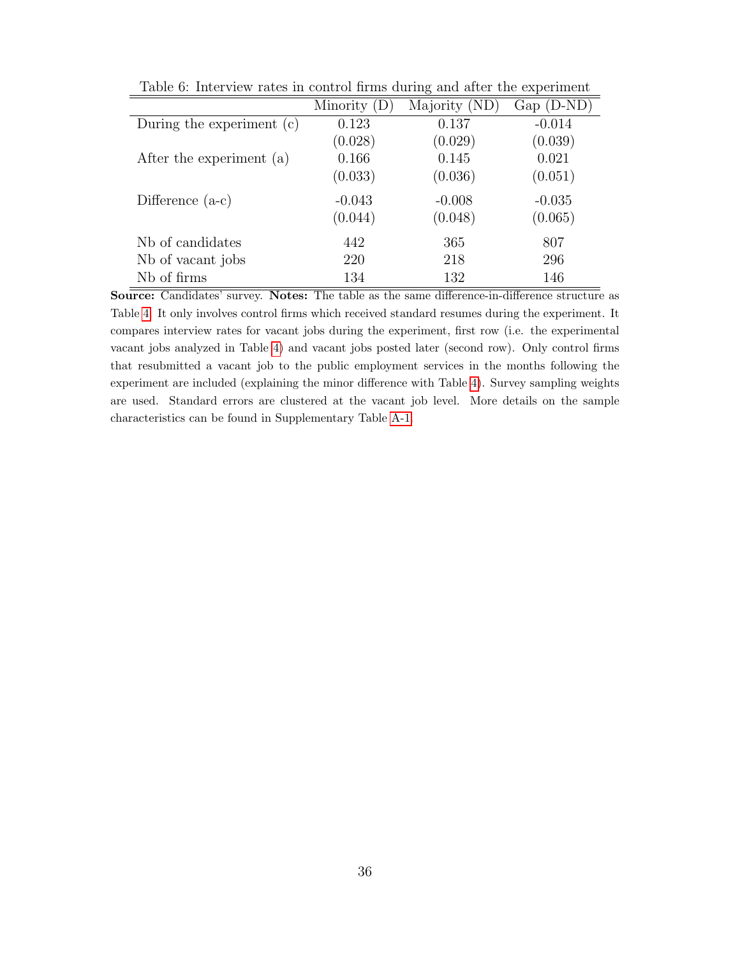|                           | Minority (D) | Majority (ND) | $Gap(D-ND)$ |
|---------------------------|--------------|---------------|-------------|
| During the experiment (c) | 0.123        | 0.137         | $-0.014$    |
|                           | (0.028)      | (0.029)       | (0.039)     |
| After the experiment (a)  | 0.166        | 0.145         | 0.021       |
|                           | (0.033)      | (0.036)       | (0.051)     |
| Difference $(a-c)$        | $-0.043$     | $-0.008$      | $-0.035$    |
|                           | (0.044)      | (0.048)       | (0.065)     |
| Nb of candidates          | 442          | 365           | 807         |
| Nb of vacant jobs         | 220          | 218           | 296         |
| Nb of firms               | 134          | 132           | 146         |

<span id="page-38-0"></span>Table 6: Interview rates in control firms during and after the experiment

Source: Candidates' survey. Notes: The table as the same difference-in-difference structure as Table [4.](#page-36-0) It only involves control firms which received standard resumes during the experiment. It compares interview rates for vacant jobs during the experiment, first row (i.e. the experimental vacant jobs analyzed in Table [4\)](#page-36-0) and vacant jobs posted later (second row). Only control firms that resubmitted a vacant job to the public employment services in the months following the experiment are included (explaining the minor difference with Table [4\)](#page-36-0). Survey sampling weights are used. Standard errors are clustered at the vacant job level. More details on the sample characteristics can be found in Supplementary Table [A-1.](#page-33-0)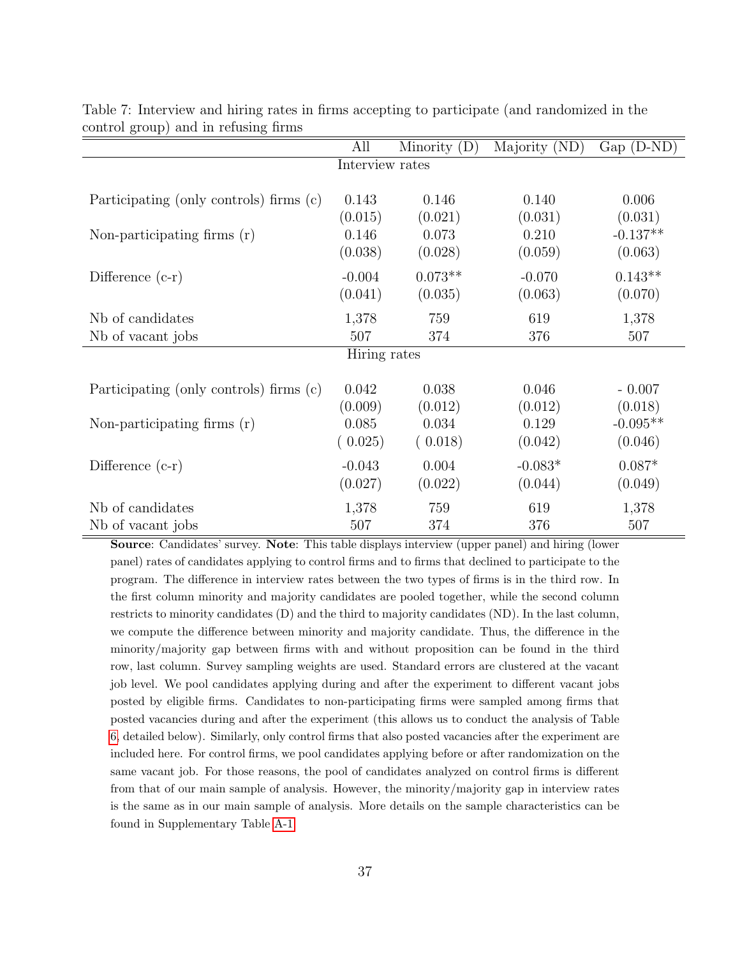|                                         | All             | Minority $(D)$ | Majority (ND) | $Gap(D-ND)$ |
|-----------------------------------------|-----------------|----------------|---------------|-------------|
|                                         | Interview rates |                |               |             |
|                                         |                 |                |               |             |
| Participating (only controls) firms (c) | 0.143           | 0.146          | 0.140         | 0.006       |
|                                         | (0.015)         | (0.021)        | (0.031)       | (0.031)     |
| Non-participating firms $(r)$           | 0.146           | 0.073          | 0.210         | $-0.137**$  |
|                                         | (0.038)         | (0.028)        | (0.059)       | (0.063)     |
| Difference $(c-r)$                      | $-0.004$        | $0.073**$      | $-0.070$      | $0.143**$   |
|                                         | (0.041)         | (0.035)        | (0.063)       | (0.070)     |
|                                         |                 |                |               |             |
| Nb of candidates                        | 1,378           | 759            | 619           | 1,378       |
| Nb of vacant jobs                       | 507             | 374            | 376           | 507         |
|                                         | Hiring rates    |                |               |             |
|                                         |                 |                |               |             |
| Participating (only controls) firms (c) | 0.042           | 0.038          | 0.046         | $-0.007$    |
|                                         | (0.009)         | (0.012)        | (0.012)       | (0.018)     |
| Non-participating firms $(r)$           | 0.085           | 0.034          | 0.129         | $-0.095**$  |
|                                         | (0.025)         | (0.018)        | (0.042)       | (0.046)     |
| Difference $(c-r)$                      | $-0.043$        | 0.004          | $-0.083*$     | $0.087*$    |
|                                         | (0.027)         | (0.022)        | (0.044)       | (0.049)     |
| Nb of candidates                        | 1,378           | 759            | 619           | 1,378       |
| Nb of vacant jobs                       | 507             | 374            | 376           | 507         |

<span id="page-39-0"></span>Table 7: Interview and hiring rates in firms accepting to participate (and randomized in the control group) and in refusing firms

Source: Candidates' survey. Note: This table displays interview (upper panel) and hiring (lower panel) rates of candidates applying to control firms and to firms that declined to participate to the program. The difference in interview rates between the two types of firms is in the third row. In the first column minority and majority candidates are pooled together, while the second column restricts to minority candidates (D) and the third to majority candidates (ND). In the last column, we compute the difference between minority and majority candidate. Thus, the difference in the minority/majority gap between firms with and without proposition can be found in the third row, last column. Survey sampling weights are used. Standard errors are clustered at the vacant job level. We pool candidates applying during and after the experiment to different vacant jobs posted by eligible firms. Candidates to non-participating firms were sampled among firms that posted vacancies during and after the experiment (this allows us to conduct the analysis of Table [6,](#page-38-0) detailed below). Similarly, only control firms that also posted vacancies after the experiment are included here. For control firms, we pool candidates applying before or after randomization on the same vacant job. For those reasons, the pool of candidates analyzed on control firms is different from that of our main sample of analysis. However, the minority/majority gap in interview rates is the same as in our main sample of analysis. More details on the sample characteristics can be found in Supplementary Table [A-1.](#page-33-0)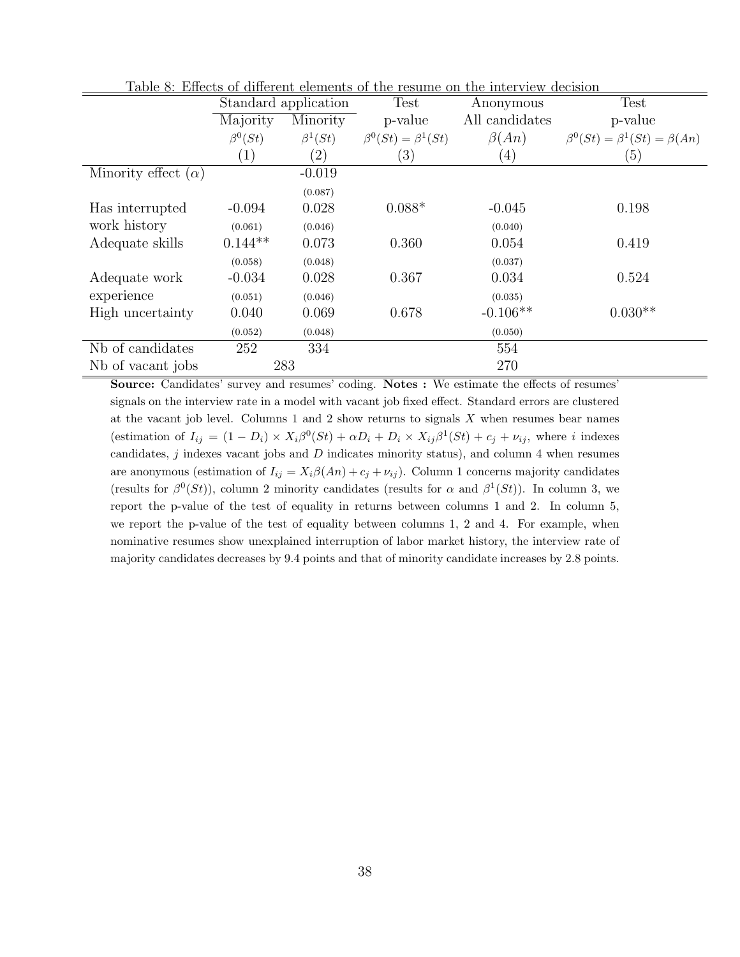|                            |                   |                      |                                 | Taple 0. Effects of different elements of the resulte off the filter view decision |                                             |
|----------------------------|-------------------|----------------------|---------------------------------|------------------------------------------------------------------------------------|---------------------------------------------|
|                            |                   | Standard application | Test                            | Anonymous                                                                          | <b>Test</b>                                 |
|                            | Majority          | Minority             | p-value                         | All candidates                                                                     | p-value                                     |
|                            | $\beta^{0}(St)$   | $\beta^1(St)$        | $\beta^{0}(St) = \beta^{1}(St)$ | $\beta(An)$                                                                        | $\beta^{0}(St) = \beta^{1}(St) = \beta(An)$ |
|                            | $\left( 1\right)$ | $\left( 2\right)$    | (3)                             | (4)                                                                                | (5)                                         |
| Minority effect $(\alpha)$ |                   | $-0.019$             |                                 |                                                                                    |                                             |
|                            |                   | (0.087)              |                                 |                                                                                    |                                             |
| Has interrupted            | $-0.094$          | 0.028                | $0.088*$                        | $-0.045$                                                                           | 0.198                                       |
| work history               | (0.061)           | (0.046)              |                                 | (0.040)                                                                            |                                             |
| Adequate skills            | $0.144**$         | 0.073                | 0.360                           | 0.054                                                                              | 0.419                                       |
|                            | (0.058)           | (0.048)              |                                 | (0.037)                                                                            |                                             |
| Adequate work              | $-0.034$          | 0.028                | 0.367                           | 0.034                                                                              | 0.524                                       |
| experience                 | (0.051)           | (0.046)              |                                 | (0.035)                                                                            |                                             |
| High uncertainty           | 0.040             | 0.069                | 0.678                           | $-0.106**$                                                                         | $0.030**$                                   |
|                            | (0.052)           | (0.048)              |                                 | (0.050)                                                                            |                                             |
| Nb of candidates           | 252               | 334                  |                                 | 554                                                                                |                                             |
| No of vacant jobs          |                   | 283                  |                                 | 270                                                                                |                                             |

<span id="page-40-0"></span>Table 8: Effects of different elements of the resume on the interview decision

Source: Candidates' survey and resumes' coding. Notes : We estimate the effects of resumes' signals on the interview rate in a model with vacant job fixed effect. Standard errors are clustered at the vacant job level. Columns 1 and 2 show returns to signals  $X$  when resumes bear names (estimation of  $I_{ij} = (1 - D_i) \times X_i \beta^0 (St) + \alpha D_i + D_i \times X_{ij} \beta^1 (St) + c_j + \nu_{ij}$ , where i indexes candidates,  $j$  indexes vacant jobs and  $D$  indicates minority status), and column 4 when resumes are anonymous (estimation of  $I_{ij} = X_i \beta(An) + c_j + \nu_{ij}$ ). Column 1 concerns majority candidates (results for  $\beta^{0}(St)$ ), column 2 minority candidates (results for  $\alpha$  and  $\beta^{1}(St)$ ). In column 3, we report the p-value of the test of equality in returns between columns 1 and 2. In column 5, we report the p-value of the test of equality between columns 1, 2 and 4. For example, when nominative resumes show unexplained interruption of labor market history, the interview rate of majority candidates decreases by 9.4 points and that of minority candidate increases by 2.8 points.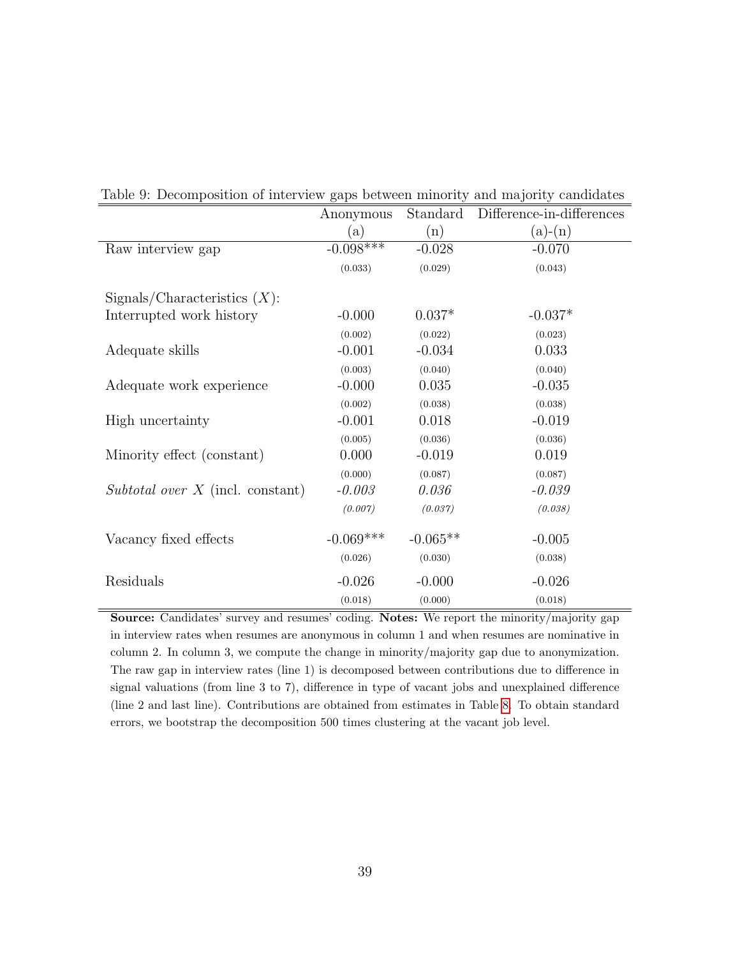|                                    | Anonymous   | Standard   | Difference-in-differences |
|------------------------------------|-------------|------------|---------------------------|
|                                    | (a)         | (n)        | $(a)-(n)$                 |
| Raw interview gap                  | $-0.098***$ | $-0.028$   | $-0.070$                  |
|                                    | (0.033)     | (0.029)    | (0.043)                   |
| Sigma/Characteristics (X):         |             |            |                           |
| Interrupted work history           | $-0.000$    | $0.037*$   | $-0.037*$                 |
|                                    | (0.002)     | (0.022)    | (0.023)                   |
| Adequate skills                    | $-0.001$    | $-0.034$   | 0.033                     |
|                                    | (0.003)     | (0.040)    | (0.040)                   |
| Adequate work experience           | $-0.000$    | 0.035      | $-0.035$                  |
|                                    | (0.002)     | (0.038)    | (0.038)                   |
| High uncertainty                   | $-0.001$    | 0.018      | $-0.019$                  |
|                                    | (0.005)     | (0.036)    | (0.036)                   |
| Minority effect (constant)         | 0.000       | $-0.019$   | 0.019                     |
|                                    | (0.000)     | (0.087)    | (0.087)                   |
| Subtotal over $X$ (incl. constant) | $-0.003$    | 0.036      | $-0.039$                  |
|                                    | (0.007)     | (0.037)    | (0.038)                   |
| Vacancy fixed effects              | $-0.069***$ | $-0.065**$ | $-0.005$                  |
|                                    | (0.026)     | (0.030)    | (0.038)                   |
| Residuals                          | $-0.026$    | $-0.000$   | $-0.026$                  |
|                                    | (0.018)     | (0.000)    | (0.018)                   |

<span id="page-41-0"></span>Table 9: Decomposition of interview gaps between minority and majority candidates

Source: Candidates' survey and resumes' coding. Notes: We report the minority/majority gap in interview rates when resumes are anonymous in column 1 and when resumes are nominative in column 2. In column 3, we compute the change in minority/majority gap due to anonymization. The raw gap in interview rates (line 1) is decomposed between contributions due to difference in signal valuations (from line 3 to 7), difference in type of vacant jobs and unexplained difference (line 2 and last line). Contributions are obtained from estimates in Table [8.](#page-40-0) To obtain standard errors, we bootstrap the decomposition 500 times clustering at the vacant job level.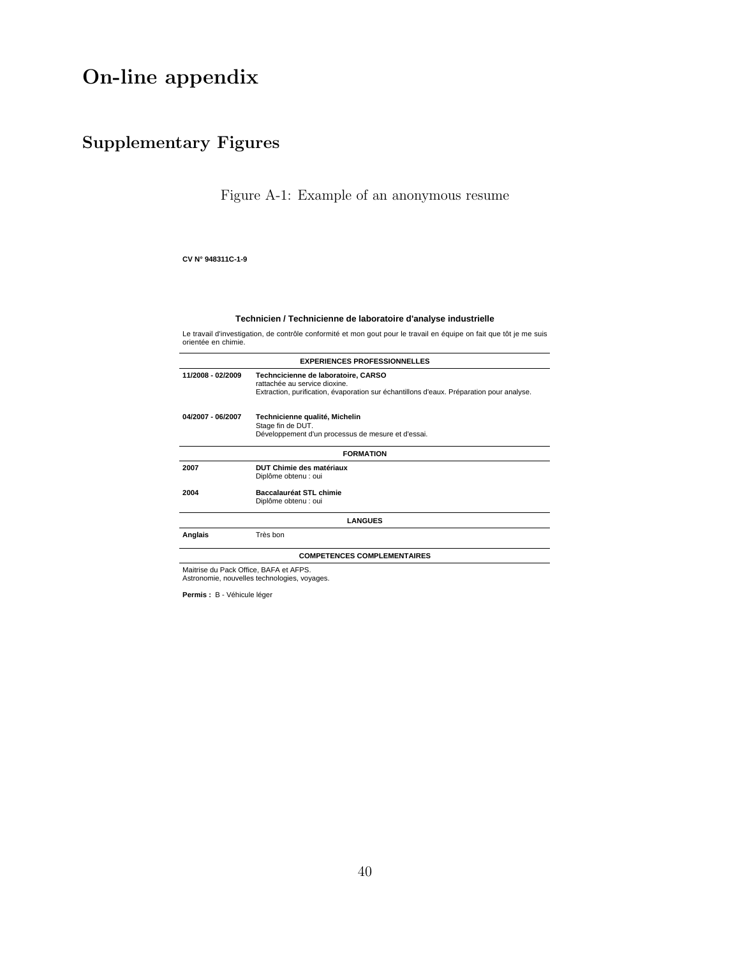# On-line appendix

## Supplementary Figures

<span id="page-42-0"></span>Figure A-1: Example of an anonymous resume

#### **CV N° 948311C-1-9**

#### **Technicien / Technicienne de laboratoire d'analyse industrielle**

Le travail d'investigation, de contrôle conformité et mon gout pour le travail en équipe on fait que tôt je me suis orientée en chimie.

|                   | <b>EXPERIENCES PROFESSIONNELLES</b>                                                                                                                              |  |  |  |
|-------------------|------------------------------------------------------------------------------------------------------------------------------------------------------------------|--|--|--|
| 11/2008 - 02/2009 | Techncicienne de laboratoire, CARSO<br>rattachée au service dioxine.<br>Extraction, purification, évaporation sur échantillons d'eaux. Préparation pour analyse. |  |  |  |
| 04/2007 - 06/2007 | Technicienne qualité, Michelin<br>Stage fin de DUT.<br>Développement d'un processus de mesure et d'essai.                                                        |  |  |  |
| <b>FORMATION</b>  |                                                                                                                                                                  |  |  |  |
| 2007              | DUT Chimie des matériaux<br>Diplôme obtenu : oui                                                                                                                 |  |  |  |
| 2004              | Baccalauréat STL chimie<br>Diplôme obtenu : oui                                                                                                                  |  |  |  |
|                   | <b>LANGUES</b>                                                                                                                                                   |  |  |  |
| Anglais           | Très bon                                                                                                                                                         |  |  |  |
|                   | <b>COMPETENCES COMPLEMENTAIRES</b>                                                                                                                               |  |  |  |
|                   | Maitrise du Pack Office, BAFA et AFPS.<br>Astronomie, nouvelles technologies, voyages.                                                                           |  |  |  |

**Permis :** B - Véhicule léger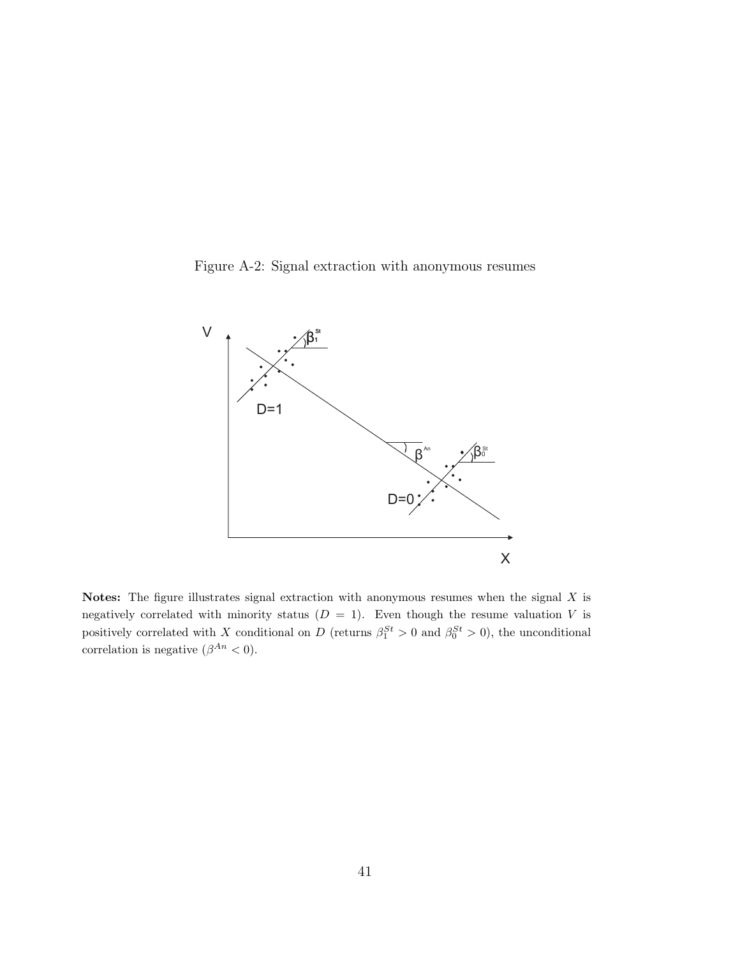<span id="page-43-0"></span>Figure A-2: Signal extraction with anonymous resumes



Notes: The figure illustrates signal extraction with anonymous resumes when the signal  $X$  is negatively correlated with minority status  $(D = 1)$ . Even though the resume valuation V is positively correlated with X conditional on D (returns  $\beta_1^{St} > 0$  and  $\beta_0^{St} > 0$ ), the unconditional correlation is negative  $(\beta^{An} < 0)$ .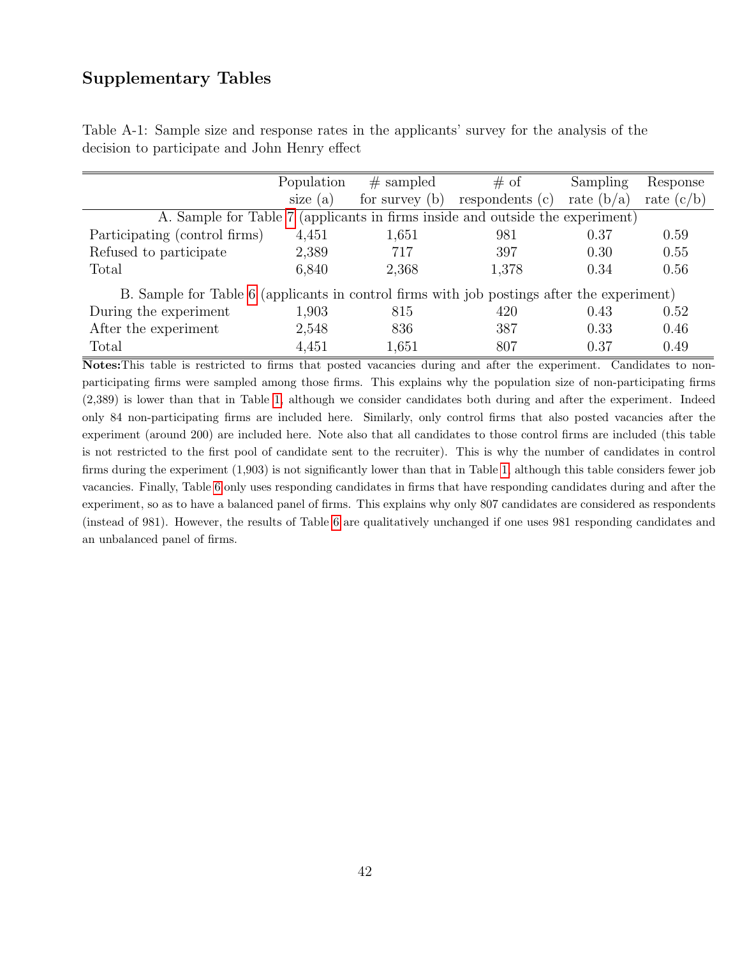### Supplementary Tables

| Table A-1: Sample size and response rates in the applicants' survey for the analysis of the |  |  |  |  |  |
|---------------------------------------------------------------------------------------------|--|--|--|--|--|
| decision to participate and John Henry effect                                               |  |  |  |  |  |

|                                                                                            | Population | $#$ sampled      | $# \circ f$     | Sampling     | Response     |  |  |  |  |
|--------------------------------------------------------------------------------------------|------------|------------------|-----------------|--------------|--------------|--|--|--|--|
|                                                                                            | size $(a)$ | for survey $(b)$ | respondents (c) | rate $(b/a)$ | rate $(c/b)$ |  |  |  |  |
| A. Sample for Table 7 (applicants in firms inside and outside the experiment)              |            |                  |                 |              |              |  |  |  |  |
| Participating (control firms)                                                              | 4,451      | 1,651            | 981             | 0.37         | 0.59         |  |  |  |  |
| Refused to participate                                                                     | 2,389      | 717              | 397             | 0.30         | 0.55         |  |  |  |  |
| Total                                                                                      | 6,840      | 2,368            | 1,378           | 0.34         | 0.56         |  |  |  |  |
| B. Sample for Table 6 (applicants in control firms with job postings after the experiment) |            |                  |                 |              |              |  |  |  |  |
| During the experiment                                                                      | 1,903      | 815              | 420             | 0.43         | 0.52         |  |  |  |  |
| After the experiment                                                                       | 2,548      | 836              | 387             | 0.33         | 0.46         |  |  |  |  |
| Total                                                                                      | 4,451      | 1,651            | 807             | 0.37         | 0.49         |  |  |  |  |

Notes:This table is restricted to firms that posted vacancies during and after the experiment. Candidates to nonparticipating firms were sampled among those firms. This explains why the population size of non-participating firms (2,389) is lower than that in Table [1,](#page-33-0) although we consider candidates both during and after the experiment. Indeed only 84 non-participating firms are included here. Similarly, only control firms that also posted vacancies after the experiment (around 200) are included here. Note also that all candidates to those control firms are included (this table is not restricted to the first pool of candidate sent to the recruiter). This is why the number of candidates in control firms during the experiment (1,903) is not significantly lower than that in Table [1,](#page-33-0) although this table considers fewer job vacancies. Finally, Table [6](#page-38-0) only uses responding candidates in firms that have responding candidates during and after the experiment, so as to have a balanced panel of firms. This explains why only 807 candidates are considered as respondents (instead of 981). However, the results of Table [6](#page-38-0) are qualitatively unchanged if one uses 981 responding candidates and an unbalanced panel of firms.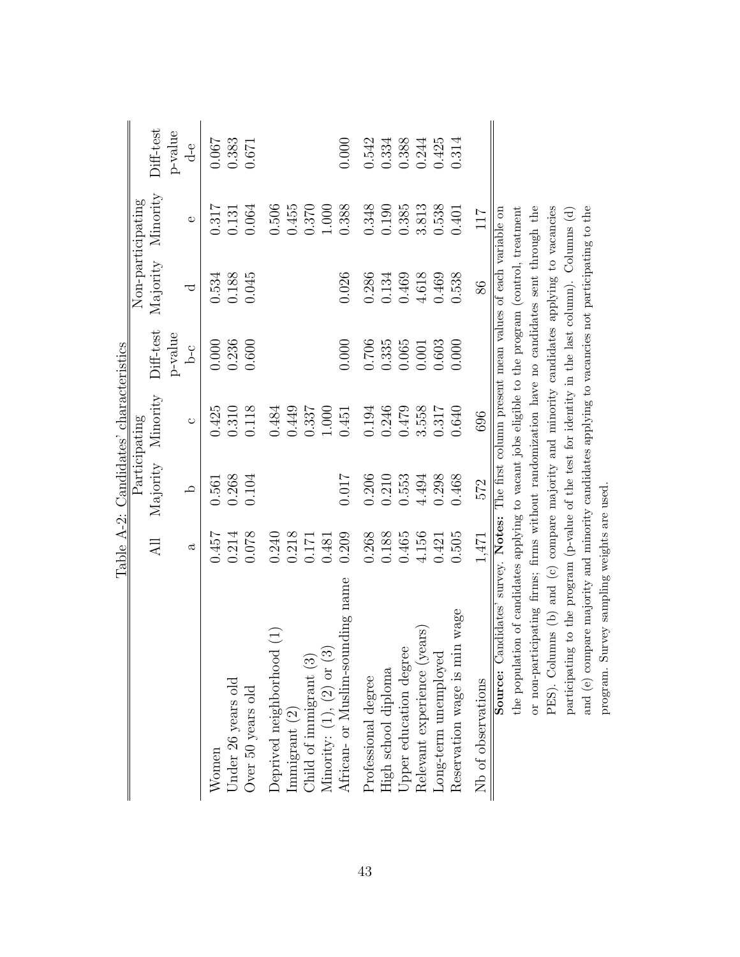|                                                                                                  |       | Table A-2: Candidates' characteristics |               |           |          |                   |           |
|--------------------------------------------------------------------------------------------------|-------|----------------------------------------|---------------|-----------|----------|-------------------|-----------|
|                                                                                                  |       |                                        | Participating |           |          | Non-participating |           |
|                                                                                                  | All   | Majority                               | Minority      | Diff-test | Majority | Minority          | Diff-test |
|                                                                                                  |       |                                        |               | p-value   |          |                   | p-value   |
|                                                                                                  | ದ     | $\Delta$                               | $\circ$       | Ъ-C       | ರ        | $\circ$           | $d-e$     |
| Women                                                                                            | 0.457 | 0.561                                  | 0.425         | $0.000\,$ | 0.534    | 0.317             | 0.067     |
| Under 26 years old                                                                               | 0.214 | 0.268                                  | 0.310         | 0.236     | 0.188    | 0.131             | 0.383     |
| Over 50 years old                                                                                | 0.078 | 0.104                                  | 0.118         | 0.600     | 0.045    | 0.064             | 0.671     |
| Deprived neighborhood (1)                                                                        | 0.240 |                                        | 0.484         |           |          | 0.506             |           |
| mmigrant (2)                                                                                     | 0.218 |                                        | 0.449         |           |          | 0.455             |           |
|                                                                                                  | 0.171 |                                        | 0.337         |           |          | 0.370             |           |
| Child of immigrant $(3)$<br>Minority: $(1)$ , $(2)$ or $(3)$                                     | 0.481 |                                        | 1.000         |           |          | $1.000$           |           |
| African- or Muslim-sounding name                                                                 | 0.209 | 710.0                                  | 0.451         | 0.000     | 0.026    | 0.388             | 0.000     |
| Professional degree                                                                              | 0.268 | 0.206                                  | 0.194         | 0.706     | 0.286    | 0.348             | 0.542     |
| High school diploma                                                                              | 0.188 | 0.210                                  | 0.246         | 0.335     | 0.134    | 0.190             | 0.334     |
| Jpper education degree                                                                           | 0.465 | 0.553                                  | 0.479         | 0.065     | 0.469    | 0.385             | 0.388     |
| Relevant experience (years)                                                                      | 4.156 | 4.494                                  | 3.558         | 0.001     | 4.618    | 3.813             | 0.244     |
| Long-term unemployed                                                                             | 0.421 | 0.298                                  | 0.317         | 0.603     | 0.469    | 0.538             | 0.425     |
| Reservation wage is min wage                                                                     | 0.505 | 0.468                                  | 0.640         | 0.000     | 0.538    | 0.401             | 0.314     |
| Nb of observations                                                                               | 1,471 | 572                                    | 696           |           | 86       | 117               |           |
| Source: Candidates' survey. Notes: The first column present mean values of each variable on      |       |                                        |               |           |          |                   |           |
| the population of candidates applying to vacant jobs eligible to the program (control, treatment |       |                                        |               |           |          |                   |           |
| or non-participating firms; firms without randomization have no candidates sent through the      |       |                                        |               |           |          |                   |           |
| PES). Columns (b) and (c) compare majority and minority candidates applying to vacancies         |       |                                        |               |           |          |                   |           |
| participating to the program (p-value of the test for identity in the last column). Columns (d)  |       |                                        |               |           |          |                   |           |
| and (e) compare majority and minority candidates applying to vacancies not participating to the  |       |                                        |               |           |          |                   |           |
| program. Survey sampling weights are used.                                                       |       |                                        |               |           |          |                   |           |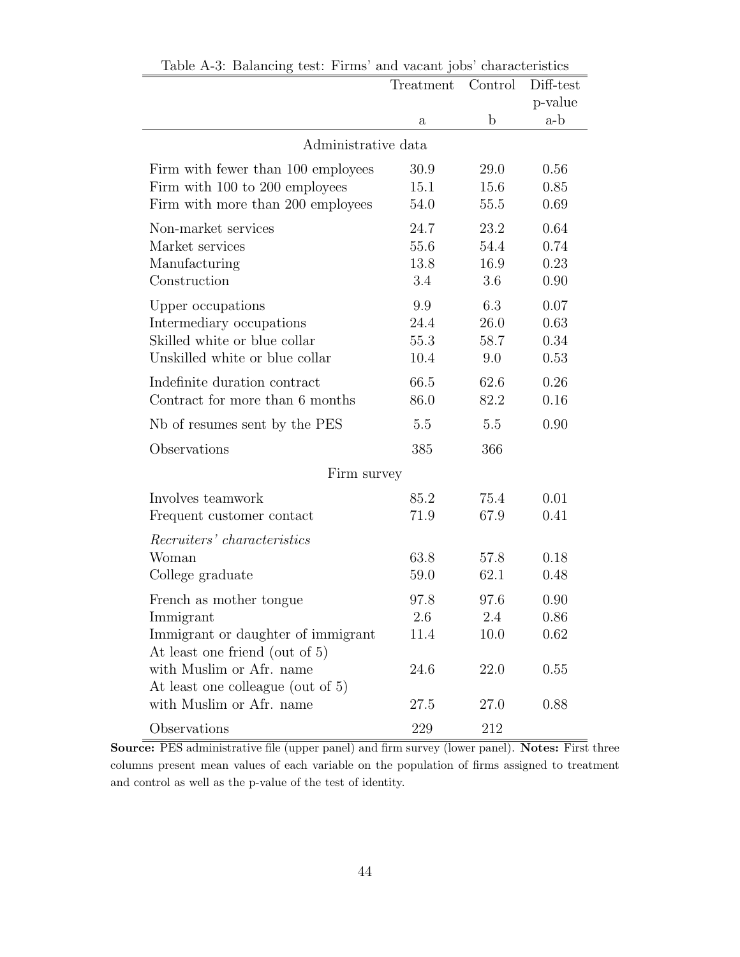|                                                                      | Treatment    | Control     | Diff-test |
|----------------------------------------------------------------------|--------------|-------------|-----------|
|                                                                      |              |             | p-value   |
|                                                                      | $\mathbf{a}$ | $\mathbf b$ | a-b       |
| Administrative data                                                  |              |             |           |
| Firm with fewer than 100 employees                                   | 30.9         | 29.0        | 0.56      |
| Firm with 100 to 200 employees                                       | 15.1         | 15.6        | 0.85      |
| Firm with more than 200 employees                                    | 54.0         | 55.5        | 0.69      |
| Non-market services                                                  | 24.7         | 23.2        | 0.64      |
| Market services                                                      | 55.6         | 54.4        | 0.74      |
| Manufacturing                                                        | 13.8         | 16.9        | 0.23      |
| Construction                                                         | 3.4          | 3.6         | 0.90      |
| Upper occupations                                                    | 9.9          | 6.3         | 0.07      |
| Intermediary occupations                                             | 24.4         | 26.0        | 0.63      |
| Skilled white or blue collar                                         | 55.3         | 58.7        | 0.34      |
| Unskilled white or blue collar                                       | 10.4         | 9.0         | 0.53      |
| Indefinite duration contract                                         | 66.5         | 62.6        | 0.26      |
| Contract for more than 6 months                                      | 86.0         | 82.2        | 0.16      |
| Nb of resumes sent by the PES                                        | 5.5          | 5.5         | 0.90      |
| Observations                                                         | 385          | 366         |           |
| Firm survey                                                          |              |             |           |
| Involves teamwork                                                    | 85.2         | 75.4        | 0.01      |
| Frequent customer contact                                            | 71.9         | 67.9        | 0.41      |
| Recruiters' characteristics                                          |              |             |           |
| Woman                                                                | 63.8         | 57.8        | 0.18      |
| College graduate                                                     | 59.0         | 62.1        | 0.48      |
| French as mother tongue.                                             | 97.8         | 97.6        | 0.90      |
| Immigrant                                                            | 2.6          | 2.4         | 0.86      |
| Immigrant or daughter of immigrant<br>At least one friend (out of 5) | 11.4         | 10.0        | 0.62      |
| with Muslim or Afr. name                                             | 24.6         | 22.0        | 0.55      |
| At least one colleague (out of 5)                                    |              |             |           |
| with Muslim or Afr. name                                             | 27.5         | 27.0        | 0.88      |
| Observations                                                         | 229          | 212         |           |

Table A-3: Balancing test: Firms' and vacant jobs' characteristics

Source: PES administrative file (upper panel) and firm survey (lower panel). Notes: First three columns present mean values of each variable on the population of firms assigned to treatment and control as well as the p-value of the test of identity.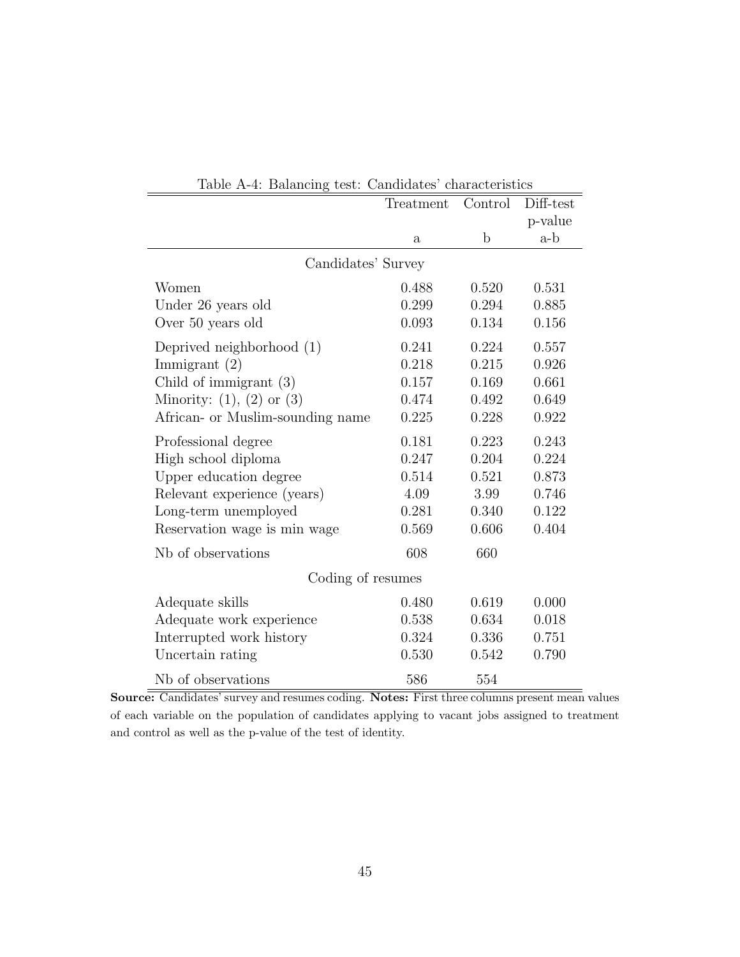|                                  | Treatment    | Control     | Diff-test |
|----------------------------------|--------------|-------------|-----------|
|                                  |              |             | p-value   |
|                                  | $\mathbf{a}$ | $\mathbf b$ | a-b       |
| Candidates' Survey               |              |             |           |
| Women                            | 0.488        | 0.520       | 0.531     |
| Under 26 years old               | 0.299        | 0.294       | 0.885     |
| Over 50 years old                | 0.093        | 0.134       | 0.156     |
| Deprived neighborhood (1)        | 0.241        | 0.224       | 0.557     |
| Immigrant $(2)$                  | 0.218        | 0.215       | 0.926     |
| Child of immigrant $(3)$         | 0.157        | 0.169       | 0.661     |
| Minority: $(1)$ , $(2)$ or $(3)$ | 0.474        | 0.492       | 0.649     |
| African- or Muslim-sounding name | 0.225        | 0.228       | 0.922     |
| Professional degree              | 0.181        | 0.223       | 0.243     |
| High school diploma              | 0.247        | 0.204       | 0.224     |
| Upper education degree           | 0.514        | 0.521       | 0.873     |
| Relevant experience (years)      | 4.09         | 3.99        | 0.746     |
| Long-term unemployed             | 0.281        | 0.340       | 0.122     |
| Reservation wage is min wage     | 0.569        | 0.606       | 0.404     |
| Nb of observations               | 608          | 660         |           |
| Coding of resumes                |              |             |           |
| Adequate skills                  | 0.480        | 0.619       | 0.000     |
| Adequate work experience         | 0.538        | 0.634       | 0.018     |
| Interrupted work history         | 0.324        | 0.336       | 0.751     |
| Uncertain rating                 | 0.530        | 0.542       | 0.790     |
| Nb of observations               | 586          | 554         |           |

|  |  | Table A-4: Balancing test: Candidates' characteristics |  |
|--|--|--------------------------------------------------------|--|
|--|--|--------------------------------------------------------|--|

Source: Candidates' survey and resumes coding. Notes: First three columns present mean values of each variable on the population of candidates applying to vacant jobs assigned to treatment and control as well as the p-value of the test of identity.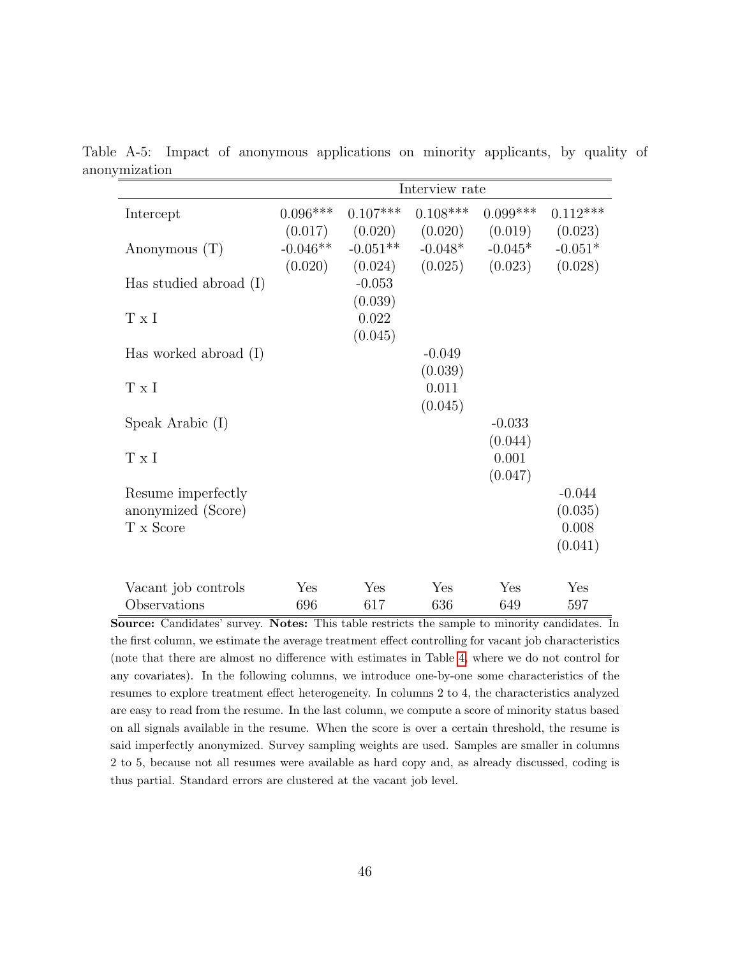Table A-5: Impact of anonymous applications on minority applicants, by quality of anonymization

|                          |            |            | Interview rate |            |            |
|--------------------------|------------|------------|----------------|------------|------------|
| Intercept                | $0.096***$ | $0.107***$ | $0.108***$     | $0.099***$ | $0.112***$ |
|                          | (0.017)    | (0.020)    | (0.020)        | (0.019)    | (0.023)    |
| Anonymous $(T)$          | $-0.046**$ | $-0.051**$ | $-0.048*$      | $-0.045*$  | $-0.051*$  |
|                          | (0.020)    | (0.024)    | (0.025)        | (0.023)    | (0.028)    |
| Has studied abroad $(I)$ |            | $-0.053$   |                |            |            |
|                          |            | (0.039)    |                |            |            |
| T x I                    |            | 0.022      |                |            |            |
|                          |            | (0.045)    |                |            |            |
| Has worked abroad $(I)$  |            |            | $-0.049$       |            |            |
|                          |            |            | (0.039)        |            |            |
| $T \times I$             |            |            | 0.011          |            |            |
|                          |            |            | (0.045)        |            |            |
| Speak Arabic (I)         |            |            |                | $-0.033$   |            |
|                          |            |            |                | (0.044)    |            |
| T x I                    |            |            |                | 0.001      |            |
|                          |            |            |                | (0.047)    |            |
| Resume imperfectly       |            |            |                |            | $-0.044$   |
| anonymized (Score)       |            |            |                |            | (0.035)    |
| T x Score                |            |            |                |            | 0.008      |
|                          |            |            |                |            | (0.041)    |
| Vacant job controls      | Yes        | Yes        | Yes            | Yes        | Yes        |
| Observations             | 696        | 617        | 636            | 649        | 597        |

Source: Candidates' survey. Notes: This table restricts the sample to minority candidates. In the first column, we estimate the average treatment effect controlling for vacant job characteristics (note that there are almost no difference with estimates in Table [4,](#page-36-0) where we do not control for any covariates). In the following columns, we introduce one-by-one some characteristics of the resumes to explore treatment effect heterogeneity. In columns 2 to 4, the characteristics analyzed are easy to read from the resume. In the last column, we compute a score of minority status based on all signals available in the resume. When the score is over a certain threshold, the resume is said imperfectly anonymized. Survey sampling weights are used. Samples are smaller in columns 2 to 5, because not all resumes were available as hard copy and, as already discussed, coding is thus partial. Standard errors are clustered at the vacant job level.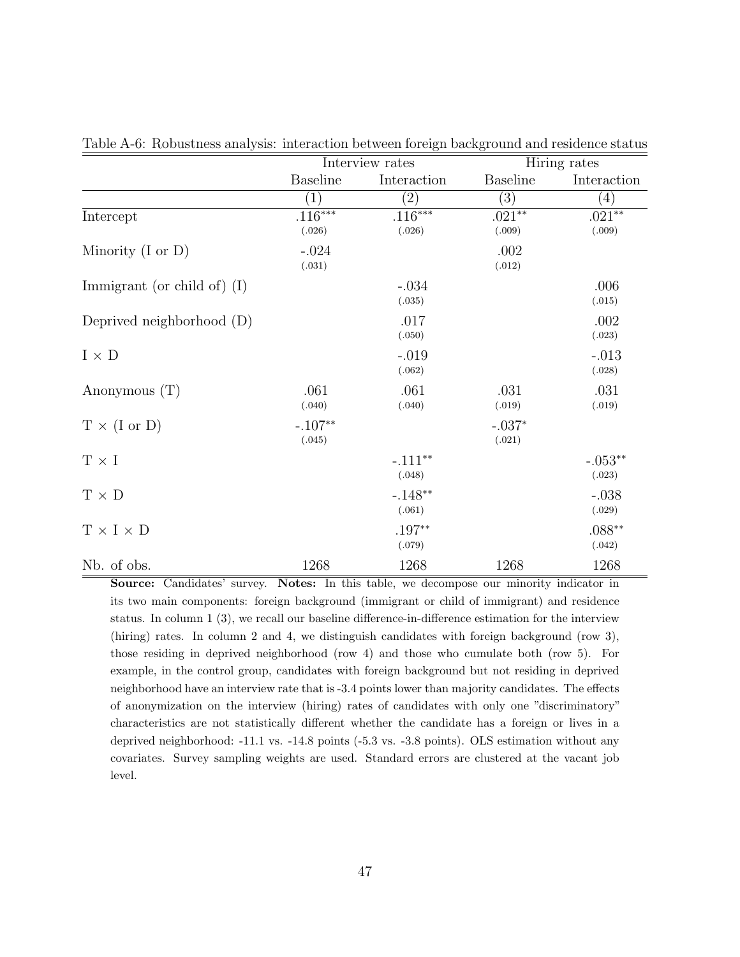|                               |                             | Interview rates     |                          | Hiring rates        |  |
|-------------------------------|-----------------------------|---------------------|--------------------------|---------------------|--|
|                               | <b>Baseline</b>             | Interaction         | <b>Baseline</b>          | Interaction         |  |
|                               | $\left( 1\right)$           | $\left( 2\right)$   | (3)                      | $\left(4\right)$    |  |
| Intercept                     | .116***                     | $.116***$           | $.021**$                 | $.021**$            |  |
| Minority $(I \text{ or } D)$  | (.026)<br>$-.024$<br>(.031) | (.026)              | (.009)<br>.002<br>(.012) | (.009)              |  |
| Immigrant (or child of) $(I)$ |                             | $-.034$<br>(.035)   |                          | .006<br>(.015)      |  |
| Deprived neighborhood $(D)$   |                             | .017<br>(.050)      |                          | .002<br>(.023)      |  |
| $I \times D$                  |                             | $-.019$<br>(.062)   |                          | $-.013$<br>(.028)   |  |
| Anonymous $(T)$               | .061<br>(.040)              | .061<br>(.040)      | .031<br>(.019)           | .031<br>(.019)      |  |
| $T \times (I \text{ or } D)$  | $-.107**$<br>(.045)         |                     | $-.037*$<br>(.021)       |                     |  |
| $T \times I$                  |                             | $-.111**$<br>(.048) |                          | $-.053**$<br>(.023) |  |
| $T \times D$                  |                             | $-.148**$<br>(.061) |                          | $-.038$<br>(.029)   |  |
| $T \times I \times D$         |                             | $.197**$<br>(.079)  |                          | $.088**$<br>(.042)  |  |
| Nb. of obs.                   | 1268                        | 1268                | 1268                     | 1268                |  |

Table A-6: Robustness analysis: interaction between foreign background and residence status

Source: Candidates' survey. Notes: In this table, we decompose our minority indicator in its two main components: foreign background (immigrant or child of immigrant) and residence status. In column 1 (3), we recall our baseline difference-in-difference estimation for the interview (hiring) rates. In column 2 and 4, we distinguish candidates with foreign background (row 3), those residing in deprived neighborhood (row 4) and those who cumulate both (row 5). For example, in the control group, candidates with foreign background but not residing in deprived neighborhood have an interview rate that is -3.4 points lower than majority candidates. The effects of anonymization on the interview (hiring) rates of candidates with only one "discriminatory" characteristics are not statistically different whether the candidate has a foreign or lives in a deprived neighborhood: -11.1 vs. -14.8 points (-5.3 vs. -3.8 points). OLS estimation without any covariates. Survey sampling weights are used. Standard errors are clustered at the vacant job level.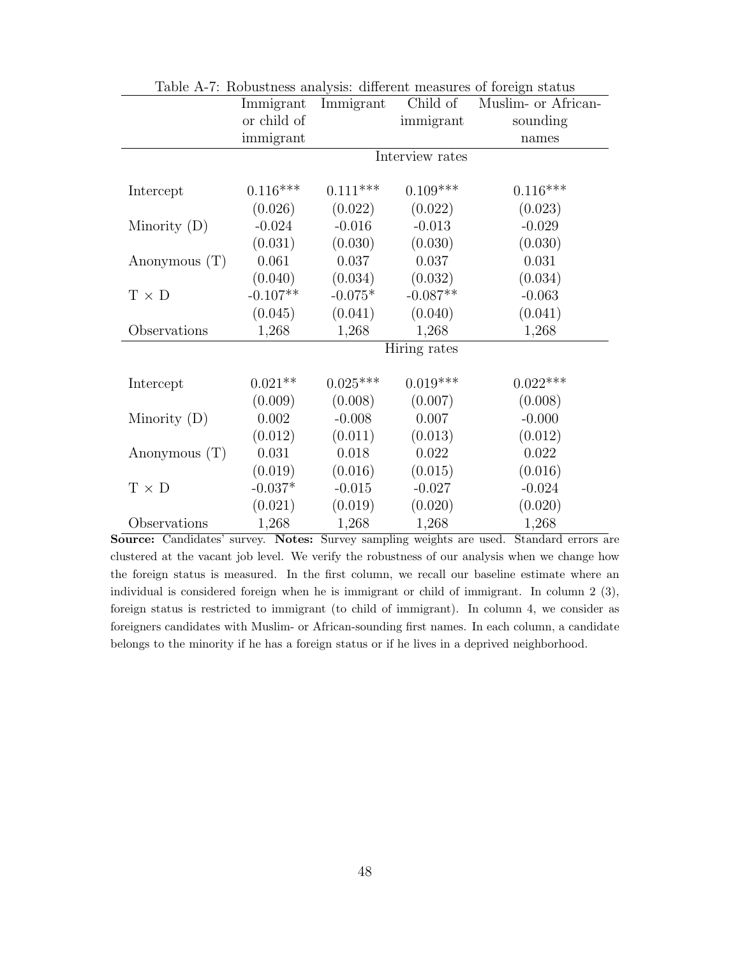|                 |             |            |                 | Lable A-1. Robustliess allarysis. Uniterent inteasures of foreign status |
|-----------------|-------------|------------|-----------------|--------------------------------------------------------------------------|
|                 | Immigrant   | Immigrant  | Child of        | Muslim- or African-                                                      |
|                 | or child of |            | immigrant       | sounding                                                                 |
|                 | immigrant   |            |                 | names                                                                    |
|                 |             |            | Interview rates |                                                                          |
|                 |             |            |                 |                                                                          |
| Intercept       | $0.116***$  | $0.111***$ | $0.109***$      | $0.116***$                                                               |
|                 | (0.026)     | (0.022)    | (0.022)         | (0.023)                                                                  |
| Minority $(D)$  | $-0.024$    | $-0.016$   | $-0.013$        | $-0.029$                                                                 |
|                 | (0.031)     | (0.030)    | (0.030)         | (0.030)                                                                  |
| Anonymous $(T)$ | 0.061       | 0.037      | 0.037           | 0.031                                                                    |
|                 | (0.040)     | (0.034)    | (0.032)         | (0.034)                                                                  |
| $T \times D$    | $-0.107**$  | $-0.075*$  | $-0.087**$      | $-0.063$                                                                 |
|                 | (0.045)     | (0.041)    | (0.040)         | (0.041)                                                                  |
| Observations    | 1,268       | 1,268      | 1,268           | 1,268                                                                    |
|                 |             |            | Hiring rates    |                                                                          |
|                 |             |            |                 |                                                                          |
| Intercept       | $0.021**$   | $0.025***$ | $0.019***$      | $0.022***$                                                               |
|                 | (0.009)     | (0.008)    | (0.007)         | (0.008)                                                                  |
| Minority $(D)$  | 0.002       | $-0.008$   | 0.007           | $-0.000$                                                                 |
|                 | (0.012)     | (0.011)    | (0.013)         | (0.012)                                                                  |
| Anonymous $(T)$ | 0.031       | 0.018      | 0.022           | 0.022                                                                    |
|                 | (0.019)     | (0.016)    | (0.015)         | (0.016)                                                                  |
| $T \times D$    | $-0.037*$   | $-0.015$   | $-0.027$        | $-0.024$                                                                 |
|                 | (0.021)     | (0.019)    | (0.020)         | (0.020)                                                                  |
| Observations    | 1,268       | 1,268      | 1,268           | 1,268                                                                    |

Table A-7: Robustness analysis: different measures of foreign status

Source: Candidates' survey. Notes: Survey sampling weights are used. Standard errors are clustered at the vacant job level. We verify the robustness of our analysis when we change how the foreign status is measured. In the first column, we recall our baseline estimate where an individual is considered foreign when he is immigrant or child of immigrant. In column 2 (3), foreign status is restricted to immigrant (to child of immigrant). In column 4, we consider as foreigners candidates with Muslim- or African-sounding first names. In each column, a candidate belongs to the minority if he has a foreign status or if he lives in a deprived neighborhood.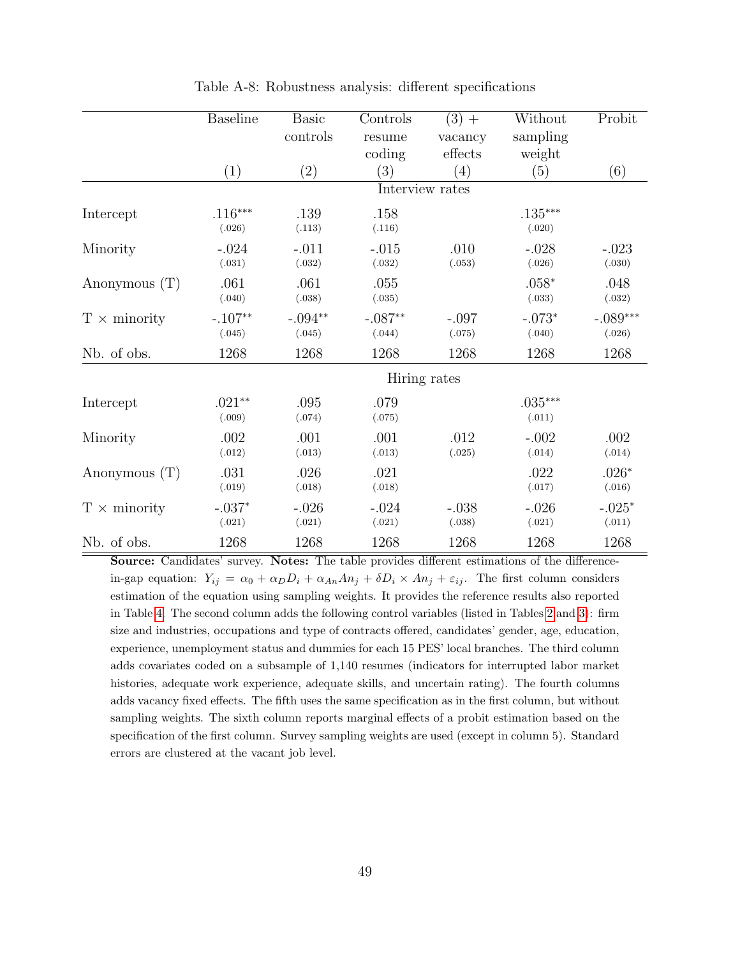|                     | <b>Baseline</b> | <b>Basic</b>      | Controls  | $(3) +$         | Without   | Probit     |
|---------------------|-----------------|-------------------|-----------|-----------------|-----------|------------|
|                     |                 | controls          | resume    | vacancy         | sampling  |            |
|                     |                 |                   | coding    | effects         | weight    |            |
|                     | (1)             | $\left( 2\right)$ | (3)       | (4)             | (5)       | (6)        |
|                     |                 |                   |           | Interview rates |           |            |
| Intercept           | $.116***$       | .139              | .158      |                 | $.135***$ |            |
|                     | (.026)          | (.113)            | (.116)    |                 | (.020)    |            |
| Minority            | $-.024$         | $-.011$           | $-.015$   | .010            | $-.028$   | $-.023$    |
|                     | (.031)          | (.032)            | (.032)    | (.053)          | (.026)    | (.030)     |
| Anonymous $(T)$     | .061            | .061              | .055      |                 | $.058*$   | .048       |
|                     | (.040)          | (.038)            | (.035)    |                 | (.033)    | (.032)     |
| $T \times$ minority | $-.107**$       | $-.094**$         | $-.087**$ | $-.097$         | $-.073*$  | $-.089***$ |
|                     | (.045)          | (.045)            | (.044)    | (.075)          | (.040)    | (.026)     |
| Nb. of obs.         | 1268            | 1268              | 1268      | 1268            | 1268      | 1268       |
|                     |                 |                   |           | Hiring rates    |           |            |
| Intercept           | $.021**$        | .095              | .079      |                 | $.035***$ |            |
|                     | (.009)          | (.074)            | (.075)    |                 | (.011)    |            |
| Minority            | .002            | .001              | .001      | .012            | $-.002$   | .002       |
|                     | (.012)          | (.013)            | (.013)    | (.025)          | (.014)    | (.014)     |
| Anonymous $(T)$     | .031            | .026              | .021      |                 | .022      | $.026*$    |
|                     | (.019)          | (.018)            | (.018)    |                 | (.017)    | (.016)     |
| $T \times$ minority | $-.037*$        | $-.026$           | $-.024$   | $-.038$         | $-.026$   | $-.025*$   |
|                     | (.021)          | (.021)            | (.021)    | (.038)          | (.021)    | (.011)     |
| Nb. of obs.         | 1268            | 1268              | 1268      | 1268            | 1268      | 1268       |

Table A-8: Robustness analysis: different specifications

Source: Candidates' survey. Notes: The table provides different estimations of the differencein-gap equation:  $Y_{ij} = \alpha_0 + \alpha_D D_i + \alpha_{An} A n_j + \delta D_i \times A n_j + \varepsilon_{ij}$ . The first column considers estimation of the equation using sampling weights. It provides the reference results also reported in Table [4.](#page-36-0) The second column adds the following control variables (listed in Tables [2](#page-34-0) and [3\)](#page-35-0): firm size and industries, occupations and type of contracts offered, candidates' gender, age, education, experience, unemployment status and dummies for each 15 PES' local branches. The third column adds covariates coded on a subsample of 1,140 resumes (indicators for interrupted labor market histories, adequate work experience, adequate skills, and uncertain rating). The fourth columns adds vacancy fixed effects. The fifth uses the same specification as in the first column, but without sampling weights. The sixth column reports marginal effects of a probit estimation based on the specification of the first column. Survey sampling weights are used (except in column 5). Standard errors are clustered at the vacant job level.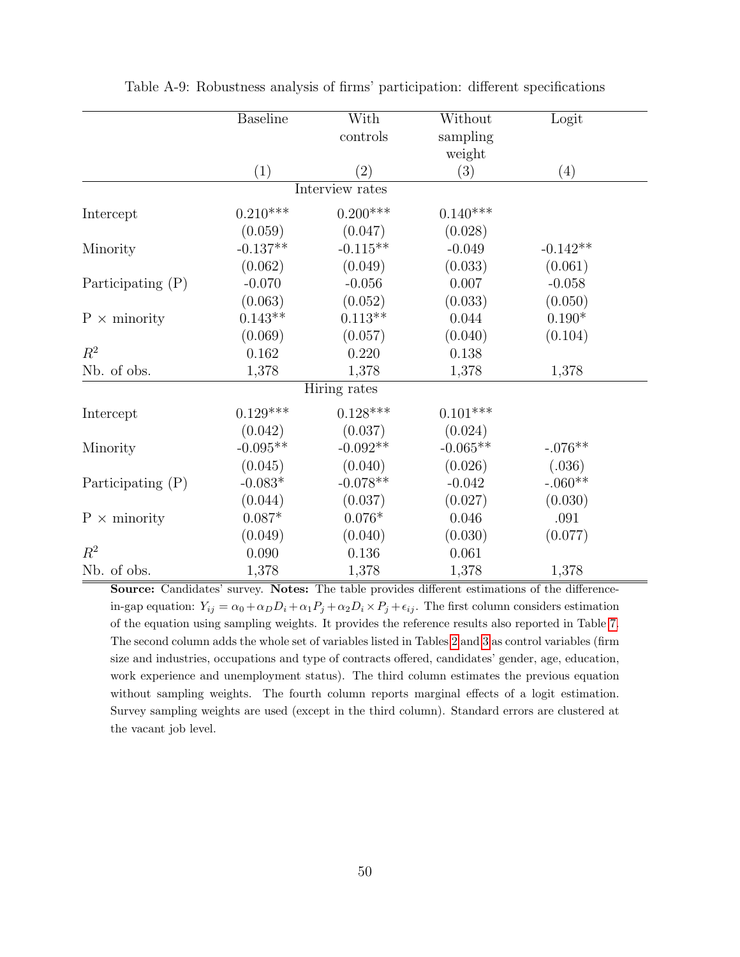|                     | <b>Baseline</b> | With              | Without         | Logit      |  |
|---------------------|-----------------|-------------------|-----------------|------------|--|
|                     |                 | controls          | sampling        |            |  |
|                     |                 |                   | weight          |            |  |
|                     | (1)             | $\left( 2\right)$ | (3)             | (4)        |  |
|                     |                 | Interview rates   |                 |            |  |
| Intercept           | $0.210***$      | $0.200***$        | $0.140***$      |            |  |
|                     | (0.059)         | (0.047)           | (0.028)         |            |  |
| Minority            | $-0.137**$      | $-0.115**$        | $-0.049$        | $-0.142**$ |  |
|                     | (0.062)         | (0.049)           | (0.033)         | (0.061)    |  |
| Participating $(P)$ | $-0.070$        | $-0.056$          | 0.007           | $-0.058$   |  |
|                     | (0.063)         | (0.052)           | (0.033)         | (0.050)    |  |
| $P \times$ minority | $0.143**$       | $0.113**$         | 0.044           | $0.190*$   |  |
|                     | (0.069)         | (0.057)           | (0.040)         | (0.104)    |  |
| $R^2$               | 0.162           | 0.220             | 0.138           |            |  |
| Nb. of obs.         | 1,378           | 1,378             | 1,378           | 1,378      |  |
|                     |                 | Hiring rates      |                 |            |  |
| Intercept           | $0.129***$      | $0.128***$        | $0.101^{***}\;$ |            |  |
|                     | (0.042)         | (0.037)           | (0.024)         |            |  |
| Minority            | $-0.095**$      | $-0.092**$        | $-0.065**$      | $-.076**$  |  |
|                     | (0.045)         | (0.040)           | (0.026)         | (.036)     |  |
| Participating $(P)$ | $-0.083*$       | $-0.078**$        | $-0.042$        | $-.060**$  |  |
|                     | (0.044)         | (0.037)           | (0.027)         | (0.030)    |  |
| $P \times$ minority | $0.087*$        | $0.076*$          | 0.046           | .091       |  |
|                     | (0.049)         | (0.040)           | (0.030)         | (0.077)    |  |
| $R^2$               | 0.090           | 0.136             | 0.061           |            |  |
| Nb. of obs.         | 1,378           | 1,378             | 1,378           | 1,378      |  |

Table A-9: Robustness analysis of firms' participation: different specifications

Source: Candidates' survey. Notes: The table provides different estimations of the differencein-gap equation:  $Y_{ij} = \alpha_0 + \alpha_D D_i + \alpha_1 P_j + \alpha_2 D_i \times P_j + \epsilon_{ij}$ . The first column considers estimation of the equation using sampling weights. It provides the reference results also reported in Table [7.](#page-39-0) The second column adds the whole set of variables listed in Tables [2](#page-34-0) and [3](#page-35-0) as control variables (firm size and industries, occupations and type of contracts offered, candidates' gender, age, education, work experience and unemployment status). The third column estimates the previous equation without sampling weights. The fourth column reports marginal effects of a logit estimation. Survey sampling weights are used (except in the third column). Standard errors are clustered at the vacant job level.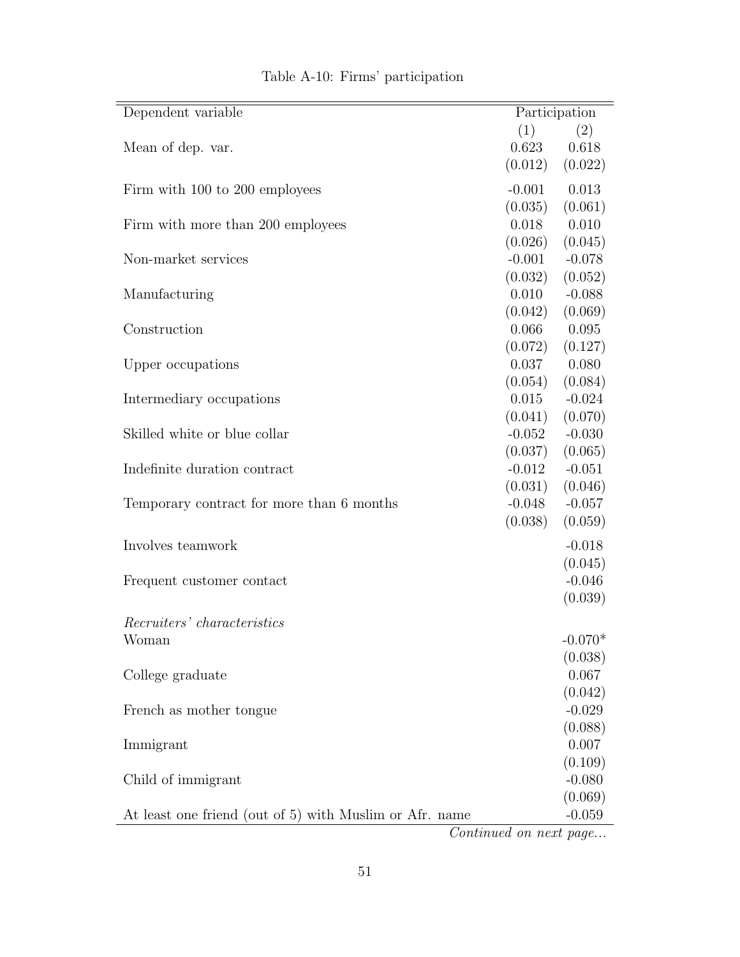<span id="page-53-0"></span>

| Dependent variable                                      |          | Participation |
|---------------------------------------------------------|----------|---------------|
|                                                         | (1)      | (2)           |
| Mean of dep. var.                                       | 0.623    | 0.618         |
|                                                         | (0.012)  | (0.022)       |
| Firm with 100 to 200 employees                          | $-0.001$ | 0.013         |
|                                                         | (0.035)  | (0.061)       |
| Firm with more than 200 employees                       | 0.018    | 0.010         |
|                                                         | (0.026)  | (0.045)       |
| Non-market services                                     | $-0.001$ | $-0.078$      |
|                                                         | (0.032)  | (0.052)       |
| Manufacturing                                           | 0.010    | $-0.088$      |
|                                                         | (0.042)  | (0.069)       |
| Construction                                            | 0.066    | 0.095         |
|                                                         | (0.072)  | (0.127)       |
| Upper occupations                                       | 0.037    | 0.080         |
|                                                         | (0.054)  | (0.084)       |
| Intermediary occupations                                | 0.015    | $-0.024$      |
|                                                         | (0.041)  | (0.070)       |
| Skilled white or blue collar                            | $-0.052$ | $-0.030$      |
|                                                         | (0.037)  | (0.065)       |
| Indefinite duration contract                            | $-0.012$ | $-0.051$      |
|                                                         | (0.031)  | (0.046)       |
| Temporary contract for more than 6 months               | $-0.048$ | $-0.057$      |
|                                                         | (0.038)  | (0.059)       |
| Involves teamwork                                       |          | $-0.018$      |
|                                                         |          | (0.045)       |
| Frequent customer contact                               |          | $-0.046$      |
|                                                         |          | (0.039)       |
|                                                         |          |               |
| Recruiters' characteristics                             |          |               |
| Woman                                                   |          | $-0.070*$     |
|                                                         |          | (0.038)       |
| College graduate                                        |          | 0.067         |
|                                                         |          | (0.042)       |
| French as mother tongue.                                |          | $-0.029$      |
|                                                         |          | (0.088)       |
| Immigrant                                               |          | 0.007         |
|                                                         |          | (0.109)       |
| Child of immigrant                                      |          | $-0.080$      |
|                                                         |          | (0.069)       |
| At least one friend (out of 5) with Muslim or Afr. name |          | $-0.059$      |

## Table A-10: Firms' participation

Continued on next page...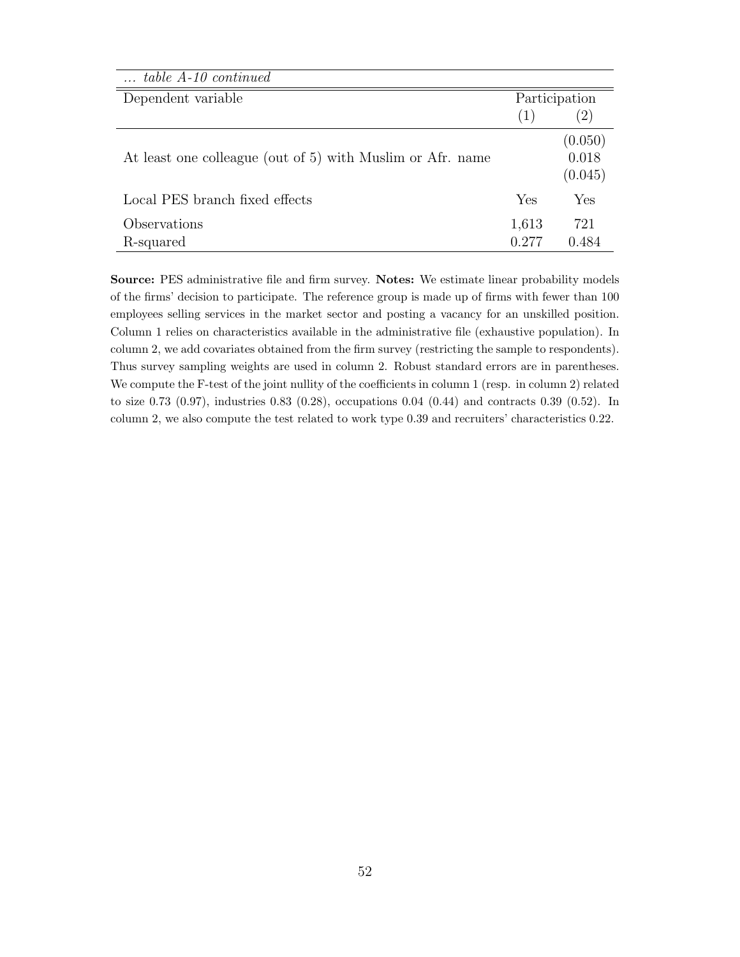| $\ldots$ table A-10 continued                              |       |               |
|------------------------------------------------------------|-------|---------------|
| Dependent variable                                         |       | Participation |
|                                                            | (1)   | $^{(2)}$      |
|                                                            |       | (0.050)       |
| At least one colleague (out of 5) with Muslim or Afr. name |       | 0.018         |
|                                                            |       | (0.045)       |
| Local PES branch fixed effects                             | Yes   | Yes           |
| Observations                                               | 1,613 | 721           |
| R-squared                                                  | 0.277 | 0.484         |

Source: PES administrative file and firm survey. Notes: We estimate linear probability models of the firms' decision to participate. The reference group is made up of firms with fewer than 100 employees selling services in the market sector and posting a vacancy for an unskilled position. Column 1 relies on characteristics available in the administrative file (exhaustive population). In column 2, we add covariates obtained from the firm survey (restricting the sample to respondents). Thus survey sampling weights are used in column 2. Robust standard errors are in parentheses. We compute the F-test of the joint nullity of the coefficients in column 1 (resp. in column 2) related to size 0.73 (0.97), industries 0.83 (0.28), occupations 0.04 (0.44) and contracts 0.39 (0.52). In column 2, we also compute the test related to work type 0.39 and recruiters' characteristics 0.22.